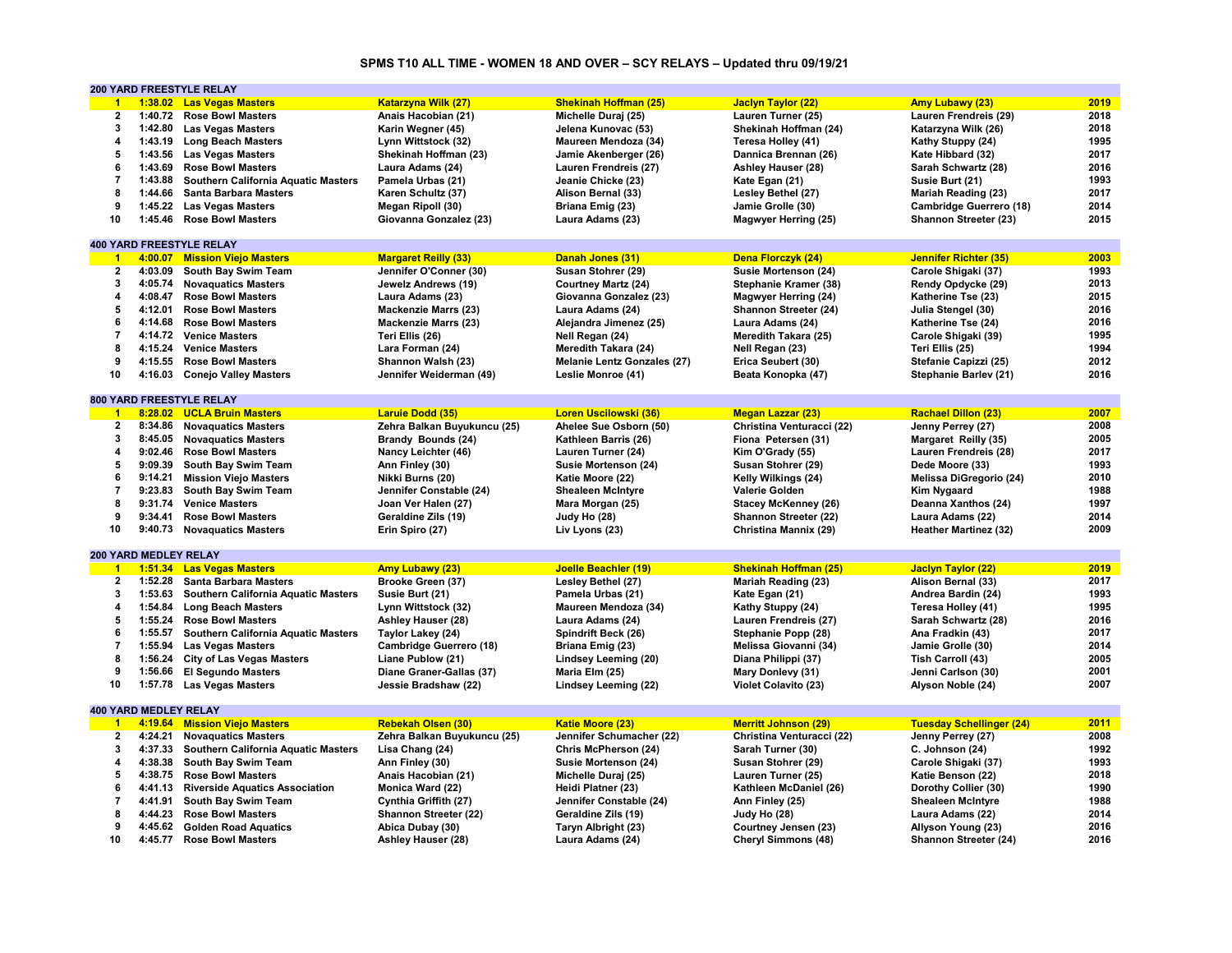#### **SPMS T10 ALL TIME - WOMEN 18 AND OVER – SCY RELAYS – Updated thru 09/19/21**

|                      |                              | <b>200 YARD FREESTYLE RELAY</b>            |                             |                                    |                              |                                 |      |
|----------------------|------------------------------|--------------------------------------------|-----------------------------|------------------------------------|------------------------------|---------------------------------|------|
| $\blacktriangleleft$ |                              | 1:38.02 Las Vegas Masters                  | <b>Katarzyna Wilk (27)</b>  | <b>Shekinah Hoffman (25)</b>       | <b>Jaclyn Taylor (22)</b>    | <b>Amy Lubawy (23)</b>          | 2019 |
| 2                    | 1:40.72                      | <b>Rose Bowl Masters</b>                   | Anais Hacobian (21)         | Michelle Duraj (25)                | Lauren Turner (25)           | Lauren Frendreis (29)           | 2018 |
| 3                    | 1:42.80                      | <b>Las Vegas Masters</b>                   | Karin Wegner (45)           | Jelena Kunovac (53)                | Shekinah Hoffman (24)        | Katarzyna Wilk (26)             | 2018 |
| 4                    |                              | 1:43.19 Long Beach Masters                 | Lynn Wittstock (32)         | Maureen Mendoza (34)               | Teresa Holley (41)           | Kathy Stuppy (24)               | 1995 |
| 5                    | 1:43.56                      | <b>Las Vegas Masters</b>                   | Shekinah Hoffman (23)       | Jamie Akenberger (26)              | Dannica Brennan (26)         | Kate Hibbard (32)               | 2017 |
| 6                    | 1:43.69                      | <b>Rose Bowl Masters</b>                   | Laura Adams (24)            | Lauren Frendreis (27)              | <b>Ashley Hauser (28)</b>    | Sarah Schwartz (28)             | 2016 |
| $\overline{7}$       | 1:43.88                      | <b>Southern California Aquatic Masters</b> | Pamela Urbas (21)           | Jeanie Chicke (23)                 | Kate Egan (21)               | Susie Burt (21)                 | 1993 |
| 8                    |                              |                                            |                             |                                    |                              |                                 | 2017 |
|                      | 1:44.66                      | <b>Santa Barbara Masters</b>               | Karen Schultz (37)          | Alison Bernal (33)                 | Lesley Bethel (27)           | Mariah Reading (23)             |      |
| 9                    | 1:45.22                      | <b>Las Vegas Masters</b>                   | Megan Ripoll (30)           | Briana Emig (23)                   | Jamie Grolle (30)            | Cambridge Guerrero (18)         | 2014 |
| 10                   | 1:45.46                      | <b>Rose Bowl Masters</b>                   | Giovanna Gonzalez (23)      | Laura Adams (23)                   | Magwyer Herring (25)         | Shannon Streeter (23)           | 2015 |
|                      |                              |                                            |                             |                                    |                              |                                 |      |
|                      |                              | <b>400 YARD FREESTYLE RELAY</b>            |                             |                                    |                              |                                 |      |
| $\blacktriangleleft$ |                              | 4:00.07 Mission Viejo Masters              | <b>Margaret Reilly (33)</b> | Danah Jones (31)                   | Dena Florczyk (24)           | <b>Jennifer Richter (35)</b>    | 2003 |
| $\mathbf{2}$         | 4:03.09                      | South Bay Swim Team                        | Jennifer O'Conner (30)      | Susan Stohrer (29)                 | Susie Mortenson (24)         | Carole Shigaki (37)             | 1993 |
| 3                    | 4:05.74                      | <b>Novaquatics Masters</b>                 | Jewelz Andrews (19)         | <b>Courtney Martz (24)</b>         | Stephanie Kramer (38)        | Rendy Opdycke (29)              | 2013 |
| 4                    | 4:08.47                      | <b>Rose Bowl Masters</b>                   | Laura Adams (23)            | Giovanna Gonzalez (23)             | <b>Magwyer Herring (24)</b>  | Katherine Tse (23)              | 2015 |
| 5                    | 4:12.01                      | <b>Rose Bowl Masters</b>                   | <b>Mackenzie Marrs (23)</b> | Laura Adams (24)                   | Shannon Streeter (24)        | Julia Stengel (30)              | 2016 |
| 6                    | 4:14.68                      | <b>Rose Bowl Masters</b>                   | <b>Mackenzie Marrs (23)</b> | Alejandra Jimenez (25)             | Laura Adams (24)             | Katherine Tse (24)              | 2016 |
| $\overline{7}$       |                              | 4:14.72 Venice Masters                     | Teri Ellis (26)             | Nell Regan (24)                    | Meredith Takara (25)         | Carole Shigaki (39)             | 1995 |
| 8                    |                              | 4:15.24 Venice Masters                     | Lara Forman (24)            | Meredith Takara (24)               | Nell Regan (23)              | Teri Ellis (25)                 | 1994 |
| 9                    |                              | 4:15.55 Rose Bowl Masters                  | Shannon Walsh (23)          | <b>Melanie Lentz Gonzales (27)</b> | Erica Seubert (30)           | Stefanie Capizzi (25)           | 2012 |
| 10                   | 4:16.03                      | <b>Conejo Valley Masters</b>               | Jennifer Weiderman (49)     | Leslie Monroe (41)                 |                              | Stephanie Barlev (21)           | 2016 |
|                      |                              |                                            |                             |                                    | Beata Konopka (47)           |                                 |      |
|                      |                              |                                            |                             |                                    |                              |                                 |      |
|                      |                              | 800 YARD FREESTYLE RELAY                   |                             |                                    |                              |                                 |      |
| $-1$                 |                              | 8:28.02 UCLA Bruin Masters                 | Laruie Dodd (35)            | Loren Uscilowski (36)              | <b>Megan Lazzar (23)</b>     | <b>Rachael Dillon (23)</b>      | 2007 |
| $\overline{2}$       |                              | 8:34.86 Novaguatics Masters                | Zehra Balkan Buyukuncu (25) | Ahelee Sue Osborn (50)             | Christina Venturacci (22)    | Jenny Perrey (27)               | 2008 |
| 3                    | 8:45.05                      | <b>Novaquatics Masters</b>                 | Brandy Bounds (24)          | Kathleen Barris (26)               | Fiona Petersen (31)          | Margaret Reilly (35)            | 2005 |
| 4                    | 9:02.46                      | <b>Rose Bowl Masters</b>                   | Nancy Leichter (46)         | Lauren Turner (24)                 | Kim O'Grady (55)             | Lauren Frendreis (28)           | 2017 |
| 5                    | 9:09.39                      | South Bay Swim Team                        | Ann Finley (30)             | Susie Mortenson (24)               | Susan Stohrer (29)           | Dede Moore (33)                 | 1993 |
| 6                    | 9:14.21                      | <b>Mission Viejo Masters</b>               | Nikki Burns (20)            | Katie Moore (22)                   | Kelly Wilkings (24)          | Melissa DiGregorio (24)         | 2010 |
| $\overline{7}$       |                              | 9:23.83 South Bay Swim Team                | Jennifer Constable (24)     | <b>Shealeen McIntyre</b>           | Valerie Golden               | Kim Nygaard                     | 1988 |
| 8                    | 9:31.74                      | <b>Venice Masters</b>                      | Joan Ver Halen (27)         | Mara Morgan (25)                   | <b>Stacey McKenney (26)</b>  | Deanna Xanthos (24)             | 1997 |
| 9                    | 9:34.41                      | <b>Rose Bowl Masters</b>                   | Geraldine Zils (19)         | Judy Ho (28)                       | Shannon Streeter (22)        | Laura Adams (22)                | 2014 |
| 10                   |                              | 9:40.73 Novaquatics Masters                | Erin Spiro (27)             | Liv Lyons (23)                     | Christina Mannix (29)        | <b>Heather Martinez (32)</b>    | 2009 |
|                      |                              |                                            |                             |                                    |                              |                                 |      |
|                      | 200 YARD MEDLEY RELAY        |                                            |                             |                                    |                              |                                 |      |
| $\blacksquare$       |                              | 1:51.34 Las Vegas Masters                  | <b>Amy Lubawy (23)</b>      | Joelle Beachler (19)               | <b>Shekinah Hoffman (25)</b> | <b>Jaclyn Taylor (22)</b>       | 2019 |
| $\overline{2}$       | 1:52.28                      |                                            |                             |                                    |                              |                                 | 2017 |
| 3                    |                              | <b>Santa Barbara Masters</b>               | Brooke Green (37)           | Lesley Bethel (27)                 | <b>Mariah Reading (23)</b>   | Alison Bernal (33)              | 1993 |
|                      | 1:53.63                      | <b>Southern California Aquatic Masters</b> | Susie Burt (21)             | Pamela Urbas (21)                  | Kate Egan (21)               | Andrea Bardin (24)              |      |
| 4                    | 1:54.84                      | <b>Long Beach Masters</b>                  | Lynn Wittstock (32)         | Maureen Mendoza (34)               | Kathy Stuppy (24)            | Teresa Holley (41)              | 1995 |
| 5                    | 1:55.24                      | <b>Rose Bowl Masters</b>                   | <b>Ashley Hauser (28)</b>   | Laura Adams (24)                   | Lauren Frendreis (27)        | Sarah Schwartz (28)             | 2016 |
| 6                    | 1:55.57                      | Southern California Aquatic Masters        | Taylor Lakey (24)           | Spindrift Beck (26)                | Stephanie Popp (28)          | Ana Fradkin (43)                | 2017 |
| $\overline{7}$       | 1:55.94                      | <b>Las Vegas Masters</b>                   | Cambridge Guerrero (18)     | Briana Emig (23)                   | Melissa Giovanni (34)        | Jamie Grolle (30)               | 2014 |
| 8                    | 1:56.24                      | <b>City of Las Vegas Masters</b>           | Liane Publow (21)           | Lindsey Leeming (20)               | Diana Philippi (37)          | Tish Carroll (43)               | 2005 |
| 9                    | 1:56.66                      | <b>El Segundo Masters</b>                  | Diane Graner-Gallas (37)    | Maria Elm (25)                     | Mary Donlevy (31)            | Jenni Carlson (30)              | 2001 |
| 10                   | 1:57.78                      | <b>Las Vegas Masters</b>                   | Jessie Bradshaw (22)        | Lindsey Leeming (22)               | Violet Colavito (23)         | Alyson Noble (24)               | 2007 |
|                      |                              |                                            |                             |                                    |                              |                                 |      |
|                      | <b>400 YARD MEDLEY RELAY</b> |                                            |                             |                                    |                              |                                 |      |
| $\mathbf{1}$         |                              | 4:19.64 Mission Viejo Masters              | <b>Rebekah Olsen (30)</b>   | <b>Katie Moore (23)</b>            | <b>Merritt Johnson (29)</b>  | <b>Tuesday Schellinger (24)</b> | 2011 |
| $\overline{2}$       | 4:24.21                      | <b>Novaguatics Masters</b>                 | Zehra Balkan Buyukuncu (25) | Jennifer Schumacher (22)           | Christina Venturacci (22)    | Jenny Perrey (27)               | 2008 |
| 3                    | 4:37.33                      | Southern California Aquatic Masters        | Lisa Chang (24)             | Chris McPherson (24)               | Sarah Turner (30)            | C. Johnson (24)                 | 1992 |
| 4                    |                              |                                            |                             |                                    |                              |                                 |      |
|                      | 4:38.38                      | South Bay Swim Team                        | Ann Finley (30)             | Susie Mortenson (24)               | Susan Stohrer (29)           | Carole Shigaki (37)             | 1993 |
| 5                    | 4:38.75                      | <b>Rose Bowl Masters</b>                   | Anais Hacobian (21)         | Michelle Duraj (25)                | Lauren Turner (25)           | Katie Benson (22)               | 2018 |
| 6                    | 4:41.13                      | <b>Riverside Aquatics Association</b>      | Monica Ward (22)            | Heidi Platner (23)                 | Kathleen McDaniel (26)       | Dorothy Collier (30)            | 1990 |
| $\overline{7}$       | 4:41.91                      | South Bay Swim Team                        | Cynthia Griffith (27)       | Jennifer Constable (24)            | Ann Finley (25)              | <b>Shealeen McIntyre</b>        | 1988 |
| 8                    | 4:44.23                      | <b>Rose Bowl Masters</b>                   | Shannon Streeter (22)       | Geraldine Zils (19)                | Judy Ho (28)                 | Laura Adams (22)                | 2014 |
| 9                    |                              | 4:45.62 Golden Road Aquatics               | Abica Dubay (30)            | Taryn Albright (23)                | Courtney Jensen (23)         | Allyson Young (23)              | 2016 |
| 10                   | 4:45.77                      | <b>Rose Bowl Masters</b>                   | Ashley Hauser (28)          | Laura Adams (24)                   | <b>Cheryl Simmons (48)</b>   | Shannon Streeter (24)           | 2016 |
|                      |                              |                                            |                             |                                    |                              |                                 |      |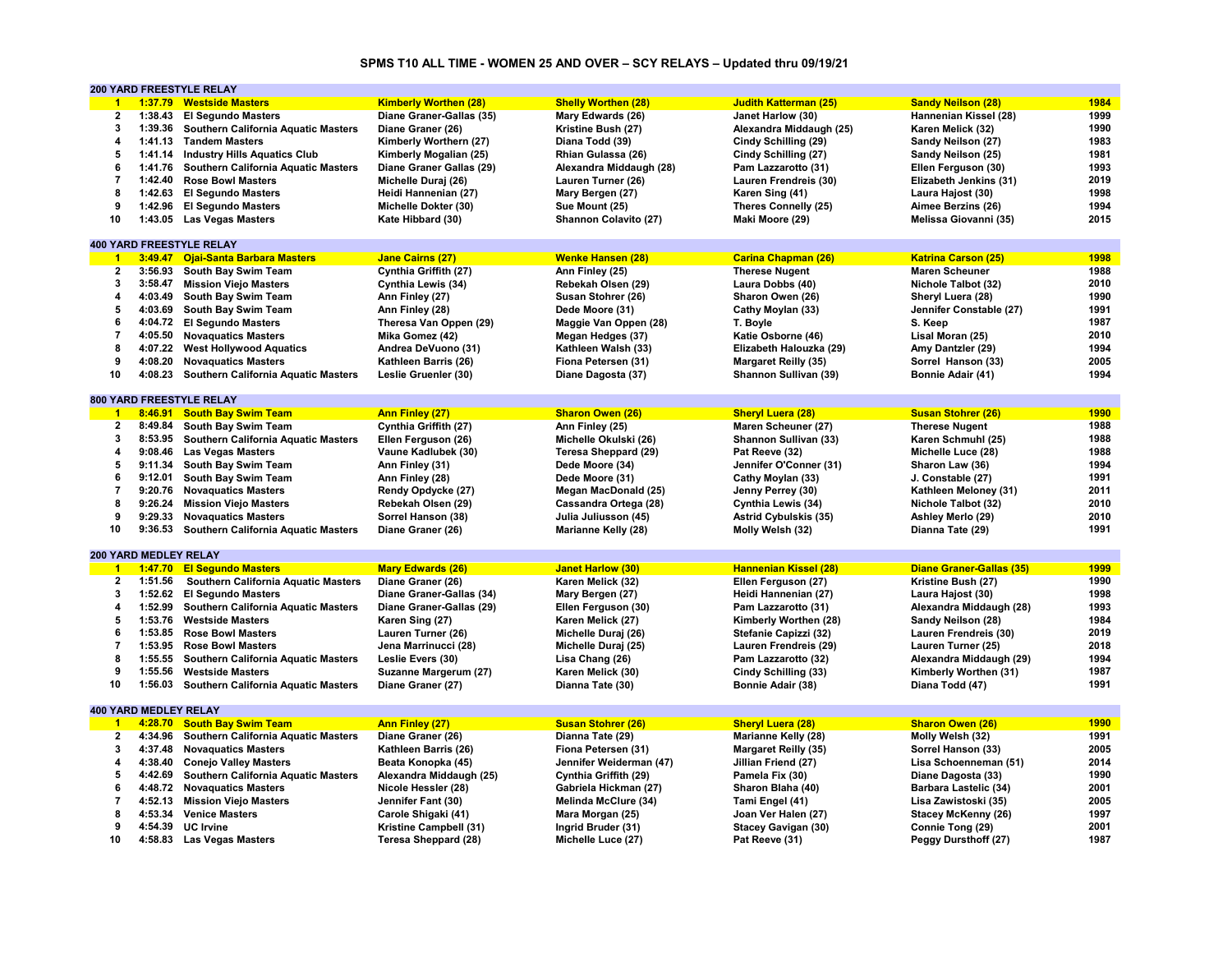# **SPMS T10 ALL TIME - WOMEN 25 AND OVER – SCY RELAYS – Updated thru 09/19/21**

|                      |                              | 200 YARD FREESTYLE RELAY                    |                              |                             |                              |                                 |      |
|----------------------|------------------------------|---------------------------------------------|------------------------------|-----------------------------|------------------------------|---------------------------------|------|
| $\blacktriangleleft$ | 1:37.79                      | <b>Westside Masters</b>                     | <b>Kimberly Worthen (28)</b> | <b>Shelly Worthen (28)</b>  | <b>Judith Katterman (25)</b> | <b>Sandy Neilson (28)</b>       | 1984 |
| $\bf 2$              | 1:38.43                      | <b>El Segundo Masters</b>                   | Diane Graner-Gallas (35)     | Mary Edwards (26)           | Janet Harlow (30)            | Hannenian Kissel (28)           | 1999 |
| 3                    | 1:39.36                      | Southern California Aquatic Masters         | Diane Graner (26)            | Kristine Bush (27)          | Alexandra Middaugh (25)      | Karen Melick (32)               | 1990 |
| 4                    | 1:41.13                      | <b>Tandem Masters</b>                       | Kimberly Worthern (27)       | Diana Todd (39)             | Cindy Schilling (29)         | Sandy Neilson (27)              | 1983 |
| 5                    |                              | 1:41.14 Industry Hills Aquatics Club        | Kimberly Mogalian (25)       | Rhian Gulassa (26)          | Cindy Schilling (27)         | Sandy Neilson (25)              | 1981 |
| 6                    | 1:41.76                      | <b>Southern California Aquatic Masters</b>  | Diane Graner Gallas (29)     | Alexandra Middaugh (28)     | Pam Lazzarotto (31)          | Ellen Ferguson (30)             | 1993 |
| $\overline{7}$       | 1:42.40                      | <b>Rose Bowl Masters</b>                    | Michelle Duraj (26)          | Lauren Turner (26)          | Lauren Frendreis (30)        | Elizabeth Jenkins (31)          | 2019 |
| 8                    | 1:42.63                      |                                             |                              |                             |                              |                                 | 1998 |
|                      |                              | <b>El Segundo Masters</b>                   | Heidi Hannenian (27)         | Mary Bergen (27)            | Karen Sing (41)              | Laura Hajost (30)               |      |
| 9                    | 1:42.96                      | <b>El Segundo Masters</b>                   | Michelle Dokter (30)         | Sue Mount (25)              | Theres Connelly (25)         | Aimee Berzins (26)              | 1994 |
| 10                   |                              | 1:43.05 Las Vegas Masters                   | Kate Hibbard (30)            | Shannon Colavito (27)       | Maki Moore (29)              | Melissa Giovanni (35)           | 2015 |
|                      |                              |                                             |                              |                             |                              |                                 |      |
|                      |                              | <b>400 YARD FREESTYLE RELAY</b>             |                              |                             |                              |                                 |      |
| $\overline{1}$       | 3:49.47                      | <b>Ojai-Santa Barbara Masters</b>           | <b>Jane Cairns (27)</b>      | <b>Wenke Hansen (28)</b>    | <b>Carina Chapman (26)</b>   | <b>Katrina Carson (25)</b>      | 1998 |
| $\mathbf{2}$         | 3:56.93                      | South Bay Swim Team                         | Cynthia Griffith (27)        | Ann Finley (25)             | <b>Therese Nugent</b>        | <b>Maren Scheuner</b>           | 1988 |
| 3                    | 3:58.47                      | <b>Mission Viejo Masters</b>                | Cynthia Lewis (34)           | Rebekah Olsen (29)          | Laura Dobbs (40)             | Nichole Talbot (32)             | 2010 |
| 4                    | 4:03.49                      | South Bay Swim Team                         | Ann Finley (27)              | Susan Stohrer (26)          | Sharon Owen (26)             | Sheryl Luera (28)               | 1990 |
| 5                    | 4:03.69                      | South Bay Swim Team                         | Ann Finley (28)              | Dede Moore (31)             | Cathy Moylan (33)            | Jennifer Constable (27)         | 1991 |
| 6                    |                              | 4:04.72 El Segundo Masters                  | Theresa Van Oppen (29)       | Maggie Van Oppen (28)       | T. Boyle                     | S. Keep                         | 1987 |
| $\overline{7}$       | 4:05.50                      | <b>Novaquatics Masters</b>                  | Mika Gomez (42)              | Megan Hedges (37)           | Katie Osborne (46)           | Lisal Moran (25)                | 2010 |
| 8                    | 4:07.22                      | <b>West Hollywood Aquatics</b>              | Andrea DeVuono (31)          | Kathleen Walsh (33)         | Elizabeth Halouzka (29)      | Amy Dantzler (29)               | 1994 |
| 9                    | 4:08.20                      | <b>Novaquatics Masters</b>                  | Kathleen Barris (26)         | Fiona Petersen (31)         | <b>Margaret Reilly (35)</b>  | Sorrel Hanson (33)              | 2005 |
| 10                   | 4:08.23                      | Southern California Aquatic Masters         | Leslie Gruenler (30)         | Diane Dagosta (37)          | Shannon Sullivan (39)        | Bonnie Adair (41)               | 1994 |
|                      |                              |                                             |                              |                             |                              |                                 |      |
|                      |                              | <b>800 YARD FREESTYLE RELAY</b>             |                              |                             |                              |                                 |      |
| $\blacktriangleleft$ | 8:46.91                      | <b>South Bay Swim Team</b>                  | <b>Ann Finley (27)</b>       | <b>Sharon Owen (26)</b>     | <b>Sheryl Luera (28)</b>     | <b>Susan Stohrer (26)</b>       | 1990 |
| $\mathbf{2}$         | 8:49.84                      | South Bay Swim Team                         | Cynthia Griffith (27)        | Ann Finley (25)             | Maren Scheuner (27)          | <b>Therese Nugent</b>           | 1988 |
| 3                    | 8:53.95                      | <b>Southern California Aquatic Masters</b>  |                              | Michelle Okulski (26)       | Shannon Sullivan (33)        | Karen Schmuhl (25)              | 1988 |
|                      |                              |                                             | Ellen Ferguson (26)          |                             |                              |                                 | 1988 |
| 4                    | 9:08.46                      | <b>Las Vegas Masters</b>                    | Vaune Kadlubek (30)          | <b>Teresa Sheppard (29)</b> | Pat Reeve (32)               | Michelle Luce (28)              |      |
| 5                    | 9:11.34                      | South Bay Swim Team                         | Ann Finley (31)              | Dede Moore (34)             | Jennifer O'Conner (31)       | Sharon Law (36)                 | 1994 |
| 6                    | 9:12.01                      | South Bay Swim Team                         | Ann Finley (28)              | Dede Moore (31)             | Cathy Moylan (33)            | J. Constable (27)               | 1991 |
| $\overline{7}$       | 9:20.76                      | <b>Novaquatics Masters</b>                  | Rendy Opdycke (27)           | <b>Megan MacDonald (25)</b> | Jenny Perrey (30)            | Kathleen Meloney (31)           | 2011 |
| 8                    | 9:26.24                      | <b>Mission Viejo Masters</b>                | Rebekah Olsen (29)           | Cassandra Ortega (28)       | Cynthia Lewis (34)           | Nichole Talbot (32)             | 2010 |
| 9                    | 9:29.33                      | <b>Novaquatics Masters</b>                  | Sorrel Hanson (38)           | Julia Juliusson (45)        | <b>Astrid Cybulskis (35)</b> | Ashley Merlo (29)               | 2010 |
| 10                   |                              | 9:36.53 Southern California Aquatic Masters | Diane Graner (26)            | Marianne Kelly (28)         | Molly Welsh (32)             | Dianna Tate (29)                | 1991 |
|                      |                              |                                             |                              |                             |                              |                                 |      |
|                      | <b>200 YARD MEDLEY RELAY</b> |                                             |                              |                             |                              |                                 |      |
| $\overline{1}$       | 1:47.70                      | <b>El Segundo Masters</b>                   | <b>Mary Edwards (26)</b>     | <b>Janet Harlow (30)</b>    | <b>Hannenian Kissel (28)</b> | <b>Diane Graner-Gallas (35)</b> | 1999 |
| $\overline{2}$       | 1:51.56                      | Southern California Aquatic Masters         | Diane Graner (26)            | Karen Melick (32)           | Ellen Ferguson (27)          | Kristine Bush (27)              | 1990 |
| 3                    | 1:52.62                      | <b>El Segundo Masters</b>                   | Diane Graner-Gallas (34)     | Mary Bergen (27)            | Heidi Hannenian (27)         | Laura Hajost (30)               | 1998 |
| 4                    | 1:52.99                      | Southern California Aquatic Masters         | Diane Graner-Gallas (29)     | Ellen Ferguson (30)         | Pam Lazzarotto (31)          | Alexandra Middaugh (28)         | 1993 |
| 5                    | 1:53.76                      | <b>Westside Masters</b>                     | Karen Sing (27)              | Karen Melick (27)           | Kimberly Worthen (28)        | Sandy Neilson (28)              | 1984 |
| 6                    | 1:53.85                      | <b>Rose Bowl Masters</b>                    | Lauren Turner (26)           | Michelle Duraj (26)         | Stefanie Capizzi (32)        | Lauren Frendreis (30)           | 2019 |
| $\overline{7}$       | 1:53.95                      | <b>Rose Bowl Masters</b>                    | Jena Marrinucci (28)         | Michelle Duraj (25)         | Lauren Frendreis (29)        | Lauren Turner (25)              | 2018 |
| 8                    | 1:55.55                      | Southern California Aquatic Masters         | Leslie Evers (30)            | Lisa Chang (26)             | Pam Lazzarotto (32)          | Alexandra Middaugh (29)         | 1994 |
| 9                    | 1:55.56                      | <b>Westside Masters</b>                     | Suzanne Margerum (27)        | Karen Melick (30)           | Cindy Schilling (33)         | Kimberly Worthen (31)           | 1987 |
| 10                   | 1:56.03                      |                                             |                              |                             |                              |                                 | 1991 |
|                      |                              | Southern California Aquatic Masters         | Diane Graner (27)            | Dianna Tate (30)            | Bonnie Adair (38)            | Diana Todd (47)                 |      |
|                      | <b>400 YARD MEDLEY RELAY</b> |                                             |                              |                             |                              |                                 |      |
| $\blacktriangleleft$ | 4:28.70                      | <b>South Bay Swim Team</b>                  |                              | <b>Susan Stohrer (26)</b>   | <b>Sheryl Luera (28)</b>     | <b>Sharon Owen (26)</b>         | 1990 |
| $\overline{2}$       | 4:34.96                      |                                             | <b>Ann Finley (27)</b>       |                             |                              |                                 | 1991 |
|                      |                              | Southern California Aquatic Masters         | Diane Graner (26)            | Dianna Tate (29)            | Marianne Kelly (28)          | Molly Welsh (32)                |      |
| 3                    | 4:37.48                      | <b>Novaguatics Masters</b>                  | Kathleen Barris (26)         | Fiona Petersen (31)         | <b>Margaret Reilly (35)</b>  | Sorrel Hanson (33)              | 2005 |
| 4                    | 4:38.40                      | <b>Conejo Valley Masters</b>                | Beata Konopka (45)           | Jennifer Weiderman (47)     | Jillian Friend (27)          | Lisa Schoenneman (51)           | 2014 |
| 5                    | 4:42.69                      | Southern California Aquatic Masters         | Alexandra Middaugh (25)      | Cynthia Griffith (29)       | Pamela Fix (30)              | Diane Dagosta (33)              | 1990 |
| 6                    | 4:48.72                      | <b>Novaquatics Masters</b>                  | Nicole Hessler (28)          | Gabriela Hickman (27)       | Sharon Blaha (40)            | Barbara Lastelic (34)           | 2001 |
| $\overline{7}$       | 4:52.13                      | <b>Mission Viejo Masters</b>                | Jennifer Fant (30)           | Melinda McClure (34)        | Tami Engel (41)              | Lisa Zawistoski (35)            | 2005 |
| 8                    | 4:53.34                      | <b>Venice Masters</b>                       | Carole Shigaki (41)          | Mara Morgan (25)            | Joan Ver Halen (27)          | <b>Stacey McKenny (26)</b>      | 1997 |
| 9                    |                              | 4:54.39 UC Irvine                           | Kristine Campbell (31)       | Ingrid Bruder (31)          | <b>Stacey Gavigan (30)</b>   | Connie Tong (29)                | 2001 |
| 10                   |                              | 4:58.83 Las Vegas Masters                   | <b>Teresa Sheppard (28)</b>  | Michelle Luce (27)          | Pat Reeve (31)               | Peggy Dursthoff (27)            | 1987 |
|                      |                              |                                             |                              |                             |                              |                                 |      |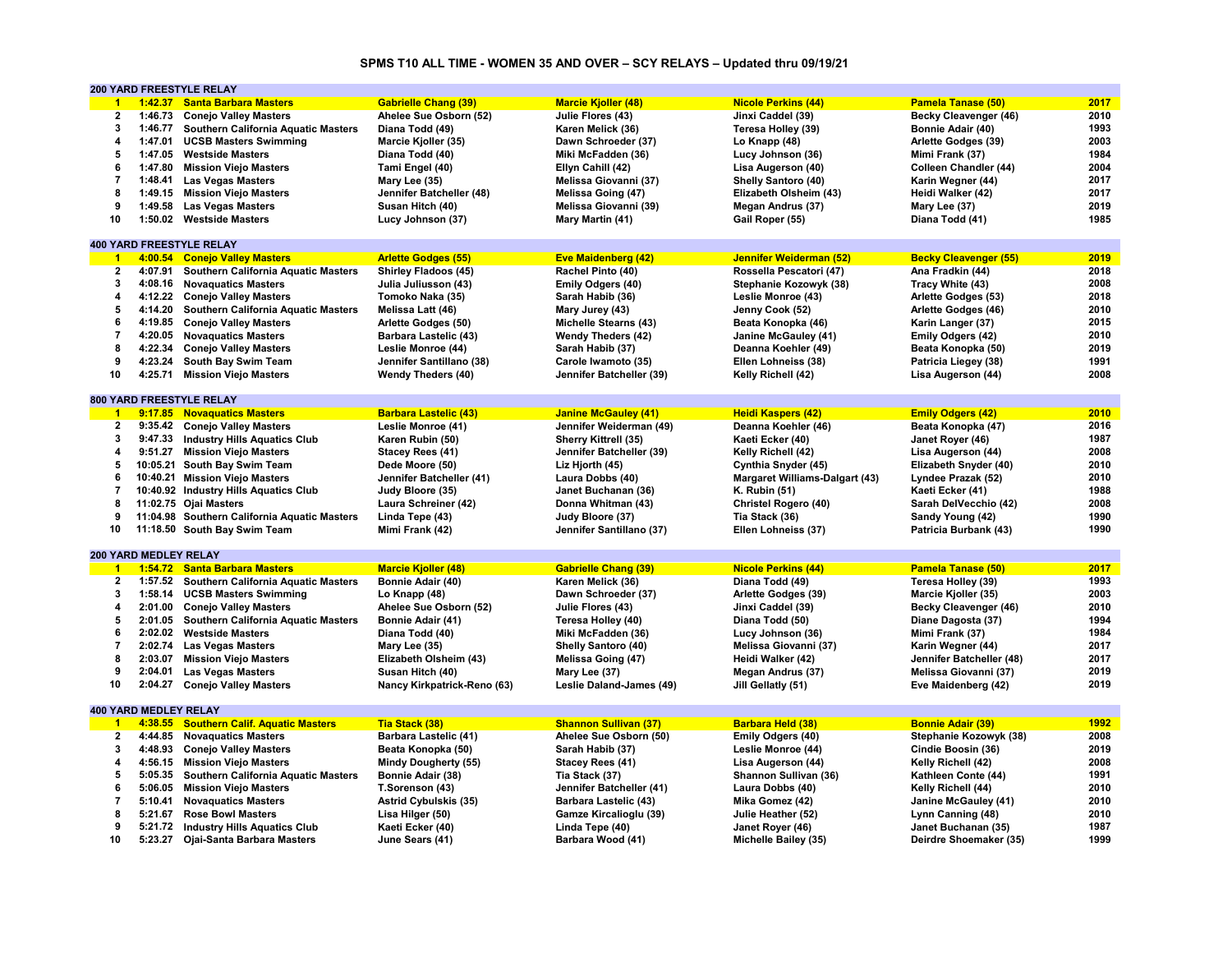# **SPMS T10 ALL TIME - WOMEN 35 AND OVER – SCY RELAYS – Updated thru 09/19/21**

|                         |                       | <b>200 YARD FREESTYLE RELAY</b>                                   |                                     |                                      |                                          |                                               |              |
|-------------------------|-----------------------|-------------------------------------------------------------------|-------------------------------------|--------------------------------------|------------------------------------------|-----------------------------------------------|--------------|
| $\blacktriangleleft$    | 1:42.37               | <b>Santa Barbara Masters</b>                                      | <b>Gabrielle Chang (39)</b>         | <b>Marcie Kjoller (48)</b>           | <b>Nicole Perkins (44)</b>               | <b>Pamela Tanase (50)</b>                     | 2017         |
| $\overline{\mathbf{2}}$ | 1:46.73               | <b>Conejo Valley Masters</b>                                      | Ahelee Sue Osborn (52)              | Julie Flores (43)                    | Jinxi Caddel (39)                        | Becky Cleavenger (46)                         | 2010         |
| $\mathbf{3}$            | 1:46.77               | Southern California Aquatic Masters                               | Diana Todd (49)                     | Karen Melick (36)                    | Teresa Holley (39)                       | Bonnie Adair (40)                             | 1993         |
| $\overline{\mathbf{4}}$ | 1:47.01               | <b>UCSB Masters Swimming</b>                                      | Marcie Kjoller (35)                 | Dawn Schroeder (37)                  | Lo Knapp (48)                            | Arlette Godges (39)                           | 2003         |
| 5                       |                       | 1:47.05 Westside Masters                                          | Diana Todd (40)                     | Miki McFadden (36)                   | Lucy Johnson (36)                        | Mimi Frank (37)                               | 1984         |
| 6                       | 1:47.80               | <b>Mission Viejo Masters</b>                                      | Tami Engel (40)                     | Ellyn Cahill (42)                    | Lisa Augerson (40)                       | Colleen Chandler (44)                         | 2004         |
| $\overline{7}$          | 1:48.41               |                                                                   |                                     |                                      |                                          |                                               | 2017         |
|                         |                       | <b>Las Vegas Masters</b>                                          | Mary Lee (35)                       | Melissa Giovanni (37)                | Shelly Santoro (40)                      | Karin Wegner (44)                             |              |
| 8                       | 1:49.15               | <b>Mission Viejo Masters</b>                                      | Jennifer Batcheller (48)            | Melissa Going (47)                   | Elizabeth Olsheim (43)                   | Heidi Walker (42)                             | 2017         |
| 9                       | 1:49.58               | <b>Las Vegas Masters</b>                                          | Susan Hitch (40)                    | Melissa Giovanni (39)                | Megan Andrus (37)                        | Mary Lee (37)                                 | 2019         |
| 10                      |                       | 1:50.02 Westside Masters                                          | Lucy Johnson (37)                   | Mary Martin (41)                     | Gail Roper (55)                          | Diana Todd (41)                               | 1985         |
|                         |                       |                                                                   |                                     |                                      |                                          |                                               |              |
|                         |                       | <b>400 YARD FREESTYLE RELAY</b>                                   |                                     |                                      |                                          |                                               |              |
| $\blacktriangleleft$    |                       | 4:00.54 Conejo Valley Masters                                     | <b>Arlette Godges (55)</b>          | <b>Eve Maidenberg (42)</b>           | Jennifer Weiderman (52)                  | <b>Becky Cleavenger (55)</b>                  | 2019         |
| $\overline{2}$          | 4:07.91               | <b>Southern California Aquatic Masters</b>                        | <b>Shirley Fladoos (45)</b>         | Rachel Pinto (40)                    | Rossella Pescatori (47)                  | Ana Fradkin (44)                              | 2018         |
| 3                       | 4:08.16               | <b>Novaguatics Masters</b>                                        | Julia Juliusson (43)                | Emily Odgers (40)                    | Stephanie Kozowyk (38)                   | Tracy White (43)                              | 2008         |
| $\overline{4}$          |                       | 4:12.22 Conejo Valley Masters                                     | Tomoko Naka (35)                    | Sarah Habib (36)                     | Leslie Monroe (43)                       | Arlette Godges (53)                           | 2018         |
| 5                       | 4:14.20               | Southern California Aquatic Masters                               | Melissa Latt (46)                   | Mary Jurey (43)                      | Jenny Cook (52)                          | Arlette Godges (46)                           | 2010         |
| 6                       | 4:19.85               | <b>Conejo Valley Masters</b>                                      | Arlette Godges (50)                 | <b>Michelle Stearns (43)</b>         | Beata Konopka (46)                       | Karin Langer (37)                             | 2015         |
| $\overline{7}$          |                       |                                                                   |                                     |                                      |                                          |                                               | 2010         |
|                         |                       | 4:20.05 Novaquatics Masters                                       | Barbara Lastelic (43)               | <b>Wendy Theders (42)</b>            | Janine McGauley (41)                     | Emily Odgers (42)                             |              |
| 8                       | 4:22.34               | <b>Conejo Valley Masters</b>                                      | Leslie Monroe (44)                  | Sarah Habib (37)                     | Deanna Koehler (49)                      | Beata Konopka (50)                            | 2019         |
| 9                       | 4:23.24               | South Bay Swim Team                                               | Jennifer Santillano (38)            | Carole Iwamoto (35)                  | Ellen Lohneiss (38)                      | Patricia Liegey (38)                          | 1991         |
| 10                      | 4:25.71               | <b>Mission Viejo Masters</b>                                      | <b>Wendy Theders (40)</b>           | Jennifer Batcheller (39)             | Kelly Richell (42)                       | Lisa Augerson (44)                            | 2008         |
|                         |                       |                                                                   |                                     |                                      |                                          |                                               |              |
|                         |                       | <b>800 YARD FREESTYLE RELAY</b>                                   |                                     |                                      |                                          |                                               |              |
| $-1$                    |                       | 9:17.85 Novaguatics Masters                                       | <b>Barbara Lastelic (43)</b>        | <b>Janine McGauley (41)</b>          | <b>Heidi Kaspers (42)</b>                | <b>Emily Odgers (42)</b>                      | 2010         |
| $\overline{2}$          |                       | 9:35.42 Conejo Valley Masters                                     | Leslie Monroe (41)                  | Jennifer Weiderman (49)              | Deanna Koehler (46)                      | Beata Konopka (47)                            | 2016         |
| 3                       | 9:47.33               | <b>Industry Hills Aquatics Club</b>                               | Karen Rubin (50)                    | Sherry Kittrell (35)                 | Kaeti Ecker (40)                         | Janet Royer (46)                              | 1987         |
| 4                       | 9:51.27               | <b>Mission Viejo Masters</b>                                      | Stacey Rees (41)                    | Jennifer Batcheller (39)             | Kelly Richell (42)                       | Lisa Augerson (44)                            | 2008         |
| 5                       |                       | 10:05.21 South Bay Swim Team                                      | Dede Moore (50)                     | Liz Hjorth (45)                      | Cynthia Snyder (45)                      | Elizabeth Snyder (40)                         | 2010         |
| 6                       |                       | 10:40.21 Mission Viejo Masters                                    |                                     |                                      |                                          |                                               | 2010         |
|                         |                       |                                                                   | Jennifer Batcheller (41)            | Laura Dobbs (40)                     | <b>Margaret Williams-Dalgart (43)</b>    | Lyndee Prazak (52)                            |              |
| $\overline{7}$          |                       | 10:40.92 Industry Hills Aquatics Club                             | Judy Bloore (35)                    | Janet Buchanan (36)                  | <b>K. Rubin (51)</b>                     | Kaeti Ecker (41)                              | 1988         |
| 8                       |                       | 11:02.75 Oiai Masters                                             | Laura Schreiner (42)                | Donna Whitman (43)                   | Christel Rogero (40)                     | Sarah DelVecchio (42)                         | 2008         |
| 9                       |                       | 11:04.98 Southern California Aquatic Masters                      | Linda Tepe (43)                     | Judy Bloore (37)                     | Tia Stack (36)                           | Sandy Young (42)                              | 1990         |
| 10                      |                       | 11:18.50 South Bay Swim Team                                      | Mimi Frank (42)                     | Jennifer Santillano (37)             | Ellen Lohneiss (37)                      | Patricia Burbank (43)                         | 1990         |
|                         |                       |                                                                   |                                     |                                      |                                          |                                               |              |
|                         | 200 YARD MEDLEY RELAY |                                                                   |                                     |                                      |                                          |                                               |              |
| $\blacksquare$          | 1:54.72               | <b>Santa Barbara Masters</b>                                      | <b>Marcie Kjoller (48)</b>          | <b>Gabrielle Chang (39)</b>          | <b>Nicole Perkins (44)</b>               | <b>Pamela Tanase (50)</b>                     | 2017         |
| $\mathbf{2}$            | 1:57.52               | Southern California Aquatic Masters                               | Bonnie Adair (40)                   | Karen Melick (36)                    | Diana Todd (49)                          | Teresa Holley (39)                            | 1993         |
| $\mathbf{3}$            | 1:58.14               | <b>UCSB Masters Swimming</b>                                      | Lo Knapp (48)                       | Dawn Schroeder (37)                  | Arlette Godges (39)                      | Marcie Kjoller (35)                           | 2003         |
| 4                       | 2:01.00               | <b>Conejo Valley Masters</b>                                      | Ahelee Sue Osborn (52)              | Julie Flores (43)                    | Jinxi Caddel (39)                        | Becky Cleavenger (46)                         | 2010         |
| 5                       | 2:01.05               | <b>Southern California Aquatic Masters</b>                        | Bonnie Adair (41)                   | Teresa Holley (40)                   | Diana Todd (50)                          | Diane Dagosta (37)                            | 1994         |
| 6                       |                       | 2:02.02 Westside Masters                                          | Diana Todd (40)                     | Miki McFadden (36)                   | Lucy Johnson (36)                        | Mimi Frank (37)                               | 1984         |
| $\overline{7}$          |                       |                                                                   |                                     |                                      |                                          |                                               |              |
|                         | 2:02.74               | <b>Las Vegas Masters</b>                                          | Mary Lee (35)                       | Shelly Santoro (40)                  | Melissa Giovanni (37)                    | Karin Wegner (44)                             | 2017         |
| 8                       | 2:03.07               | <b>Mission Viejo Masters</b>                                      | Elizabeth Olsheim (43)              | Melissa Going (47)                   | Heidi Walker (42)                        | Jennifer Batcheller (48)                      | 2017         |
| 9                       | 2:04.01               | <b>Las Vegas Masters</b>                                          | Susan Hitch (40)                    | Mary Lee (37)                        | Megan Andrus (37)                        | Melissa Giovanni (37)                         | 2019         |
| 10                      | 2:04.27               | <b>Conejo Valley Masters</b>                                      | Nancy Kirkpatrick-Reno (63)         | Leslie Daland-James (49)             | Jill Gellatly (51)                       | Eve Maidenberg (42)                           | 2019         |
|                         |                       |                                                                   |                                     |                                      |                                          |                                               |              |
|                         | 400 YARD MEDLEY RELAY |                                                                   |                                     |                                      |                                          |                                               |              |
| $\overline{1}$          | 4:38.55               | <b>Southern Calif. Aquatic Masters</b>                            | Tia Stack (38)                      | <b>Shannon Sullivan (37)</b>         | <b>Barbara Held (38)</b>                 | <b>Bonnie Adair (39)</b>                      | 1992         |
| $\overline{2}$          | 4:44.85               | <b>Novaquatics Masters</b>                                        | Barbara Lastelic (41)               | Ahelee Sue Osborn (50)               | Emily Odgers (40)                        | Stephanie Kozowyk (38)                        | 2008         |
| 3                       | 4:48.93               | <b>Conejo Valley Masters</b>                                      | Beata Konopka (50)                  | Sarah Habib (37)                     | Leslie Monroe (44)                       | Cindie Boosin (36)                            | 2019         |
| 4                       | 4:56.15               | <b>Mission Viejo Masters</b>                                      | Mindy Dougherty (55)                | Stacey Rees (41)                     | Lisa Augerson (44)                       | Kelly Richell (42)                            | 2008         |
| 5                       | 5:05.35               | Southern California Aquatic Masters                               | Bonnie Adair (38)                   | Tia Stack (37)                       | Shannon Sullivan (36)                    | Kathleen Conte (44)                           | 1991         |
| 6                       | 5:06.05               |                                                                   |                                     |                                      |                                          |                                               | 2010         |
|                         |                       | <b>Mission Viejo Masters</b>                                      | T.Sorenson (43)                     | Jennifer Batcheller (41)             | Laura Dobbs (40)                         | Kelly Richell (44)                            |              |
| $\overline{7}$          | 5:10.41               | <b>Novaquatics Masters</b>                                        | <b>Astrid Cybulskis (35)</b>        | Barbara Lastelic (43)                | Mika Gomez (42)                          | Janine McGauley (41)                          | 2010         |
| 8                       |                       |                                                                   |                                     |                                      | Julie Heather (52)                       |                                               | 2010         |
|                         | 5:21.67               | <b>Rose Bowl Masters</b>                                          | Lisa Hilger (50)                    | Gamze Kircalioglu (39)               |                                          | Lynn Canning (48)                             |              |
| 9<br>10                 | 5:21.72<br>5:23.27    | <b>Industry Hills Aquatics Club</b><br>Ojai-Santa Barbara Masters | Kaeti Ecker (40)<br>June Sears (41) | Linda Tepe (40)<br>Barbara Wood (41) | Janet Royer (46)<br>Michelle Bailey (35) | Janet Buchanan (35)<br>Deirdre Shoemaker (35) | 1987<br>1999 |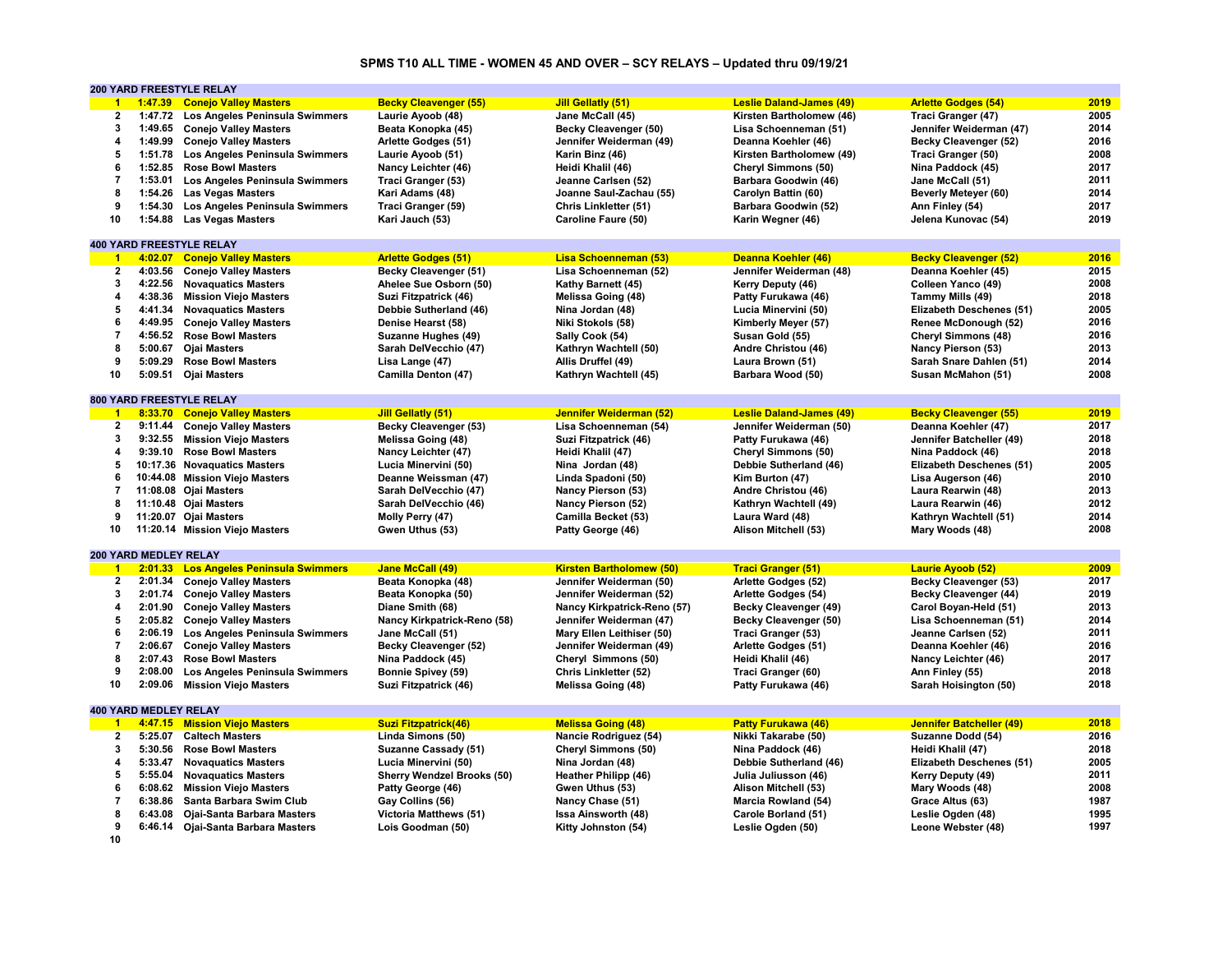# **SPMS T10 ALL TIME - WOMEN 45 AND OVER – SCY RELAYS – Updated thru 09/19/21**

|                         |                              | 200 YARD FREESTYLE RELAY               |                                   |                                 |                                 |                                 |      |
|-------------------------|------------------------------|----------------------------------------|-----------------------------------|---------------------------------|---------------------------------|---------------------------------|------|
| $\blacktriangleleft$    | 1:47.39                      | <b>Conejo Valley Masters</b>           | <b>Becky Cleavenger (55)</b>      | <b>Jill Gellatly (51)</b>       | <b>Leslie Daland-James (49)</b> | <b>Arlette Godges (54)</b>      | 2019 |
| $\mathbf{2}$            | 1:47.72                      | Los Angeles Peninsula Swimmers         | Laurie Ayoob (48)                 | Jane McCall (45)                | Kirsten Bartholomew (46)        | Traci Granger (47)              | 2005 |
| $\overline{\mathbf{3}}$ | 1:49.65                      | <b>Conejo Valley Masters</b>           | Beata Konopka (45)                | Becky Cleavenger (50)           | Lisa Schoenneman (51)           | Jennifer Weiderman (47)         | 2014 |
| $\overline{a}$          | 1:49.99                      | <b>Conejo Valley Masters</b>           | Arlette Godges (51)               | Jennifer Weiderman (49)         | Deanna Koehler (46)             | Becky Cleavenger (52)           | 2016 |
| 5                       | 1:51.78                      | Los Angeles Peninsula Swimmers         | Laurie Ayoob (51)                 | Karin Binz (46)                 | Kirsten Bartholomew (49)        | Traci Granger (50)              | 2008 |
| 6                       | 1:52.85                      | <b>Rose Bowl Masters</b>               | Nancy Leichter (46)               | Heidi Khalil (46)               | Cheryl Simmons (50)             | Nina Paddock (45)               | 2017 |
| $\overline{7}$          | 1:53.01                      | Los Angeles Peninsula Swimmers         | Traci Granger (53)                | Jeanne Carlsen (52)             | Barbara Goodwin (46)            | Jane McCall (51)                | 2011 |
| 8                       | 1:54.26                      | <b>Las Vegas Masters</b>               | Kari Adams (48)                   | Joanne Saul-Zachau (55)         | Carolyn Battin (60)             | Beverly Meteyer (60)            | 2014 |
| 9                       | 1:54.30                      | Los Angeles Peninsula Swimmers         | Traci Granger (59)                | Chris Linkletter (51)           | Barbara Goodwin (52)            | Ann Finley (54)                 | 2017 |
| 10                      | 1:54.88                      | <b>Las Vegas Masters</b>               | Kari Jauch (53)                   | Caroline Faure (50)             | Karin Wegner (46)               | Jelena Kunovac (54)             | 2019 |
|                         |                              |                                        |                                   |                                 |                                 |                                 |      |
|                         |                              | <b>400 YARD FREESTYLE RELAY</b>        |                                   |                                 |                                 |                                 |      |
| $\blacktriangleleft$    | 4:02.07                      | <b>Conejo Valley Masters</b>           | <b>Arlette Godges (51)</b>        | Lisa Schoenneman (53)           | Deanna Koehler (46)             | <b>Becky Cleavenger (52)</b>    | 2016 |
| $\mathbf{2}$            | 4:03.56                      | <b>Conejo Valley Masters</b>           | Becky Cleavenger (51)             | Lisa Schoenneman (52)           | Jennifer Weiderman (48)         | Deanna Koehler (45)             | 2015 |
| 3                       | 4:22.56                      | <b>Novaquatics Masters</b>             | Ahelee Sue Osborn (50)            | Kathy Barnett (45)              | Kerry Deputy (46)               | Colleen Yanco (49)              | 2008 |
| $\overline{\mathbf{4}}$ | 4:38.36                      | <b>Mission Viejo Masters</b>           | Suzi Fitzpatrick (46)             | <b>Melissa Going (48)</b>       | Patty Furukawa (46)             | Tammy Mills (49)                | 2018 |
| 5                       | 4:41.34                      | <b>Novaquatics Masters</b>             | Debbie Sutherland (46)            | Nina Jordan (48)                |                                 | Elizabeth Deschenes (51)        | 2005 |
| 6                       |                              |                                        |                                   |                                 | Lucia Minervini (50)            |                                 |      |
|                         | 4:49.95                      | <b>Conejo Valley Masters</b>           | Denise Hearst (58)                | Niki Stokols (58)               | Kimberly Meyer (57)             | Renee McDonough (52)            | 2016 |
| $\overline{7}$          | 4:56.52                      | <b>Rose Bowl Masters</b>               | Suzanne Hughes (49)               | Sally Cook (54)                 | Susan Gold (55)                 | <b>Cheryl Simmons (48)</b>      | 2016 |
| 8                       | 5:00.67                      | <b>Ojai Masters</b>                    | Sarah DelVecchio (47)             | Kathryn Wachtell (50)           | Andre Christou (46)             | Nancy Pierson (53)              | 2013 |
| 9                       | 5:09.29                      | <b>Rose Bowl Masters</b>               | Lisa Lange (47)                   | Allis Druffel (49)              | Laura Brown (51)                | Sarah Snare Dahlen (51)         | 2014 |
| 10                      | 5:09.51                      | <b>Ojai Masters</b>                    | Camilla Denton (47)               | Kathryn Wachtell (45)           | Barbara Wood (50)               | Susan McMahon (51)              | 2008 |
|                         |                              |                                        |                                   |                                 |                                 |                                 |      |
|                         |                              | 800 YARD FREESTYLE RELAY               |                                   |                                 |                                 |                                 |      |
| $\blacktriangleleft$    |                              | 8:33.70 Conejo Valley Masters          | <b>Jill Gellatly (51)</b>         | Jennifer Weiderman (52)         | <b>Leslie Daland-James (49)</b> | <b>Becky Cleavenger (55)</b>    | 2019 |
| $\mathbf{2}$            | 9:11.44                      | <b>Conejo Valley Masters</b>           | Becky Cleavenger (53)             | Lisa Schoenneman (54)           | Jennifer Weiderman (50)         | Deanna Koehler (47)             | 2017 |
| 3                       | 9:32.55                      | <b>Mission Viejo Masters</b>           | Melissa Going (48)                | Suzi Fitzpatrick (46)           | Patty Furukawa (46)             | Jennifer Batcheller (49)        | 2018 |
| $\overline{a}$          | 9:39.10                      | <b>Rose Bowl Masters</b>               | Nancy Leichter (47)               | Heidi Khalil (47)               | Cheryl Simmons (50)             | Nina Paddock (46)               | 2018 |
| 5                       |                              | 10:17.36 Novaguatics Masters           | Lucia Minervini (50)              | Nina Jordan (48)                | Debbie Sutherland (46)          | Elizabeth Deschenes (51)        | 2005 |
| 6                       |                              | 10:44.08 Mission Viejo Masters         | Deanne Weissman (47)              | Linda Spadoni (50)              | Kim Burton (47)                 | Lisa Augerson (46)              | 2010 |
| $\overline{7}$          |                              | 11:08.08 Ojai Masters                  | Sarah DelVecchio (47)             | Nancy Pierson (53)              | Andre Christou (46)             | Laura Rearwin (48)              | 2013 |
| 8                       |                              | 11:10.48 Ojai Masters                  | Sarah DelVecchio (46)             | Nancy Pierson (52)              | Kathryn Wachtell (49)           | Laura Rearwin (46)              | 2012 |
| 9                       |                              | 11:20.07 Ojai Masters                  | Molly Perry (47)                  | Camilla Becket (53)             | Laura Ward (48)                 | Kathryn Wachtell (51)           | 2014 |
| 10                      |                              | 11:20.14 Mission Viejo Masters         | Gwen Uthus (53)                   | Patty George (46)               | Alison Mitchell (53)            | Mary Woods (48)                 | 2008 |
|                         |                              |                                        |                                   |                                 |                                 |                                 |      |
|                         | <b>200 YARD MEDLEY RELAY</b> |                                        |                                   |                                 |                                 |                                 |      |
| $\overline{1}$          | 2:01.33                      | <b>Los Angeles Peninsula Swimmers</b>  | <b>Jane McCall (49)</b>           | <b>Kirsten Bartholomew (50)</b> | <b>Traci Granger (51)</b>       | <b>Laurie Ayoob (52)</b>        | 2009 |
| $\mathbf{2}$            | 2:01.34                      | <b>Conejo Valley Masters</b>           | Beata Konopka (48)                | Jennifer Weiderman (50)         | Arlette Godges (52)             | Becky Cleavenger (53)           | 2017 |
| 3                       | 2:01.74                      | <b>Conejo Valley Masters</b>           | Beata Konopka (50)                | Jennifer Weiderman (52)         | Arlette Godges (54)             | <b>Becky Cleavenger (44)</b>    | 2019 |
| $\overline{\mathbf{4}}$ | 2:01.90                      | <b>Conejo Valley Masters</b>           | Diane Smith (68)                  | Nancy Kirkpatrick-Reno (57)     | <b>Becky Cleavenger (49)</b>    | Carol Boyan-Held (51)           | 2013 |
| 5                       | 2:05.82                      | <b>Conejo Valley Masters</b>           | Nancy Kirkpatrick-Reno (58)       | Jennifer Weiderman (47)         | Becky Cleavenger (50)           | Lisa Schoenneman (51)           | 2014 |
| 6                       |                              | 2:06.19 Los Angeles Peninsula Swimmers | Jane McCall (51)                  | Mary Ellen Leithiser (50)       | Traci Granger (53)              | Jeanne Carlsen (52)             | 2011 |
| $\overline{7}$          | 2:06.67                      | <b>Conejo Valley Masters</b>           | Becky Cleavenger (52)             | Jennifer Weiderman (49)         | Arlette Godges (51)             | Deanna Koehler (46)             | 2016 |
| 8                       | 2:07.43                      | <b>Rose Bowl Masters</b>               | Nina Paddock (45)                 | Cheryl Simmons (50)             | Heidi Khalil (46)               | Nancy Leichter (46)             | 2017 |
| 9                       | 2:08.00                      | Los Angeles Peninsula Swimmers         | <b>Bonnie Spivey (59)</b>         | <b>Chris Linkletter (52)</b>    | Traci Granger (60)              | Ann Finley (55)                 | 2018 |
| 10                      | 2:09.06                      | <b>Mission Viejo Masters</b>           | Suzi Fitzpatrick (46)             | Melissa Going (48)              | Patty Furukawa (46)             | Sarah Hoisington (50)           | 2018 |
|                         |                              |                                        |                                   |                                 |                                 |                                 |      |
|                         | <b>400 YARD MEDLEY RELAY</b> |                                        |                                   |                                 |                                 |                                 |      |
| $\blacktriangleleft$    |                              | 4:47.15 Mission Viejo Masters          | <b>Suzi Fitzpatrick(46)</b>       | <b>Melissa Going (48)</b>       | <b>Patty Furukawa (46)</b>      | <b>Jennifer Batcheller (49)</b> | 2018 |
| $\overline{2}$          | 5:25.07                      | <b>Caltech Masters</b>                 | Linda Simons (50)                 | Nancie Rodriguez (54)           | Nikki Takarabe (50)             | Suzanne Dodd (54)               | 2016 |
| 3                       | 5:30.56                      | <b>Rose Bowl Masters</b>               | Suzanne Cassady (51)              | <b>Cheryl Simmons (50)</b>      | Nina Paddock (46)               | Heidi Khalil (47)               | 2018 |
| $\overline{4}$          | 5:33.47                      | <b>Novaguatics Masters</b>             | Lucia Minervini (50)              | Nina Jordan (48)                | Debbie Sutherland (46)          | Elizabeth Deschenes (51)        | 2005 |
| 5                       | 5:55.04                      | <b>Novaquatics Masters</b>             | <b>Sherry Wendzel Brooks (50)</b> | Heather Philipp (46)            | Julia Juliusson (46)            | Kerry Deputy (49)               | 2011 |
| 6                       | 6:08.62                      | <b>Mission Viejo Masters</b>           | Patty George (46)                 | Gwen Uthus (53)                 | Alison Mitchell (53)            | Mary Woods (48)                 | 2008 |
| $\overline{7}$          | 6:38.86                      | Santa Barbara Swim Club                | Gay Collins (56)                  | Nancy Chase (51)                | Marcia Rowland (54)             | Grace Altus (63)                | 1987 |
| 8                       | 6:43.08                      | Ojai-Santa Barbara Masters             | <b>Victoria Matthews (51)</b>     | Issa Ainsworth (48)             | Carole Borland (51)             | Leslie Ogden (48)               | 1995 |
| 9                       | 6:46.14                      | Ojai-Santa Barbara Masters             | Lois Goodman (50)                 | Kitty Johnston (54)             | Leslie Ogden (50)               | Leone Webster (48)              | 1997 |
|                         |                              |                                        |                                   |                                 |                                 |                                 |      |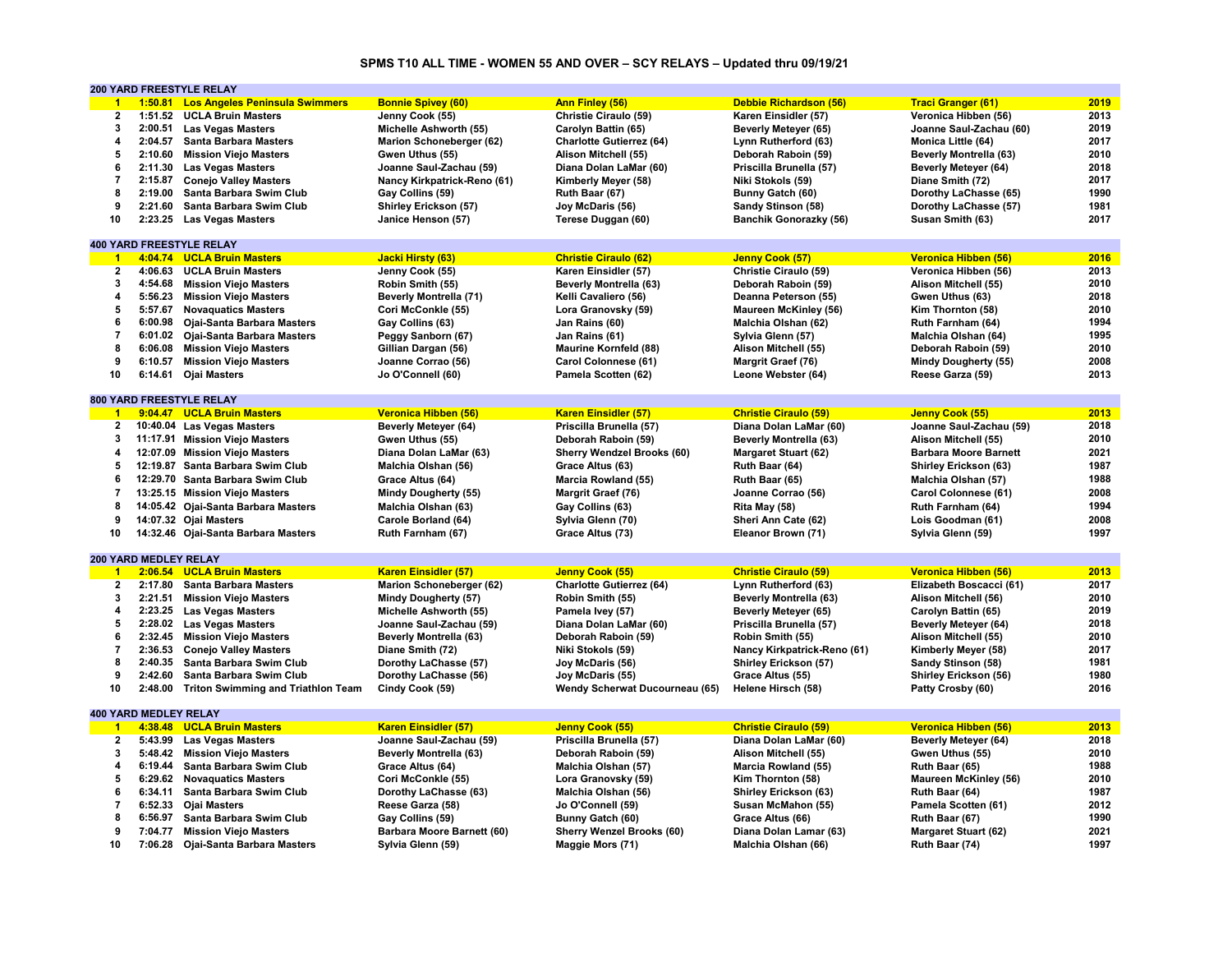#### **SPMS T10 ALL TIME - WOMEN 55 AND OVER – SCY RELAYS – Updated thru 09/19/21**

|                      |                              | <b>200 YARD FREESTYLE RELAY</b>            |                                 |                                   |                               |                               |      |
|----------------------|------------------------------|--------------------------------------------|---------------------------------|-----------------------------------|-------------------------------|-------------------------------|------|
| $\overline{1}$       |                              | 1:50.81 Los Angeles Peninsula Swimmers     | <b>Bonnie Spivey (60)</b>       | <b>Ann Finley (56)</b>            | Debbie Richardson (56)        | <b>Traci Granger (61)</b>     | 2019 |
| $\mathbf{2}$         |                              | 1:51.52 UCLA Bruin Masters                 | Jenny Cook (55)                 | Christie Ciraulo (59)             | Karen Einsidler (57)          | Veronica Hibben (56)          | 2013 |
| 3                    |                              | 2:00.51 Las Vegas Masters                  | Michelle Ashworth (55)          | Carolyn Battin (65)               | Beverly Meteyer (65)          | Joanne Saul-Zachau (60)       | 2019 |
| 4                    |                              | 2:04.57 Santa Barbara Masters              | Marion Schoneberger (62)        | <b>Charlotte Gutierrez (64)</b>   | Lynn Rutherford (63)          | Monica Little (64)            | 2017 |
| 5                    |                              | 2:10.60 Mission Viejo Masters              | Gwen Uthus (55)                 | Alison Mitchell (55)              | Deborah Raboin (59)           | <b>Beverly Montrella (63)</b> | 2010 |
| 6                    |                              | 2:11.30 Las Vegas Masters                  | Joanne Saul-Zachau (59)         | Diana Dolan LaMar (60)            | Priscilla Brunella (57)       | <b>Beverly Metever (64)</b>   | 2018 |
| $\overline{7}$       |                              | 2:15.87 Conejo Valley Masters              | Nancy Kirkpatrick-Reno (61)     | Kimberly Meyer (58)               | Niki Stokols (59)             | Diane Smith (72)              | 2017 |
| 8                    |                              | 2:19.00 Santa Barbara Swim Club            |                                 | Ruth Baar (67)                    |                               |                               | 1990 |
| 9                    |                              |                                            | Gay Collins (59)                |                                   | Bunny Gatch (60)              | Dorothy LaChasse (65)         | 1981 |
|                      | 2:21.60                      | Santa Barbara Swim Club                    | <b>Shirley Erickson (57)</b>    | Joy McDaris (56)                  | Sandy Stinson (58)            | Dorothy LaChasse (57)         |      |
| 10                   |                              | 2:23.25 Las Vegas Masters                  | Janice Henson (57)              | Terese Duggan (60)                | <b>Banchik Gonorazky (56)</b> | Susan Smith (63)              | 2017 |
|                      |                              |                                            |                                 |                                   |                               |                               |      |
|                      |                              | <b>400 YARD FREESTYLE RELAY</b>            |                                 |                                   |                               |                               |      |
| $\overline{1}$       |                              | 4:04.74 UCLA Bruin Masters                 | <b>Jacki Hirsty (63)</b>        | <b>Christie Ciraulo (62)</b>      | Jenny Cook (57)               | Veronica Hibben (56)          | 2016 |
| $\overline{2}$       |                              | 4:06.63 UCLA Bruin Masters                 | Jenny Cook (55)                 | Karen Einsidler (57)              | Christie Ciraulo (59)         | Veronica Hibben (56)          | 2013 |
| 3                    |                              | 4:54.68 Mission Viejo Masters              | Robin Smith (55)                | <b>Beverly Montrella (63)</b>     | Deborah Raboin (59)           | Alison Mitchell (55)          | 2010 |
| 4                    |                              | 5:56.23 Mission Viejo Masters              | <b>Beverly Montrella (71)</b>   | Kelli Cavaliero (56)              | Deanna Peterson (55)          | Gwen Uthus (63)               | 2018 |
| 5                    |                              | 5:57.67 Novaquatics Masters                | Cori McConkle (55)              | Lora Granovsky (59)               | <b>Maureen McKinley (56)</b>  | Kim Thornton (58)             | 2010 |
| 6                    |                              | 6:00.98 Ojai-Santa Barbara Masters         | Gay Collins (63)                | Jan Rains (60)                    | Malchia Olshan (62)           | Ruth Farnham (64)             | 1994 |
| $\overline{7}$       |                              | 6:01.02 Ojai-Santa Barbara Masters         | Peggy Sanborn (67)              | Jan Rains (61)                    | Sylvia Glenn (57)             | Malchia Olshan (64)           | 1995 |
| 8                    |                              | 6:06.08 Mission Viejo Masters              | Gillian Dargan (56)             | <b>Maurine Kornfeld (88)</b>      | Alison Mitchell (55)          | Deborah Raboin (59)           | 2010 |
| 9                    |                              | 6:10.57 Mission Viejo Masters              | Joanne Corrao (56)              | Carol Colonnese (61)              | Margrit Graef (76)            | Mindy Dougherty (55)          | 2008 |
| 10                   |                              | 6:14.61 Ojai Masters                       | Jo O'Connell (60)               | Pamela Scotten (62)               | Leone Webster (64)            | Reese Garza (59)              | 2013 |
|                      |                              |                                            |                                 |                                   |                               |                               |      |
|                      |                              | 800 YARD FREESTYLE RELAY                   |                                 |                                   |                               |                               |      |
| $\overline{1}$       |                              | 9:04.47 UCLA Bruin Masters                 | Veronica Hibben (56)            | <b>Karen Einsidler (57)</b>       | <b>Christie Ciraulo (59)</b>  | Jenny Cook (55)               | 2013 |
| $\mathbf{2}$         |                              | 10:40.04 Las Vegas Masters                 | <b>Beverly Meteyer (64)</b>     | Priscilla Brunella (57)           | Diana Dolan LaMar (60)        | Joanne Saul-Zachau (59)       | 2018 |
| 3                    |                              | 11:17.91 Mission Viejo Masters             | Gwen Uthus (55)                 | Deborah Raboin (59)               | <b>Beverly Montrella (63)</b> | Alison Mitchell (55)          | 2010 |
| 4                    |                              |                                            |                                 |                                   |                               | <b>Barbara Moore Barnett</b>  | 2021 |
|                      |                              | 12:07.09 Mission Viejo Masters             | Diana Dolan LaMar (63)          | <b>Sherry Wendzel Brooks (60)</b> | <b>Margaret Stuart (62)</b>   |                               |      |
| 5                    |                              | 12:19.87 Santa Barbara Swim Club           | Malchia Olshan (56)             | Grace Altus (63)                  | Ruth Baar (64)                | <b>Shirley Erickson (63)</b>  | 1987 |
| 6                    |                              | 12:29.70 Santa Barbara Swim Club           | Grace Altus (64)                | Marcia Rowland (55)               | Ruth Baar (65)                | Malchia Olshan (57)           | 1988 |
| $\overline{7}$       |                              | 13:25.15 Mission Viejo Masters             | <b>Mindy Dougherty (55)</b>     | <b>Margrit Graef (76)</b>         | Joanne Corrao (56)            | Carol Colonnese (61)          | 2008 |
| 8                    |                              | 14:05.42 Ojai-Santa Barbara Masters        | Malchia Olshan (63)             | Gay Collins (63)                  | Rita May (58)                 | Ruth Farnham (64)             | 1994 |
| 9                    |                              | 14:07.32 Ojai Masters                      | Carole Borland (64)             | Sylvia Glenn (70)                 | Sheri Ann Cate (62)           | Lois Goodman (61)             | 2008 |
| 10                   |                              | 14:32.46 Ojai-Santa Barbara Masters        | Ruth Farnham (67)               | Grace Altus (73)                  | Eleanor Brown (71)            | Sylvia Glenn (59)             | 1997 |
|                      |                              |                                            |                                 |                                   |                               |                               |      |
|                      | 200 YARD MEDLEY RELAY        |                                            |                                 |                                   |                               |                               |      |
| $\overline{1}$       |                              | 2:06.54 UCLA Bruin Masters                 | <b>Karen Einsidler (57)</b>     | Jenny Cook (55)                   | <b>Christie Ciraulo (59)</b>  | Veronica Hibben (56)          | 2013 |
| $\overline{2}$       |                              | 2:17.80 Santa Barbara Masters              | <b>Marion Schoneberger (62)</b> | <b>Charlotte Gutierrez (64)</b>   | Lynn Rutherford (63)          | Elizabeth Boscacci (61)       | 2017 |
| 3                    | 2:21.51                      | <b>Mission Viejo Masters</b>               | <b>Mindy Dougherty (57)</b>     | Robin Smith (55)                  | <b>Beverly Montrella (63)</b> | Alison Mitchell (56)          | 2010 |
| 4                    |                              | 2:23.25 Las Vegas Masters                  | Michelle Ashworth (55)          | Pamela Ivey (57)                  | Beverly Meteyer (65)          | Carolyn Battin (65)           | 2019 |
| 5                    |                              | 2:28.02 Las Vegas Masters                  | Joanne Saul-Zachau (59)         | Diana Dolan LaMar (60)            | Priscilla Brunella (57)       | Beverly Meteyer (64)          | 2018 |
| 6                    |                              | 2:32.45 Mission Viejo Masters              | <b>Beverly Montrella (63)</b>   | Deborah Raboin (59)               | Robin Smith (55)              | Alison Mitchell (55)          | 2010 |
| $\overline{7}$       | 2:36.53                      | <b>Conejo Valley Masters</b>               | Diane Smith (72)                | Niki Stokols (59)                 | Nancy Kirkpatrick-Reno (61)   | Kimberly Meyer (58)           | 2017 |
| 8                    |                              | 2:40.35 Santa Barbara Swim Club            |                                 |                                   |                               |                               | 1981 |
| 9                    | 2:42.60                      | Santa Barbara Swim Club                    | Dorothy LaChasse (57)           | Joy McDaris (56)                  | Shirley Erickson (57)         | Sandy Stinson (58)            | 1980 |
|                      |                              |                                            | Dorothy LaChasse (56)           | Joy McDaris (55)                  | Grace Altus (55)              | Shirley Erickson (56)         |      |
| 10                   |                              | 2:48.00 Triton Swimming and Triathlon Team | Cindy Cook (59)                 | Wendy Scherwat Ducourneau (65)    | Helene Hirsch (58)            | Patty Crosby (60)             | 2016 |
|                      |                              |                                            |                                 |                                   |                               |                               |      |
|                      | <b>400 YARD MEDLEY RELAY</b> |                                            |                                 |                                   |                               |                               |      |
| $\blacktriangleleft$ |                              | 4:38.48 UCLA Bruin Masters                 | <b>Karen Einsidler (57)</b>     | Jenny Cook (55)                   | <b>Christie Ciraulo (59)</b>  | Veronica Hibben (56)          | 2013 |
| $\overline{2}$       |                              | 5:43.99 Las Vegas Masters                  | Joanne Saul-Zachau (59)         | Priscilla Brunella (57)           | Diana Dolan LaMar (60)        | <b>Beverly Meteyer (64)</b>   | 2018 |
| 3                    |                              | 5:48.42 Mission Viejo Masters              | <b>Beverly Montrella (63)</b>   | Deborah Raboin (59)               | Alison Mitchell (55)          | Gwen Uthus (55)               | 2010 |
| 4                    |                              | 6:19.44 Santa Barbara Swim Club            | Grace Altus (64)                | Malchia Olshan (57)               | Marcia Rowland (55)           | Ruth Baar (65)                | 1988 |
| 5                    |                              | 6:29.62 Novaquatics Masters                | Cori McConkle (55)              | Lora Granovsky (59)               | Kim Thornton (58)             | <b>Maureen McKinley (56)</b>  | 2010 |
| 6                    |                              | 6:34.11 Santa Barbara Swim Club            | Dorothy LaChasse (63)           | Malchia Olshan (56)               | <b>Shirley Erickson (63)</b>  | Ruth Baar (64)                | 1987 |
| $\overline{7}$       |                              | 6:52.33 Ojai Masters                       | Reese Garza (58)                | Jo O'Connell (59)                 | Susan McMahon (55)            | Pamela Scotten (61)           | 2012 |
| 8                    |                              | 6:56.97 Santa Barbara Swim Club            | Gay Collins (59)                | Bunny Gatch (60)                  | Grace Altus (66)              | Ruth Baar (67)                | 1990 |
| 9                    |                              | 7:04.77 Mission Viejo Masters              | Barbara Moore Barnett (60)      | <b>Sherry Wenzel Brooks (60)</b>  | Diana Dolan Lamar (63)        | <b>Margaret Stuart (62)</b>   | 2021 |
| 10                   |                              | 7:06.28 Ojai-Santa Barbara Masters         | Sylvia Glenn (59)               | Maggie Mors (71)                  | Malchia Olshan (66)           | Ruth Baar (74)                | 1997 |
|                      |                              |                                            |                                 |                                   |                               |                               |      |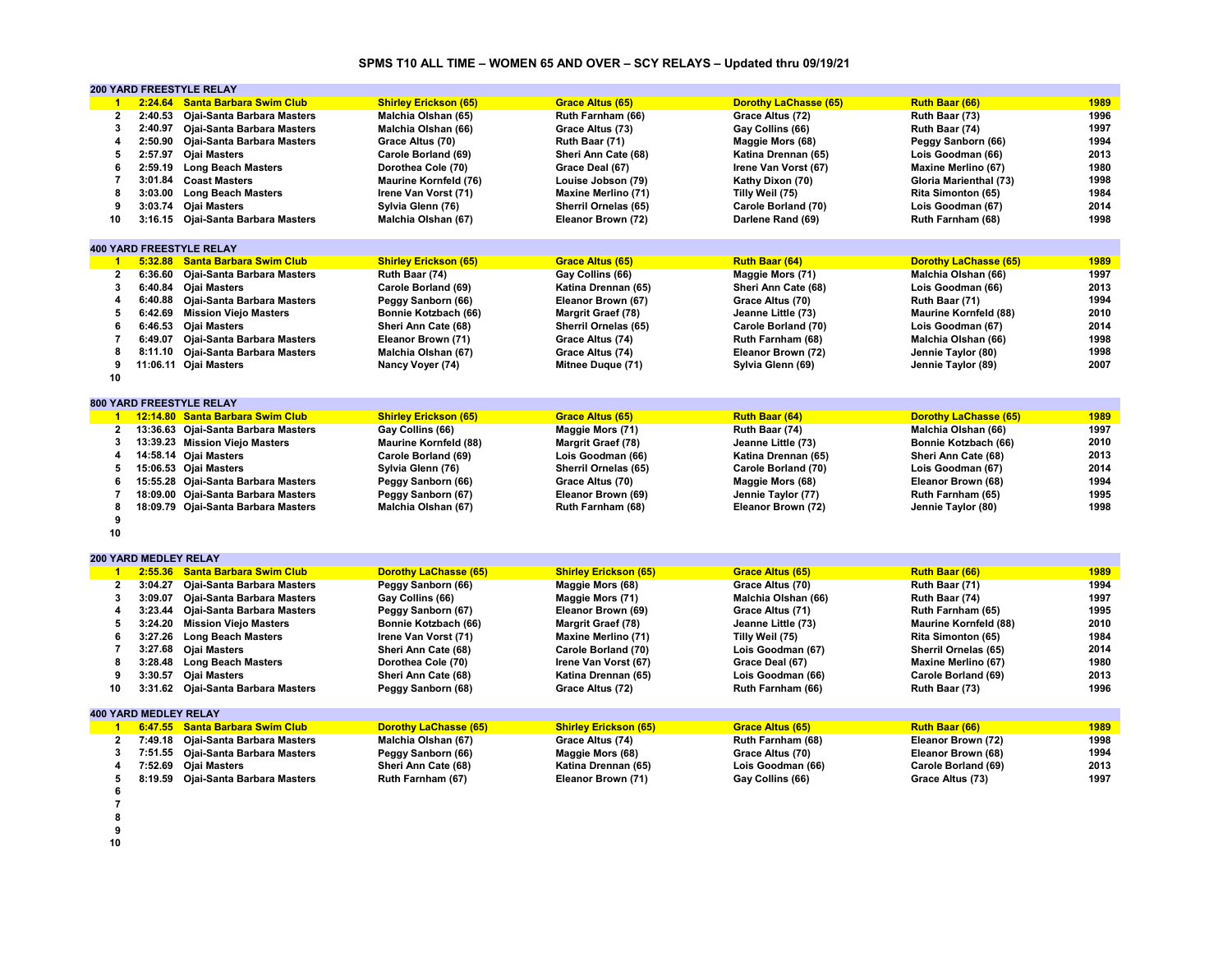# **SPMS T10 ALL TIME – WOMEN 65 AND OVER – SCY RELAYS – Updated thru 09/19/21**

|                         |                              | 200 YARD FREESTYLE RELAY            |                              |                              |                              |                              |      |
|-------------------------|------------------------------|-------------------------------------|------------------------------|------------------------------|------------------------------|------------------------------|------|
| $\blacktriangleleft$    | 2:24.64                      | <b>Santa Barbara Swim Club</b>      | <b>Shirley Erickson (65)</b> | <b>Grace Altus (65)</b>      | <b>Dorothy LaChasse (65)</b> | Ruth Baar (66)               | 1989 |
| $\mathbf{2}$            | 2:40.53                      | Ojai-Santa Barbara Masters          | Malchia Olshan (65)          | Ruth Farnham (66)            | Grace Altus (72)             | Ruth Baar (73)               | 1996 |
| 3                       |                              | 2:40.97 Ojai-Santa Barbara Masters  | Malchia Olshan (66)          | Grace Altus (73)             | Gay Collins (66)             | Ruth Baar (74)               | 1997 |
| 4                       | 2:50.90                      | Ojai-Santa Barbara Masters          | Grace Altus (70)             | Ruth Baar (71)               | Maggie Mors (68)             | Peggy Sanborn (66)           | 1994 |
| 5                       | 2:57.97                      | <b>Ojai Masters</b>                 | Carole Borland (69)          | Sheri Ann Cate (68)          | Katina Drennan (65)          | Lois Goodman (66)            | 2013 |
| 6                       | 2:59.19                      | <b>Long Beach Masters</b>           | Dorothea Cole (70)           | Grace Deal (67)              | Irene Van Vorst (67)         | Maxine Merlino (67)          | 1980 |
| $\overline{7}$          | 3:01.84                      | <b>Coast Masters</b>                | <b>Maurine Kornfeld (76)</b> | Louise Jobson (79)           | Kathy Dixon (70)             | Gloria Marienthal (73)       | 1998 |
| 8                       | 3:03.00                      | <b>Long Beach Masters</b>           | Irene Van Vorst (71)         | <b>Maxine Merlino (71)</b>   | Tilly Weil (75)              | Rita Simonton (65)           | 1984 |
| 9                       | 3:03.74                      | <b>Ojai Masters</b>                 | Sylvia Glenn (76)            | Sherril Ornelas (65)         | Carole Borland (70)          | Lois Goodman (67)            | 2014 |
| 10                      |                              | 3:16.15 Ojai-Santa Barbara Masters  | Malchia Olshan (67)          | Eleanor Brown (72)           | Darlene Rand (69)            | Ruth Farnham (68)            | 1998 |
|                         |                              |                                     |                              |                              |                              |                              |      |
|                         |                              | <b>400 YARD FREESTYLE RELAY</b>     |                              |                              |                              |                              |      |
| $\overline{1}$          |                              | 5:32.88 Santa Barbara Swim Club     |                              | <b>Grace Altus (65)</b>      |                              |                              | 1989 |
|                         |                              |                                     | <b>Shirley Erickson (65)</b> |                              | Ruth Baar (64)               | <b>Dorothy LaChasse (65)</b> |      |
| $\mathbf{2}$            | 6:36.60                      | Ojai-Santa Barbara Masters          | Ruth Baar (74)               | Gay Collins (66)             | Maggie Mors (71)             | Malchia Olshan (66)          | 1997 |
| 3                       | 6:40.84                      | <b>Oiai Masters</b>                 | Carole Borland (69)          | Katina Drennan (65)          | Sheri Ann Cate (68)          | Lois Goodman (66)            | 2013 |
| 4                       | 6:40.88                      | Ojai-Santa Barbara Masters          | Peggy Sanborn (66)           | Eleanor Brown (67)           | Grace Altus (70)             | Ruth Baar (71)               | 1994 |
| 5                       | 6:42.69                      | <b>Mission Viejo Masters</b>        | Bonnie Kotzbach (66)         | <b>Margrit Graef (78)</b>    | Jeanne Little (73)           | <b>Maurine Kornfeld (88)</b> | 2010 |
| 6                       | 6:46.53                      | <b>Ojai Masters</b>                 | Sheri Ann Cate (68)          | Sherril Ornelas (65)         | Carole Borland (70)          | Lois Goodman (67)            | 2014 |
| $\overline{7}$          | 6:49.07                      | Ojai-Santa Barbara Masters          | Eleanor Brown (71)           | Grace Altus (74)             | Ruth Farnham (68)            | Malchia Olshan (66)          | 1998 |
| 8                       | 8:11.10                      | Ojai-Santa Barbara Masters          | Malchia Olshan (67)          | Grace Altus (74)             | Eleanor Brown (72)           | Jennie Taylor (80)           | 1998 |
| 9                       |                              | 11:06.11 Ojai Masters               | Nancy Voyer (74)             | Mitnee Duque (71)            | Sylvia Glenn (69)            | Jennie Taylor (89)           | 2007 |
| 10                      |                              |                                     |                              |                              |                              |                              |      |
|                         |                              |                                     |                              |                              |                              |                              |      |
|                         |                              | 800 YARD FREESTYLE RELAY            |                              |                              |                              |                              |      |
|                         |                              | 1 12:14.80 Santa Barbara Swim Club  | <b>Shirley Erickson (65)</b> | <b>Grace Altus (65)</b>      | Ruth Baar (64)               | <b>Dorothy LaChasse (65)</b> | 1989 |
| $\overline{2}$          |                              | 13:36.63 Ojai-Santa Barbara Masters | Gay Collins (66)             | Maggie Mors (71)             | Ruth Baar (74)               | Malchia Olshan (66)          | 1997 |
| $\mathbf{3}$            |                              | 13:39.23 Mission Viejo Masters      | <b>Maurine Kornfeld (88)</b> | <b>Margrit Graef (78)</b>    | Jeanne Little (73)           | Bonnie Kotzbach (66)         | 2010 |
| 4                       |                              | 14:58.14 Ojai Masters               | Carole Borland (69)          | Lois Goodman (66)            | Katina Drennan (65)          | Sheri Ann Cate (68)          | 2013 |
| 5                       |                              | 15:06.53 Ojai Masters               | Sylvia Glenn (76)            | Sherril Ornelas (65)         | Carole Borland (70)          | Lois Goodman (67)            | 2014 |
| 6                       |                              | 15:55.28 Ojai-Santa Barbara Masters | Peggy Sanborn (66)           | Grace Altus (70)             | Maggie Mors (68)             | Eleanor Brown (68)           | 1994 |
| $\overline{7}$          |                              | 18:09.00 Ojai-Santa Barbara Masters | Peggy Sanborn (67)           | Eleanor Brown (69)           | Jennie Taylor (77)           | Ruth Farnham (65)            | 1995 |
| 8                       |                              | 18:09.79 Ojai-Santa Barbara Masters | Malchia Olshan (67)          | Ruth Farnham (68)            | Eleanor Brown (72)           | Jennie Taylor (80)           | 1998 |
| 9                       |                              |                                     |                              |                              |                              |                              |      |
| 10                      |                              |                                     |                              |                              |                              |                              |      |
|                         |                              |                                     |                              |                              |                              |                              |      |
|                         | 200 YARD MEDLEY RELAY        |                                     |                              |                              |                              |                              |      |
| $\overline{1}$          |                              | 2:55.36 Santa Barbara Swim Club     | <b>Dorothy LaChasse (65)</b> | <b>Shirley Erickson (65)</b> | <b>Grace Altus (65)</b>      | Ruth Baar (66)               | 1989 |
| $\mathbf{2}$            | 3:04.27                      | Ojai-Santa Barbara Masters          | Peggy Sanborn (66)           | Maggie Mors (68)             | Grace Altus (70)             | Ruth Baar (71)               | 1994 |
| $\overline{\mathbf{3}}$ | 3:09.07                      | Ojai-Santa Barbara Masters          | Gay Collins (66)             | Maggie Mors (71)             | Malchia Olshan (66)          | Ruth Baar (74)               | 1997 |
| 4                       | 3:23.44                      | Ojai-Santa Barbara Masters          | Peggy Sanborn (67)           | Eleanor Brown (69)           | Grace Altus (71)             | Ruth Farnham (65)            | 1995 |
| 5                       | 3:24.20                      | <b>Mission Viejo Masters</b>        | Bonnie Kotzbach (66)         | <b>Margrit Graef (78)</b>    | Jeanne Little (73)           | <b>Maurine Kornfeld (88)</b> | 2010 |
| 6                       | 3:27.26                      | <b>Long Beach Masters</b>           | Irene Van Vorst (71)         | <b>Maxine Merlino (71)</b>   | Tilly Weil (75)              | Rita Simonton (65)           | 1984 |
| $\overline{7}$          | 3:27.68                      | <b>Ojai Masters</b>                 | Sheri Ann Cate (68)          | Carole Borland (70)          | Lois Goodman (67)            | Sherril Ornelas (65)         | 2014 |
| 8                       |                              | 3:28.48 Long Beach Masters          | Dorothea Cole (70)           | Irene Van Vorst (67)         | Grace Deal (67)              | <b>Maxine Merlino (67)</b>   | 1980 |
| 9                       | 3:30.57                      | <b>Ojai Masters</b>                 | Sheri Ann Cate (68)          | Katina Drennan (65)          | Lois Goodman (66)            | Carole Borland (69)          | 2013 |
| 10                      | 3:31.62                      | Ojai-Santa Barbara Masters          | Peggy Sanborn (68)           | Grace Altus (72)             | Ruth Farnham (66)            | Ruth Baar (73)               | 1996 |
|                         |                              |                                     |                              |                              |                              |                              |      |
|                         | <b>400 YARD MEDLEY RELAY</b> |                                     |                              |                              |                              |                              |      |
| $\overline{1}$          | 6:47.55                      | <b>Santa Barbara Swim Club</b>      | <b>Dorothy LaChasse (65)</b> | <b>Shirley Erickson (65)</b> | <b>Grace Altus (65)</b>      | Ruth Baar (66)               | 1989 |
| $\mathbf{2}$            | 7:49.18                      | Ojai-Santa Barbara Masters          | Malchia Olshan (67)          | Grace Altus (74)             | Ruth Farnham (68)            | Eleanor Brown (72)           | 1998 |
| 3                       | 7:51.55                      | <b>Ojai-Santa Barbara Masters</b>   | Peggy Sanborn (66)           | Maggie Mors (68)             | Grace Altus (70)             | Eleanor Brown (68)           | 1994 |
| 4                       | 7:52.69                      | <b>Ojai Masters</b>                 | Sheri Ann Cate (68)          | Katina Drennan (65)          | Lois Goodman (66)            | Carole Borland (69)          | 2013 |
| 5                       |                              | 8:19.59 Ojai-Santa Barbara Masters  | Ruth Farnham (67)            | Eleanor Brown (71)           | Gay Collins (66)             | Grace Altus (73)             | 1997 |
| 6                       |                              |                                     |                              |                              |                              |                              |      |
| $\overline{7}$          |                              |                                     |                              |                              |                              |                              |      |
| 8                       |                              |                                     |                              |                              |                              |                              |      |
| 9                       |                              |                                     |                              |                              |                              |                              |      |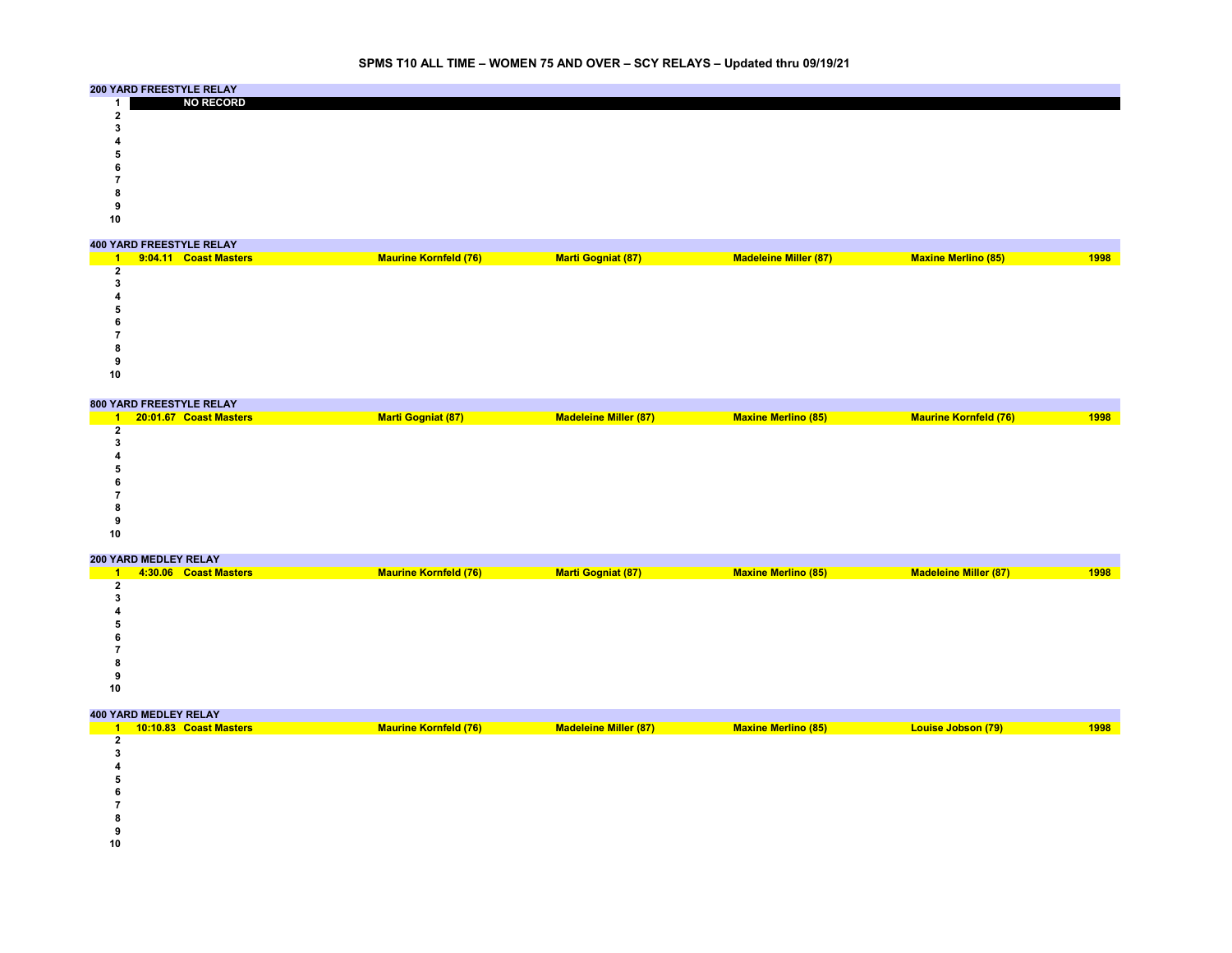|    | 200 YARD FREESTYLE RELAY |
|----|--------------------------|
|    | <b>NO RECORD</b>         |
|    |                          |
|    |                          |
|    |                          |
|    |                          |
|    |                          |
|    |                          |
|    |                          |
|    |                          |
| 10 |                          |

|    | <b>400 YARD FREESTYLE RELAY</b> |                              |                           |                              |                            |      |
|----|---------------------------------|------------------------------|---------------------------|------------------------------|----------------------------|------|
|    | 9:04.11 Coast Masters           | <b>Maurine Kornfeld (76)</b> | <b>Marti Gogniat (87)</b> | <b>Madeleine Miller (87)</b> | <b>Maxine Merlino (85)</b> | 1998 |
|    |                                 |                              |                           |                              |                            |      |
|    |                                 |                              |                           |                              |                            |      |
|    |                                 |                              |                           |                              |                            |      |
|    |                                 |                              |                           |                              |                            |      |
|    |                                 |                              |                           |                              |                            |      |
|    |                                 |                              |                           |                              |                            |      |
|    |                                 |                              |                           |                              |                            |      |
|    |                                 |                              |                           |                              |                            |      |
| 10 |                                 |                              |                           |                              |                            |      |

|    | 800 YARD FREESTYLE RELAY |                           |                              |                            |                              |      |
|----|--------------------------|---------------------------|------------------------------|----------------------------|------------------------------|------|
|    | 20:01.67 Coast Masters   | <b>Marti Gogniat (87)</b> | <b>Madeleine Miller (87)</b> | <b>Maxine Merlino (85)</b> | <b>Maurine Kornfeld (76)</b> | 1998 |
|    |                          |                           |                              |                            |                              |      |
|    |                          |                           |                              |                            |                              |      |
|    |                          |                           |                              |                            |                              |      |
|    |                          |                           |                              |                            |                              |      |
|    |                          |                           |                              |                            |                              |      |
|    |                          |                           |                              |                            |                              |      |
|    |                          |                           |                              |                            |                              |      |
|    |                          |                           |                              |                            |                              |      |
| 10 |                          |                           |                              |                            |                              |      |
|    |                          |                           |                              |                            |                              |      |

|    | 200 YARD MEDLEY RELAY |                       |                              |                           |                            |                              |      |  |  |  |
|----|-----------------------|-----------------------|------------------------------|---------------------------|----------------------------|------------------------------|------|--|--|--|
|    |                       | 4:30.06 Coast Masters | <b>Maurine Kornfeld (76)</b> | <b>Marti Gogniat (87)</b> | <b>Maxine Merlino (85)</b> | <b>Madeleine Miller (87)</b> | 1998 |  |  |  |
|    |                       |                       |                              |                           |                            |                              |      |  |  |  |
|    |                       |                       |                              |                           |                            |                              |      |  |  |  |
|    |                       |                       |                              |                           |                            |                              |      |  |  |  |
|    |                       |                       |                              |                           |                            |                              |      |  |  |  |
|    |                       |                       |                              |                           |                            |                              |      |  |  |  |
|    |                       |                       |                              |                           |                            |                              |      |  |  |  |
|    |                       |                       |                              |                           |                            |                              |      |  |  |  |
|    |                       |                       |                              |                           |                            |                              |      |  |  |  |
| 10 |                       |                       |                              |                           |                            |                              |      |  |  |  |
|    |                       |                       |                              |                           |                            |                              |      |  |  |  |

|    | <b>400 YARD MEDLEY RELAY</b> |                              |                              |                            |                    |      |  |  |  |  |
|----|------------------------------|------------------------------|------------------------------|----------------------------|--------------------|------|--|--|--|--|
|    | 10:10.83 Coast Masters       | <b>Maurine Kornfeld (76)</b> | <b>Madeleine Miller (87)</b> | <b>Maxine Merlino (85)</b> | Louise Jobson (79) | 1998 |  |  |  |  |
|    |                              |                              |                              |                            |                    |      |  |  |  |  |
|    |                              |                              |                              |                            |                    |      |  |  |  |  |
|    |                              |                              |                              |                            |                    |      |  |  |  |  |
|    |                              |                              |                              |                            |                    |      |  |  |  |  |
|    |                              |                              |                              |                            |                    |      |  |  |  |  |
|    |                              |                              |                              |                            |                    |      |  |  |  |  |
|    |                              |                              |                              |                            |                    |      |  |  |  |  |
|    |                              |                              |                              |                            |                    |      |  |  |  |  |
| 10 |                              |                              |                              |                            |                    |      |  |  |  |  |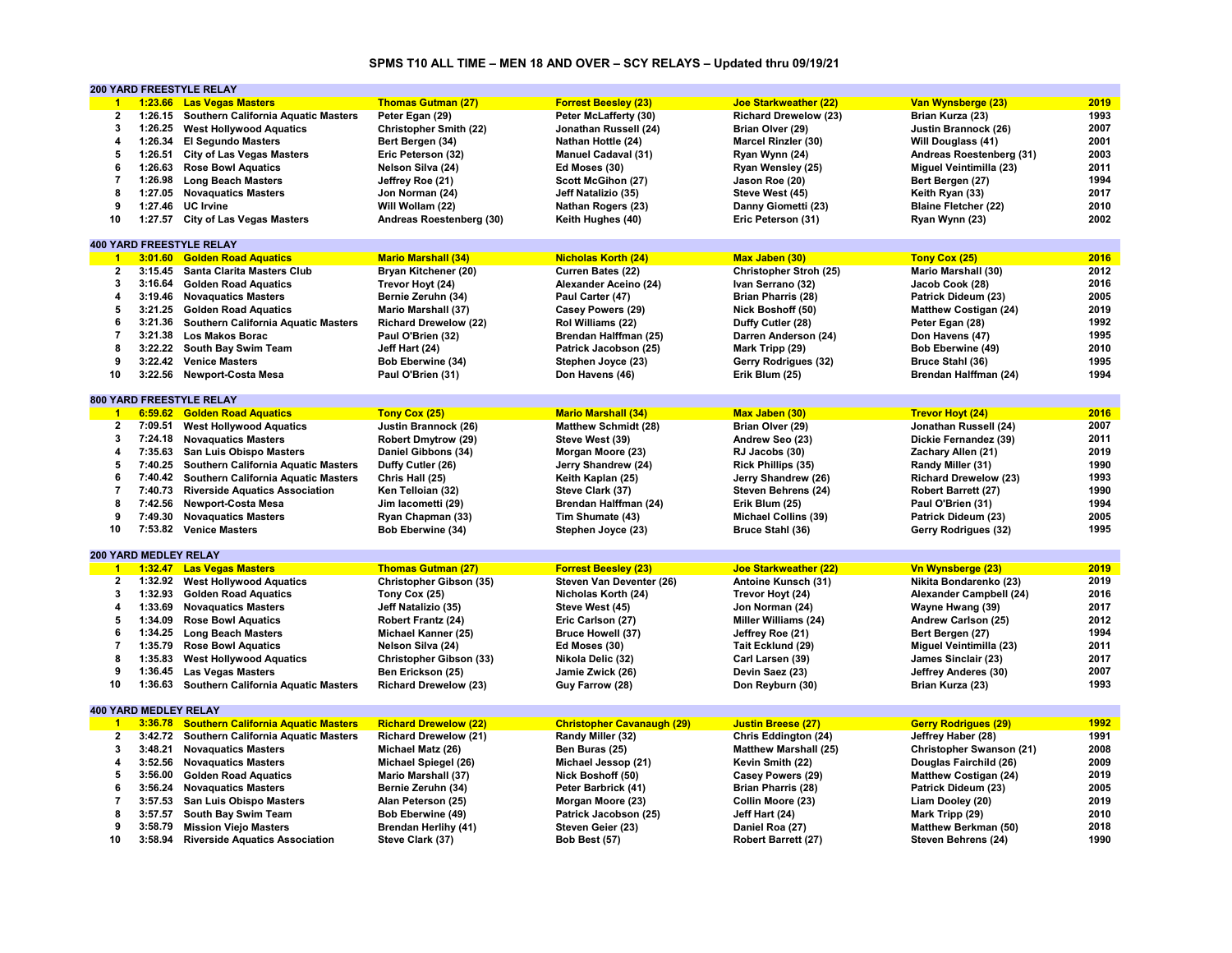# **SPMS T10 ALL TIME – MEN 18 AND OVER – SCY RELAYS – Updated thru 09/19/21**

|                         |                              | 200 YARD FREESTYLE RELAY                    |                               |                                   |                              |                              |      |
|-------------------------|------------------------------|---------------------------------------------|-------------------------------|-----------------------------------|------------------------------|------------------------------|------|
| $\blacktriangleleft$    |                              | 1:23.66 Las Vegas Masters                   | <b>Thomas Gutman (27)</b>     | <b>Forrest Beesley (23)</b>       | <b>Joe Starkweather (22)</b> | Van Wynsberge (23)           | 2019 |
| 2                       |                              | 1:26.15 Southern California Aquatic Masters | Peter Egan (29)               | Peter McLafferty (30)             | <b>Richard Drewelow (23)</b> | Brian Kurza (23)             | 1993 |
| 3                       | 1:26.25                      | <b>West Hollywood Aquatics</b>              | <b>Christopher Smith (22)</b> | Jonathan Russell (24)             | Brian Olver (29)             | Justin Brannock (26)         | 2007 |
| 4                       | 1:26.34                      | <b>El Segundo Masters</b>                   | Bert Bergen (34)              | Nathan Hottle (24)                | <b>Marcel Rinzler (30)</b>   | Will Douglass (41)           | 2001 |
| 5                       | 1:26.51                      | <b>City of Las Vegas Masters</b>            | Eric Peterson (32)            | <b>Manuel Cadaval (31)</b>        | Ryan Wynn (24)               | Andreas Roestenberg (31)     | 2003 |
| 6                       | 1:26.63                      | <b>Rose Bowl Aquatics</b>                   | Nelson Silva (24)             | Ed Moses (30)                     | Ryan Wensley (25)            | Miguel Veintimilla (23)      | 2011 |
| $\overline{7}$          | 1:26.98                      | <b>Long Beach Masters</b>                   | Jeffrey Roe (21)              | Scott McGihon (27)                | Jason Roe (20)               | Bert Bergen (27)             | 1994 |
| 8                       |                              | 1:27.05 Novaguatics Masters                 |                               |                                   |                              |                              | 2017 |
|                         |                              |                                             | Jon Norman (24)               | Jeff Natalizio (35)               | Steve West (45)              | Keith Ryan (33)              |      |
| 9                       | 1:27.46                      | <b>UC</b> Irvine                            | Will Wollam (22)              | <b>Nathan Rogers (23)</b>         | Danny Giometti (23)          | <b>Blaine Fletcher (22)</b>  | 2010 |
| 10                      | 1:27.57                      | <b>City of Las Vegas Masters</b>            | Andreas Roestenberg (30)      | Keith Hughes (40)                 | Eric Peterson (31)           | Ryan Wynn (23)               | 2002 |
|                         |                              |                                             |                               |                                   |                              |                              |      |
|                         |                              | <b>400 YARD FREESTYLE RELAY</b>             |                               |                                   |                              |                              |      |
| $\blacktriangleleft$    | 3:01.60                      | <b>Golden Road Aquatics</b>                 | <b>Mario Marshall (34)</b>    | <b>Nicholas Korth (24)</b>        | Max Jaben (30)               | Tony Cox (25)                | 2016 |
| $\mathbf{2}$            | 3:15.45                      | Santa Clarita Masters Club                  | Bryan Kitchener (20)          | Curren Bates (22)                 | Christopher Stroh (25)       | Mario Marshall (30)          | 2012 |
| 3                       | 3:16.64                      | <b>Golden Road Aquatics</b>                 | Trevor Hoyt (24)              | Alexander Aceino (24)             | Ivan Serrano (32)            | Jacob Cook (28)              | 2016 |
| 4                       |                              | 3:19.46 Novaguatics Masters                 | Bernie Zeruhn (34)            | Paul Carter (47)                  | <b>Brian Pharris (28)</b>    | Patrick Dideum (23)          | 2005 |
| 5                       | 3:21.25                      | <b>Golden Road Aquatics</b>                 | <b>Mario Marshall (37)</b>    | Casey Powers (29)                 | Nick Boshoff (50)            | <b>Matthew Costigan (24)</b> | 2019 |
| 6                       | 3:21.36                      | Southern California Aquatic Masters         | <b>Richard Drewelow (22)</b>  | Rol Williams (22)                 | Duffy Cutler (28)            | Peter Egan (28)              | 1992 |
| $\overline{7}$          | 3:21.38                      | <b>Los Makos Borac</b>                      | Paul O'Brien (32)             | Brendan Halffman (25)             | Darren Anderson (24)         | Don Havens (47)              | 1995 |
| 8                       |                              | 3:22.22 South Bay Swim Team                 | Jeff Hart (24)                | Patrick Jacobson (25)             | Mark Tripp (29)              | Bob Eberwine (49)            | 2010 |
| 9                       | 3:22.42                      | <b>Venice Masters</b>                       | Bob Eberwine (34)             | Stephen Joyce (23)                | Gerry Rodrigues (32)         | Bruce Stahl (36)             | 1995 |
| 10                      | 3:22.56                      | <b>Newport-Costa Mesa</b>                   | Paul O'Brien (31)             | Don Havens (46)                   | Erik Blum (25)               | Brendan Halffman (24)        | 1994 |
|                         |                              |                                             |                               |                                   |                              |                              |      |
|                         |                              | 800 YARD FREESTYLE RELAY                    |                               |                                   |                              |                              |      |
| $\overline{1}$          |                              | 6:59.62 Golden Road Aquatics                | Tony Cox (25)                 | <b>Mario Marshall (34)</b>        | Max Jaben (30)               | <b>Trevor Hoyt (24)</b>      | 2016 |
| $\mathbf{2}$            | 7:09.51                      | <b>West Hollywood Aquatics</b>              | Justin Brannock (26)          | <b>Matthew Schmidt (28)</b>       | Brian Olver (29)             | Jonathan Russell (24)        | 2007 |
| 3                       |                              | 7:24.18 Novaguatics Masters                 | <b>Robert Dmytrow (29)</b>    | Steve West (39)                   | Andrew Seo (23)              | Dickie Fernandez (39)        | 2011 |
| 4                       |                              |                                             |                               |                                   |                              |                              | 2019 |
|                         | 7:35.63                      | <b>San Luis Obispo Masters</b>              | Daniel Gibbons (34)           | Morgan Moore (23)                 | RJ Jacobs (30)               | Zachary Allen (21)           |      |
| 5                       | 7:40.25                      | <b>Southern California Aquatic Masters</b>  | Duffy Cutler (26)             | Jerry Shandrew (24)               | <b>Rick Phillips (35)</b>    | Randy Miller (31)            | 1990 |
| 6                       | 7:40.42                      | Southern California Aquatic Masters         | Chris Hall (25)               | Keith Kaplan (25)                 | Jerry Shandrew (26)          | <b>Richard Drewelow (23)</b> | 1993 |
| $\overline{7}$          | 7:40.73                      | <b>Riverside Aquatics Association</b>       | Ken Telloian (32)             | Steve Clark (37)                  | Steven Behrens (24)          | <b>Robert Barrett (27)</b>   | 1990 |
| 8                       | 7:42.56                      | <b>Newport-Costa Mesa</b>                   | Jim lacometti (29)            | Brendan Halffman (24)             | Erik Blum (25)               | Paul O'Brien (31)            | 1994 |
| 9                       | 7:49.30                      | <b>Novaquatics Masters</b>                  | Ryan Chapman (33)             | Tim Shumate (43)                  | <b>Michael Collins (39)</b>  | Patrick Dideum (23)          | 2005 |
| 10                      |                              | 7:53.82 Venice Masters                      | Bob Eberwine (34)             | Stephen Joyce (23)                | Bruce Stahl (36)             | Gerry Rodrigues (32)         | 1995 |
|                         |                              |                                             |                               |                                   |                              |                              |      |
|                         | <b>200 YARD MEDLEY RELAY</b> |                                             |                               |                                   |                              |                              |      |
| $\blacksquare$          | 1:32.47                      | <b>Las Vegas Masters</b>                    | <b>Thomas Gutman (27)</b>     | <b>Forrest Beesley (23)</b>       | <b>Joe Starkweather (22)</b> | Vn Wynsberge (23)            | 2019 |
| $\overline{2}$          |                              | 1:32.92 West Hollywood Aquatics             | Christopher Gibson (35)       | Steven Van Deventer (26)          | Antoine Kunsch (31)          | Nikita Bondarenko (23)       | 2019 |
| 3                       | 1:32.93                      | <b>Golden Road Aquatics</b>                 | Tony Cox (25)                 | Nicholas Korth (24)               | Trevor Hoyt (24)             | Alexander Campbell (24)      | 2016 |
| 4                       | 1:33.69                      | <b>Novaguatics Masters</b>                  | Jeff Natalizio (35)           | Steve West (45)                   | Jon Norman (24)              | Wayne Hwang (39)             | 2017 |
| 5                       | 1:34.09                      | <b>Rose Bowl Aquatics</b>                   | Robert Frantz (24)            | Eric Carlson (27)                 | Miller Williams (24)         | Andrew Carlson (25)          | 2012 |
| 6                       |                              | 1:34.25 Long Beach Masters                  | Michael Kanner (25)           | <b>Bruce Howell (37)</b>          | Jeffrey Roe (21)             | Bert Bergen (27)             | 1994 |
| $\overline{\mathbf{r}}$ | 1:35.79                      | <b>Rose Bowl Aquatics</b>                   | Nelson Silva (24)             | Ed Moses (30)                     | Tait Ecklund (29)            | Miguel Veintimilla (23)      | 2011 |
| 8                       | 1:35.83                      | <b>West Hollywood Aquatics</b>              | Christopher Gibson (33)       | Nikola Delic (32)                 | Carl Larsen (39)             | James Sinclair (23)          | 2017 |
|                         |                              |                                             |                               |                                   |                              |                              |      |
| 9                       | 1:36.45                      | <b>Las Vegas Masters</b>                    | Ben Erickson (25)             | Jamie Zwick (26)                  | Devin Saez (23)              | Jeffrey Anderes (30)         | 2007 |
| 10                      | 1:36.63                      | <b>Southern California Aquatic Masters</b>  | <b>Richard Drewelow (23)</b>  | Guy Farrow (28)                   | Don Reyburn (30)             | Brian Kurza (23)             | 1993 |
|                         |                              |                                             |                               |                                   |                              |                              |      |
|                         | <b>400 YARD MEDLEY RELAY</b> |                                             |                               |                                   |                              |                              |      |
| $\mathbf{1}$            | 3:36.78                      | <b>Southern California Aquatic Masters</b>  | <b>Richard Drewelow (22)</b>  | <b>Christopher Cavanaugh (29)</b> | <b>Justin Breese (27)</b>    | <b>Gerry Rodrigues (29)</b>  | 1992 |
| $\overline{2}$          | 3:42.72                      | <b>Southern California Aquatic Masters</b>  | <b>Richard Drewelow (21)</b>  | Randy Miller (32)                 | Chris Eddington (24)         | Jeffrey Haber (28)           | 1991 |
| 3                       | 3:48.21                      | <b>Novaguatics Masters</b>                  | Michael Matz (26)             | Ben Buras (25)                    | <b>Matthew Marshall (25)</b> | Christopher Swanson (21)     | 2008 |
| 4                       | 3:52.56                      | <b>Novaquatics Masters</b>                  | Michael Spiegel (26)          | Michael Jessop (21)               | Kevin Smith (22)             | Douglas Fairchild (26)       | 2009 |
| 5                       | 3:56.00                      | <b>Golden Road Aquatics</b>                 | <b>Mario Marshall (37)</b>    | Nick Boshoff (50)                 | Casey Powers (29)            | <b>Matthew Costigan (24)</b> | 2019 |
| 6                       |                              | 3:56.24 Novaquatics Masters                 | Bernie Zeruhn (34)            | Peter Barbrick (41)               | <b>Brian Pharris (28)</b>    | Patrick Dideum (23)          | 2005 |
| $\overline{7}$          | 3:57.53                      | San Luis Obispo Masters                     | Alan Peterson (25)            | Morgan Moore (23)                 | Collin Moore (23)            | Liam Dooley (20)             | 2019 |
| 8                       | 3:57.57                      | South Bay Swim Team                         | Bob Eberwine (49)             | Patrick Jacobson (25)             | Jeff Hart (24)               | Mark Tripp (29)              | 2010 |
| 9                       | 3:58.79                      | <b>Mission Viejo Masters</b>                | <b>Brendan Herlihy (41)</b>   | Steven Geier (23)                 | Daniel Roa (27)              | Matthew Berkman (50)         | 2018 |
| 10                      | 3:58.94                      | <b>Riverside Aquatics Association</b>       | Steve Clark (37)              | Bob Best (57)                     | Robert Barrett (27)          | Steven Behrens (24)          | 1990 |
|                         |                              |                                             |                               |                                   |                              |                              |      |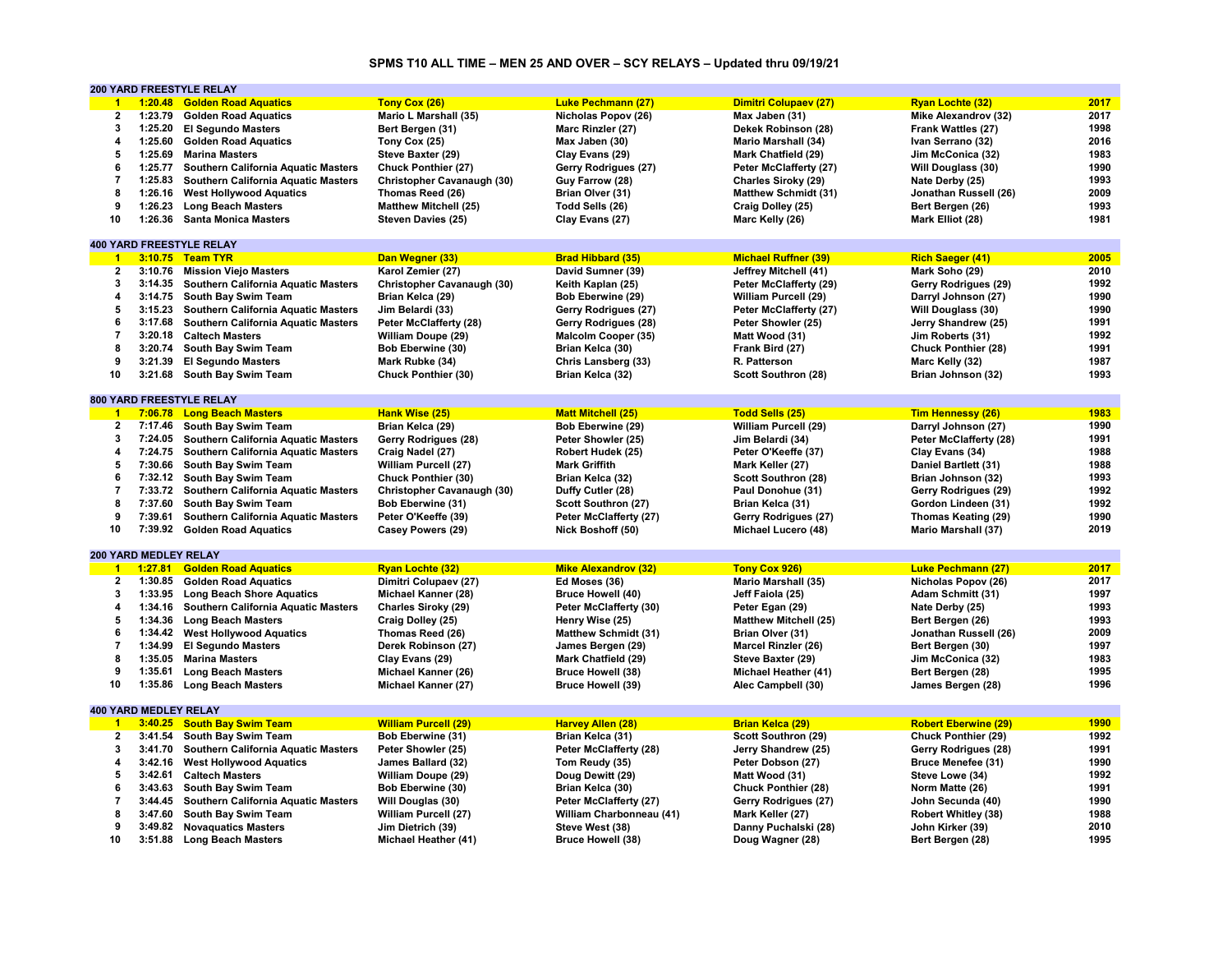# **SPMS T10 ALL TIME – MEN 25 AND OVER – SCY RELAYS – Updated thru 09/19/21**

|                        |                       | 200 YARD FREESTYLE RELAY                    |                              |                             |                              |                             |      |
|------------------------|-----------------------|---------------------------------------------|------------------------------|-----------------------------|------------------------------|-----------------------------|------|
| $\mathbf{1}$           | 1:20.48               | <b>Golden Road Aquatics</b>                 | Tony Cox (26)                | <b>Luke Pechmann (27)</b>   | Dimitri Colupaev (27)        | <b>Ryan Lochte (32)</b>     | 2017 |
| $\mathbf{2}$           | 1:23.79               | <b>Golden Road Aquatics</b>                 | Mario L Marshall (35)        | Nicholas Popov (26)         | Max Jaben (31)               | Mike Alexandrov (32)        | 2017 |
| $\mathbf{3}$           | 1:25.20               | <b>El Segundo Masters</b>                   | Bert Bergen (31)             | Marc Rinzler (27)           | Dekek Robinson (28)          | Frank Wattles (27)          | 1998 |
| $\boldsymbol{\Lambda}$ | 1:25.60               | <b>Golden Road Aquatics</b>                 | Tony Cox (25)                | Max Jaben (30)              | <b>Mario Marshall (34)</b>   | Ivan Serrano (32)           | 2016 |
| 5                      | 1:25.69               | <b>Marina Masters</b>                       | Steve Baxter (29)            | Clay Evans (29)             | Mark Chatfield (29)          | Jim McConica (32)           | 1983 |
| 6                      | 1:25.77               | <b>Southern California Aquatic Masters</b>  | <b>Chuck Ponthier (27)</b>   | Gerry Rodrigues (27)        | Peter McClafferty (27)       | Will Douglass (30)          | 1990 |
| $\overline{7}$         | 1:25.83               | <b>Southern California Aquatic Masters</b>  | Christopher Cavanaugh (30)   | Guy Farrow (28)             | Charles Siroky (29)          | Nate Derby (25)             | 1993 |
|                        |                       |                                             |                              |                             |                              |                             |      |
| 8                      | 1:26.16               | <b>West Hollywood Aquatics</b>              | Thomas Reed (26)             | Brian Olver (31)            | <b>Matthew Schmidt (31)</b>  | Jonathan Russell (26)       | 2009 |
| 9                      | 1:26.23               | <b>Long Beach Masters</b>                   | <b>Matthew Mitchell (25)</b> | Todd Sells (26)             | Craig Dolley (25)            | Bert Bergen (26)            | 1993 |
| 10                     | 1:26.36               | <b>Santa Monica Masters</b>                 | Steven Davies (25)           | Clay Evans (27)             | Marc Kelly (26)              | Mark Elliot (28)            | 1981 |
|                        |                       |                                             |                              |                             |                              |                             |      |
|                        |                       | <b>400 YARD FREESTYLE RELAY</b>             |                              |                             |                              |                             |      |
| $\overline{1}$         |                       | 3:10.75 Team TYR                            | Dan Wegner (33)              | <b>Brad Hibbard (35)</b>    | <b>Michael Ruffner (39)</b>  | <b>Rich Saeger (41)</b>     | 2005 |
| $\mathbf{2}$           | 3:10.76               | <b>Mission Viejo Masters</b>                | Karol Zemier (27)            | David Sumner (39)           | Jeffrey Mitchell (41)        | Mark Soho (29)              | 2010 |
| 3                      | 3:14.35               | <b>Southern California Aquatic Masters</b>  | Christopher Cavanaugh (30)   | Keith Kaplan (25)           | Peter McClafferty (29)       | Gerry Rodrigues (29)        | 1992 |
| 4                      | 3:14.75               | South Bay Swim Team                         | Brian Kelca (29)             | Bob Eberwine (29)           | William Purcell (29)         | Darryl Johnson (27)         | 1990 |
| 5                      | 3:15.23               | Southern California Aquatic Masters         | Jim Belardi (33)             | Gerry Rodrigues (27)        | Peter McClafferty (27)       | Will Douglass (30)          | 1990 |
| 6                      | 3:17.68               | Southern California Aquatic Masters         | Peter McClafferty (28)       | Gerry Rodrigues (28)        | Peter Showler (25)           | Jerry Shandrew (25)         | 1991 |
| $\overline{7}$         |                       | 3:20.18 Caltech Masters                     | William Doupe (29)           | Malcolm Cooper (35)         | Matt Wood (31)               | Jim Roberts (31)            | 1992 |
| 8                      | 3:20.74               | South Bay Swim Team                         | Bob Eberwine (30)            | Brian Kelca (30)            | Frank Bird (27)              | Chuck Ponthier (28)         | 1991 |
| 9                      | 3:21.39               | <b>El Segundo Masters</b>                   |                              | Chris Lansberg (33)         | R. Patterson                 | Marc Kelly (32)             | 1987 |
|                        |                       |                                             | Mark Rubke (34)              |                             |                              |                             |      |
| 10                     | 3:21.68               | South Bay Swim Team                         | Chuck Ponthier (30)          | Brian Kelca (32)            | Scott Southron (28)          | Brian Johnson (32)          | 1993 |
|                        |                       |                                             |                              |                             |                              |                             |      |
|                        |                       | <b>800 YARD FREESTYLE RELAY</b>             |                              |                             |                              |                             |      |
| $\blacksquare$ 1       |                       | 7:06.78 Long Beach Masters                  | Hank Wise (25)               | <b>Matt Mitchell (25)</b>   | <b>Todd Sells (25)</b>       | <b>Tim Hennessy (26)</b>    | 1983 |
| $\overline{2}$         |                       | 7:17.46 South Bay Swim Team                 | Brian Kelca (29)             | Bob Eberwine (29)           | William Purcell (29)         | Darryl Johnson (27)         | 1990 |
| 3                      | 7:24.05               | Southern California Aquatic Masters         | Gerry Rodrigues (28)         | Peter Showler (25)          | Jim Belardi (34)             | Peter McClafferty (28)      | 1991 |
| $\overline{4}$         | 7:24.75               | Southern California Aquatic Masters         | Craig Nadel (27)             | Robert Hudek (25)           | Peter O'Keeffe (37)          | Clay Evans (34)             | 1988 |
| 5                      | 7:30.66               | South Bay Swim Team                         | William Purcell (27)         | <b>Mark Griffith</b>        | Mark Keller (27)             | Daniel Bartlett (31)        | 1988 |
| 6                      |                       | 7:32.12 South Bay Swim Team                 | Chuck Ponthier (30)          | Brian Kelca (32)            | Scott Southron (28)          | Brian Johnson (32)          | 1993 |
| $\overline{7}$         |                       | 7:33.72 Southern California Aquatic Masters | Christopher Cavanaugh (30)   | Duffy Cutler (28)           | Paul Donohue (31)            | Gerry Rodrigues (29)        | 1992 |
| 8                      | 7:37.60               | South Bay Swim Team                         | Bob Eberwine (31)            | Scott Southron (27)         | Brian Kelca (31)             | Gordon Lindeen (31)         | 1992 |
| 9                      | 7:39.61               | <b>Southern California Aquatic Masters</b>  | Peter O'Keeffe (39)          | Peter McClafferty (27)      | Gerry Rodrigues (27)         | Thomas Keating (29)         | 1990 |
| 10                     |                       | 7:39.92 Golden Road Aquatics                | Casey Powers (29)            | Nick Boshoff (50)           | Michael Lucero (48)          | <b>Mario Marshall (37)</b>  | 2019 |
|                        |                       |                                             |                              |                             |                              |                             |      |
|                        | 200 YARD MEDLEY RELAY |                                             |                              |                             |                              |                             |      |
|                        |                       |                                             |                              |                             |                              |                             |      |
| $1 -$                  | 1:27.81               | <b>Golden Road Aquatics</b>                 | <b>Ryan Lochte (32)</b>      | <b>Mike Alexandrov (32)</b> | Tony Cox 926)                | <b>Luke Pechmann (27)</b>   | 2017 |
| $\mathbf{2}$           | 1:30.85               | <b>Golden Road Aquatics</b>                 | Dimitri Colupaev (27)        | Ed Moses (36)               | <b>Mario Marshall (35)</b>   | Nicholas Popov (26)         | 2017 |
| $\mathbf{3}$           | 1:33.95               | <b>Long Beach Shore Aquatics</b>            | Michael Kanner (28)          | <b>Bruce Howell (40)</b>    | Jeff Faiola (25)             | Adam Schmitt (31)           | 1997 |
| 4                      | 1:34.16               | Southern California Aquatic Masters         | Charles Siroky (29)          | Peter McClafferty (30)      | Peter Egan (29)              | Nate Derby (25)             | 1993 |
| 5                      | 1:34.36               | <b>Long Beach Masters</b>                   | Craig Dolley (25)            | Henry Wise (25)             | <b>Matthew Mitchell (25)</b> | Bert Bergen (26)            | 1993 |
| 6                      | 1:34.42               | <b>West Hollywood Aquatics</b>              | Thomas Reed (26)             | <b>Matthew Schmidt (31)</b> | Brian Olver (31)             | Jonathan Russell (26)       | 2009 |
| $\overline{7}$         | 1:34.99               | <b>El Segundo Masters</b>                   | Derek Robinson (27)          | James Bergen (29)           | <b>Marcel Rinzler (26)</b>   | Bert Bergen (30)            | 1997 |
| 8                      | 1:35.05               | <b>Marina Masters</b>                       | Clay Evans (29)              | Mark Chatfield (29)         | Steve Baxter (29)            | Jim McConica (32)           | 1983 |
| 9                      | 1:35.61               | <b>Long Beach Masters</b>                   | Michael Kanner (26)          | <b>Bruce Howell (38)</b>    | Michael Heather (41)         | Bert Bergen (28)            | 1995 |
| 10                     | 1:35.86               | <b>Long Beach Masters</b>                   | Michael Kanner (27)          | <b>Bruce Howell (39)</b>    | Alec Campbell (30)           | James Bergen (28)           | 1996 |
|                        |                       |                                             |                              |                             |                              |                             |      |
|                        | 400 YARD MEDLEY RELAY |                                             |                              |                             |                              |                             |      |
|                        |                       |                                             |                              |                             |                              |                             |      |
| $\blacktriangleleft$   |                       | 3:40.25 South Bay Swim Team                 | <b>William Purcell (29)</b>  | <b>Harvey Allen (28)</b>    | <b>Brian Kelca (29)</b>      | <b>Robert Eberwine (29)</b> | 1990 |
| $\overline{2}$         | 3:41.54               | South Bay Swim Team                         | Bob Eberwine (31)            | Brian Kelca (31)            | Scott Southron (29)          | Chuck Ponthier (29)         | 1992 |
| $\mathbf{3}$           | 3:41.70               | Southern California Aquatic Masters         | Peter Showler (25)           | Peter McClafferty (28)      | Jerry Shandrew (25)          | Gerry Rodrigues (28)        | 1991 |
| $\overline{4}$         |                       | 3:42.16 West Hollywood Aquatics             | James Ballard (32)           | Tom Reudy (35)              | Peter Dobson (27)            | Bruce Menefee (31)          | 1990 |
| 5                      | 3:42.61               | <b>Caltech Masters</b>                      | William Doupe (29)           | Doug Dewitt (29)            | Matt Wood (31)               | Steve Lowe (34)             | 1992 |
| 6                      | 3:43.63               | South Bay Swim Team                         | Bob Eberwine (30)            | Brian Kelca (30)            | Chuck Ponthier (28)          | Norm Matte (26)             | 1991 |
| $\overline{7}$         | 3:44.45               | <b>Southern California Aquatic Masters</b>  | Will Douglas (30)            | Peter McClafferty (27)      | Gerry Rodrigues (27)         | John Secunda (40)           | 1990 |
| 8                      | 3:47.60               | South Bay Swim Team                         | William Purcell (27)         | William Charbonneau (41)    | Mark Keller (27)             | Robert Whitley (38)         | 1988 |
| 9                      | 3:49.82               | <b>Novaguatics Masters</b>                  | Jim Dietrich (39)            | Steve West (38)             | Danny Puchalski (28)         | John Kirker (39)            | 2010 |
| 10                     | 3:51.88               | <b>Long Beach Masters</b>                   | Michael Heather (41)         | <b>Bruce Howell (38)</b>    | Doug Wagner (28)             | Bert Bergen (28)            | 1995 |
|                        |                       |                                             |                              |                             |                              |                             |      |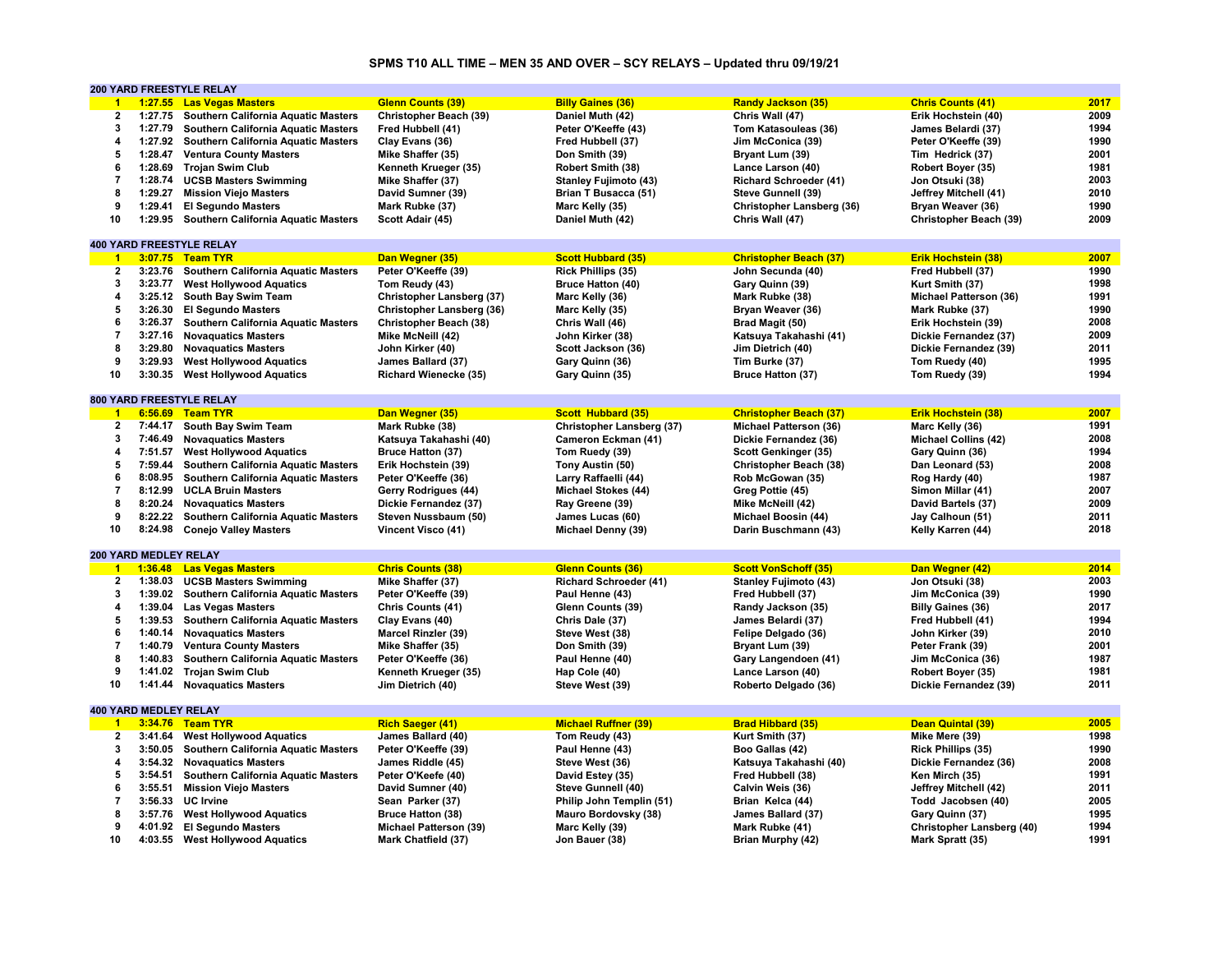# **SPMS T10 ALL TIME – MEN 35 AND OVER – SCY RELAYS – Updated thru 09/19/21**

|                         |                              | <b>200 YARD FREESTYLE RELAY</b>             |                               |                               |                                  |                               |      |
|-------------------------|------------------------------|---------------------------------------------|-------------------------------|-------------------------------|----------------------------------|-------------------------------|------|
| $\blacktriangleleft$    |                              | 1:27.55 Las Vegas Masters                   | <b>Glenn Counts (39)</b>      | <b>Billy Gaines (36)</b>      | <b>Randy Jackson (35)</b>        | <b>Chris Counts (41)</b>      | 2017 |
| $\mathbf{2}$            | 1:27.75                      | Southern California Aquatic Masters         | Christopher Beach (39)        | Daniel Muth (42)              | Chris Wall (47)                  | Erik Hochstein (40)           | 2009 |
| $\overline{\mathbf{3}}$ | 1:27.79                      | Southern California Aquatic Masters         | Fred Hubbell (41)             | Peter O'Keeffe (43)           | Tom Katasouleas (36)             | James Belardi (37)            | 1994 |
| $\overline{a}$          | 1:27.92                      | Southern California Aquatic Masters         | Clay Evans (36)               | Fred Hubbell (37)             | Jim McConica (39)                | Peter O'Keeffe (39)           | 1990 |
| 5                       |                              | 1:28.47 Ventura County Masters              | Mike Shaffer (35)             | Don Smith (39)                | Bryant Lum (39)                  | Tim Hedrick (37)              | 2001 |
|                         |                              |                                             |                               |                               |                                  |                               |      |
| 6                       |                              | 1:28.69 Trojan Swim Club                    | Kenneth Krueger (35)          | Robert Smith (38)             | Lance Larson (40)                | Robert Boyer (35)             | 1981 |
| $\overline{7}$          |                              | 1:28.74 UCSB Masters Swimming               | Mike Shaffer (37)             | <b>Stanley Fujimoto (43)</b>  | <b>Richard Schroeder (41)</b>    | Jon Otsuki (38)               | 2003 |
| 8                       | 1:29.27                      | <b>Mission Viejo Masters</b>                | David Sumner (39)             | Brian T Busacca (51)          | Steve Gunnell (39)               | Jeffrey Mitchell (41)         | 2010 |
| 9                       | 1:29.41                      | <b>El Segundo Masters</b>                   | Mark Rubke (37)               | Marc Kelly (35)               | <b>Christopher Lansberg (36)</b> | Bryan Weaver (36)             | 1990 |
| 10                      |                              | 1:29.95 Southern California Aquatic Masters | Scott Adair (45)              | Daniel Muth (42)              | Chris Wall (47)                  | Christopher Beach (39)        | 2009 |
|                         |                              |                                             |                               |                               |                                  |                               |      |
|                         |                              | <b>400 YARD FREESTYLE RELAY</b>             |                               |                               |                                  |                               |      |
| $\blacktriangleleft$    |                              | 3:07.75 Team TYR                            | Dan Wegner (35)               | <b>Scott Hubbard (35)</b>     | <b>Christopher Beach (37)</b>    | <b>Erik Hochstein (38)</b>    | 2007 |
| $\overline{2}$          | 3:23.76                      | <b>Southern California Aquatic Masters</b>  | Peter O'Keeffe (39)           | <b>Rick Phillips (35)</b>     | John Secunda (40)                | Fred Hubbell (37)             | 1990 |
|                         |                              |                                             |                               |                               |                                  |                               |      |
| 3                       | 3:23.77                      | <b>West Hollywood Aquatics</b>              | Tom Reudy (43)                | Bruce Hatton (40)             | Gary Quinn (39)                  | Kurt Smith (37)               | 1998 |
| $\overline{4}$          |                              | 3:25.12 South Bay Swim Team                 | Christopher Lansberg (37)     | Marc Kelly (36)               | Mark Rubke (38)                  | <b>Michael Patterson (36)</b> | 1991 |
| 5                       | 3:26.30                      | <b>El Segundo Masters</b>                   | Christopher Lansberg (36)     | Marc Kelly (35)               | Bryan Weaver (36)                | Mark Rubke (37)               | 1990 |
| 6                       | 3:26.37                      | Southern California Aquatic Masters         | Christopher Beach (38)        | Chris Wall (46)               | Brad Magit (50)                  | Erik Hochstein (39)           | 2008 |
| $\overline{7}$          |                              | 3:27.16 Novaquatics Masters                 | Mike McNeill (42)             | John Kirker (38)              | Katsuya Takahashi (41)           | Dickie Fernandez (37)         | 2009 |
| 8                       | 3:29.80                      | <b>Novaguatics Masters</b>                  | John Kirker (40)              | Scott Jackson (36)            | Jim Dietrich (40)                | Dickie Fernandez (39)         | 2011 |
| 9                       | 3:29.93                      | <b>West Hollywood Aquatics</b>              | James Ballard (37)            | Gary Quinn (36)               | Tim Burke (37)                   | Tom Ruedy (40)                | 1995 |
| 10                      |                              | 3:30.35 West Hollywood Aquatics             | <b>Richard Wienecke (35)</b>  | Gary Quinn (35)               | Bruce Hatton (37)                | Tom Ruedy (39)                | 1994 |
|                         |                              |                                             |                               |                               |                                  |                               |      |
|                         |                              |                                             |                               |                               |                                  |                               |      |
|                         |                              | 800 YARD FREESTYLE RELAY                    |                               |                               |                                  |                               |      |
| $\blacksquare$ 1        |                              | 6:56.69 Team TYR                            | Dan Wegner (35)               | <b>Scott Hubbard (35)</b>     | <b>Christopher Beach (37)</b>    | <b>Erik Hochstein (38)</b>    | 2007 |
| $\mathbf{2}$            |                              | 7:44.17 South Bay Swim Team                 | Mark Rubke (38)               | Christopher Lansberg (37)     | <b>Michael Patterson (36)</b>    | Marc Kelly (36)               | 1991 |
| 3                       | 7:46.49                      | <b>Novaquatics Masters</b>                  | Katsuya Takahashi (40)        | Cameron Eckman (41)           | Dickie Fernandez (36)            | <b>Michael Collins (42)</b>   | 2008 |
| $\overline{4}$          | 7:51.57                      | <b>West Hollywood Aquatics</b>              | <b>Bruce Hatton (37)</b>      | Tom Ruedy (39)                | Scott Genkinger (35)             | Gary Quinn (36)               | 1994 |
| 5                       | 7:59.44                      | <b>Southern California Aquatic Masters</b>  | Erik Hochstein (39)           | Tony Austin (50)              | Christopher Beach (38)           | Dan Leonard (53)              | 2008 |
| 6                       | 8:08.95                      | <b>Southern California Aquatic Masters</b>  | Peter O'Keeffe (36)           | Larry Raffaelli (44)          | Rob McGowan (35)                 | Rog Hardy (40)                | 1987 |
| $\overline{7}$          |                              | 8:12.99 UCLA Bruin Masters                  |                               |                               |                                  |                               | 2007 |
|                         |                              |                                             | Gerry Rodrigues (44)          | <b>Michael Stokes (44)</b>    | Greg Pottie (45)                 | Simon Millar (41)             |      |
| 8                       | 8:20.24                      | <b>Novaguatics Masters</b>                  | Dickie Fernandez (37)         | Ray Greene (39)               | Mike McNeill (42)                | David Bartels (37)            | 2009 |
| 9                       | 8:22.22                      | <b>Southern California Aquatic Masters</b>  | Steven Nussbaum (50)          | James Lucas (60)              | Michael Boosin (44)              | Jay Calhoun (51)              | 2011 |
| 10                      |                              | 8:24.98 Conejo Valley Masters               | Vincent Visco (41)            | Michael Denny (39)            | Darin Buschmann (43)             | Kelly Karren (44)             | 2018 |
|                         |                              |                                             |                               |                               |                                  |                               |      |
|                         | <b>200 YARD MEDLEY RELAY</b> |                                             |                               |                               |                                  |                               |      |
| $\mathbf{1}$            | 1:36.48                      | <b>Las Vegas Masters</b>                    | <b>Chris Counts (38)</b>      | Glenn Counts (36)             | <b>Scott VonSchoff (35)</b>      | Dan Wegner (42)               | 2014 |
| $\overline{2}$          | 1:38.03                      | <b>UCSB Masters Swimming</b>                | Mike Shaffer (37)             | <b>Richard Schroeder (41)</b> | <b>Stanley Fujimoto (43)</b>     | Jon Otsuki (38)               | 2003 |
| 3                       | 1:39.02                      | <b>Southern California Aquatic Masters</b>  | Peter O'Keeffe (39)           | Paul Henne (43)               | Fred Hubbell (37)                | Jim McConica (39)             | 1990 |
|                         |                              |                                             |                               |                               |                                  |                               |      |
| 4                       | 1:39.04                      | <b>Las Vegas Masters</b>                    | Chris Counts (41)             | Glenn Counts (39)             | Randy Jackson (35)               | <b>Billy Gaines (36)</b>      | 2017 |
| 5                       | 1:39.53                      | Southern California Aquatic Masters         | Clay Evans (40)               | Chris Dale (37)               | James Belardi (37)               | Fred Hubbell (41)             | 1994 |
| 6                       | 1:40.14                      | <b>Novaquatics Masters</b>                  | <b>Marcel Rinzler (39)</b>    | Steve West (38)               | Felipe Delgado (36)              | John Kirker (39)              | 2010 |
| $\overline{7}$          | 1:40.79                      | <b>Ventura County Masters</b>               | Mike Shaffer (35)             | Don Smith (39)                | Bryant Lum (39)                  | Peter Frank (39)              | 2001 |
| 8                       | 1:40.83                      | <b>Southern California Aquatic Masters</b>  | Peter O'Keeffe (36)           | Paul Henne (40)               | Gary Langendoen (41)             | Jim McConica (36)             | 1987 |
| 9                       | 1:41.02                      | <b>Trojan Swim Club</b>                     | Kenneth Krueger (35)          | Hap Cole (40)                 | Lance Larson (40)                | Robert Boyer (35)             | 1981 |
| 10                      | 1:41.44                      | <b>Novaguatics Masters</b>                  | Jim Dietrich (40)             | Steve West (39)               | Roberto Delgado (36)             | Dickie Fernandez (39)         | 2011 |
|                         |                              |                                             |                               |                               |                                  |                               |      |
|                         | <b>400 YARD MEDLEY RELAY</b> |                                             |                               |                               |                                  |                               |      |
|                         |                              |                                             |                               |                               |                                  |                               |      |
| $\blacktriangleleft$    |                              | 3:34.76 Team TYR                            | <b>Rich Saeger (41)</b>       | <b>Michael Ruffner (39)</b>   | <b>Brad Hibbard (35)</b>         | Dean Quintal (39)             | 2005 |
| $\mathbf{2}$            | 3:41.64                      | <b>West Hollywood Aquatics</b>              | James Ballard (40)            | Tom Reudy (43)                | Kurt Smith (37)                  | Mike Mere (39)                | 1998 |
| 3                       | 3:50.05                      | Southern California Aquatic Masters         | Peter O'Keeffe (39)           | Paul Henne (43)               | Boo Gallas (42)                  | Rick Phillips (35)            | 1990 |
| $\overline{4}$          | 3:54.32                      | <b>Novaguatics Masters</b>                  | James Riddle (45)             | Steve West (36)               | Katsuya Takahashi (40)           | Dickie Fernandez (36)         | 2008 |
| 5                       | 3:54.51                      | Southern California Aquatic Masters         | Peter O'Keefe (40)            | David Estey (35)              | Fred Hubbell (38)                | Ken Mirch (35)                | 1991 |
| 6                       | 3:55.51                      | <b>Mission Viejo Masters</b>                | David Sumner (40)             | Steve Gunnell (40)            | Calvin Weis (36)                 | Jeffrey Mitchell (42)         | 2011 |
| $\overline{7}$          | 3:56.33                      | <b>UC</b> Irvine                            | Sean Parker (37)              | Philip John Templin (51)      | Brian Kelca (44)                 | Todd Jacobsen (40)            | 2005 |
| 8                       |                              |                                             |                               |                               |                                  |                               | 1995 |
|                         |                              | 3:57.76 West Hollywood Aquatics             | <b>Bruce Hatton (38)</b>      | Mauro Bordovsky (38)          | James Ballard (37)               | Gary Quinn (37)               |      |
| $\pmb{9}$               |                              | 4:01.92 El Segundo Masters                  | <b>Michael Patterson (39)</b> | Marc Kelly (39)               | Mark Rubke (41)                  | Christopher Lansberg (40)     | 1994 |
| 10                      |                              | 4:03.55 West Hollywood Aquatics             | Mark Chatfield (37)           | Jon Bauer (38)                | <b>Brian Murphy (42)</b>         | Mark Spratt (35)              | 1991 |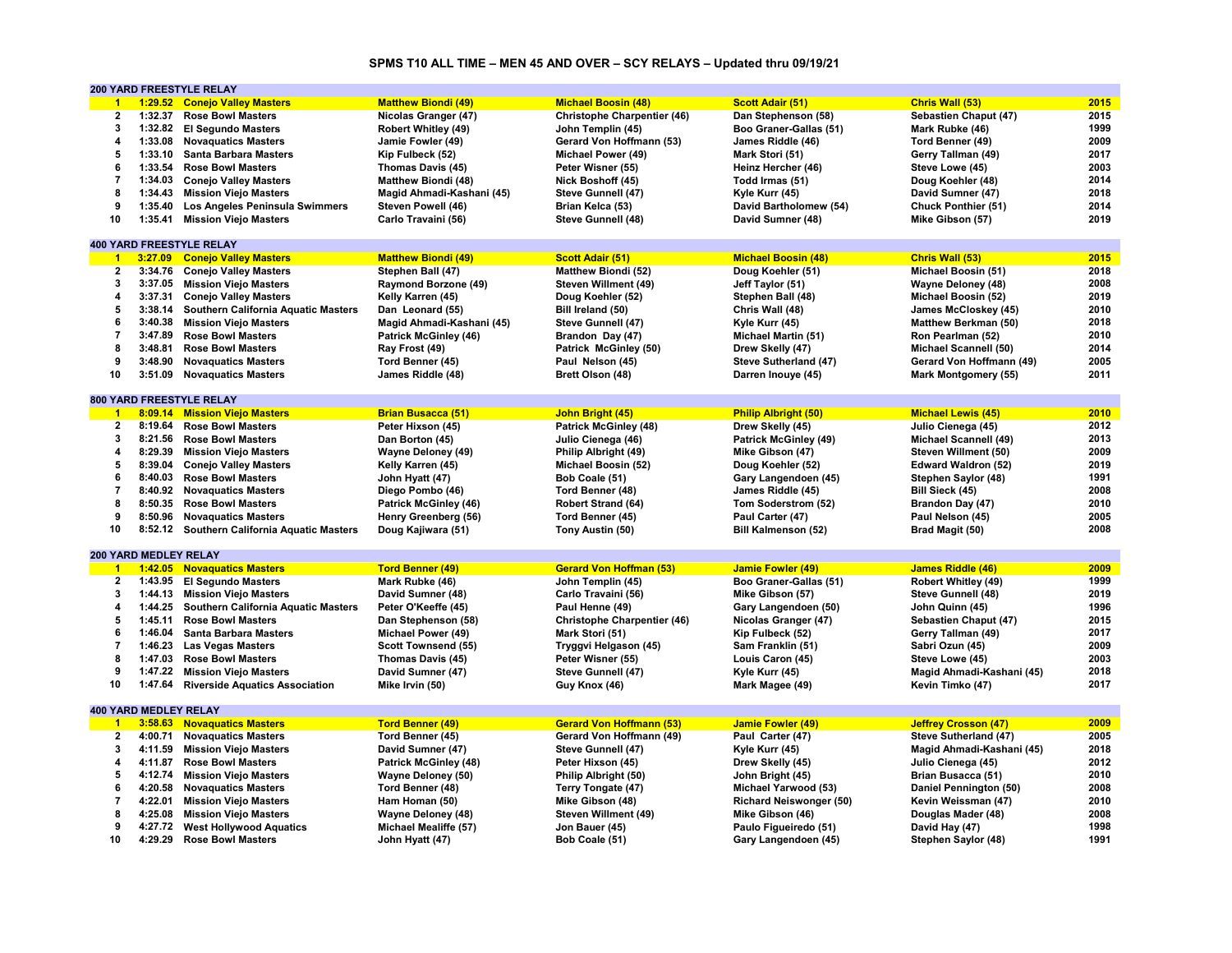# **SPMS T10 ALL TIME – MEN 45 AND OVER – SCY RELAYS – Updated thru 09/19/21**

|                         |                       | 200 YARD FREESTYLE RELAY                    |                              |                                    |                                |                             |      |
|-------------------------|-----------------------|---------------------------------------------|------------------------------|------------------------------------|--------------------------------|-----------------------------|------|
| $\blacktriangleleft$    |                       | 1:29.52 Conejo Valley Masters               | <b>Matthew Biondi (49)</b>   | <b>Michael Boosin (48)</b>         | <b>Scott Adair (51)</b>        | Chris Wall (53)             | 2015 |
| $\overline{\mathbf{2}}$ | 1:32.37               | <b>Rose Bowl Masters</b>                    | Nicolas Granger (47)         | <b>Christophe Charpentier (46)</b> | Dan Stephenson (58)            | Sebastien Chaput (47)       | 2015 |
| 3                       |                       | 1:32.82 El Segundo Masters                  | Robert Whitley (49)          | John Templin (45)                  | Boo Graner-Gallas (51)         | Mark Rubke (46)             | 1999 |
| 4                       |                       | 1:33.08 Novaguatics Masters                 | Jamie Fowler (49)            | Gerard Von Hoffmann (53)           | James Riddle (46)              | Tord Benner (49)            | 2009 |
| 5                       |                       | 1:33.10 Santa Barbara Masters               | Kip Fulbeck (52)             | Michael Power (49)                 | Mark Stori (51)                | Gerry Tallman (49)          | 2017 |
| 6                       | 1:33.54               | <b>Rose Bowl Masters</b>                    | Thomas Davis (45)            | Peter Wisner (55)                  | Heinz Hercher (46)             | Steve Lowe (45)             | 2003 |
| $\overline{7}$          |                       |                                             |                              |                                    |                                |                             |      |
|                         |                       | 1:34.03 Conejo Valley Masters               | <b>Matthew Biondi (48)</b>   | Nick Boshoff (45)                  | Todd Irmas (51)                | Doug Koehler (48)           | 2014 |
| 8                       |                       | 1:34.43 Mission Viejo Masters               | Magid Ahmadi-Kashani (45)    | Steve Gunnell (47)                 | Kyle Kurr (45)                 | David Sumner (47)           | 2018 |
| 9                       | 1:35.40               | Los Angeles Peninsula Swimmers              | Steven Powell (46)           | Brian Kelca (53)                   | David Bartholomew (54)         | <b>Chuck Ponthier (51)</b>  | 2014 |
| 10                      | 1:35.41               | <b>Mission Viejo Masters</b>                | Carlo Travaini (56)          | Steve Gunnell (48)                 | David Sumner (48)              | Mike Gibson (57)            | 2019 |
|                         |                       |                                             |                              |                                    |                                |                             |      |
|                         |                       | <b>400 YARD FREESTYLE RELAY</b>             |                              |                                    |                                |                             |      |
| $\overline{1}$          |                       | 3:27.09 Conejo Valley Masters               | <b>Matthew Biondi (49)</b>   | <b>Scott Adair (51)</b>            | <b>Michael Boosin (48)</b>     | Chris Wall (53)             | 2015 |
| $\overline{\mathbf{2}}$ |                       | 3:34.76 Conejo Valley Masters               | Stephen Ball (47)            | <b>Matthew Biondi (52)</b>         | Doug Koehler (51)              | Michael Boosin (51)         | 2018 |
| 3                       |                       | 3:37.05 Mission Viejo Masters               | <b>Raymond Borzone (49)</b>  | Steven Willment (49)               | Jeff Taylor (51)               | <b>Wayne Deloney (48)</b>   | 2008 |
| 4                       |                       | 3:37.31 Conejo Valley Masters               | Kelly Karren (45)            | Doug Koehler (52)                  | Stephen Ball (48)              | Michael Boosin (52)         | 2019 |
| 5                       | 3:38.14               | Southern California Aquatic Masters         | Dan Leonard (55)             | Bill Ireland (50)                  | Chris Wall (48)                | James McCloskey (45)        | 2010 |
| 6                       |                       | 3:40.38 Mission Viejo Masters               | Magid Ahmadi-Kashani (45)    | Steve Gunnell (47)                 | Kyle Kurr (45)                 | Matthew Berkman (50)        | 2018 |
| 7                       |                       | 3:47.89 Rose Bowl Masters                   | <b>Patrick McGinley (46)</b> |                                    |                                | Ron Pearlman (52)           | 2010 |
| 8                       | 3:48.81               |                                             |                              | Brandon Day (47)                   | <b>Michael Martin (51)</b>     |                             | 2014 |
|                         |                       | <b>Rose Bowl Masters</b>                    | Ray Frost (49)               | Patrick McGinley (50)              | Drew Skelly (47)               | Michael Scannell (50)       |      |
| 9                       |                       | 3:48.90 Novaquatics Masters                 | Tord Benner (45)             | Paul Nelson (45)                   | Steve Sutherland (47)          | Gerard Von Hoffmann (49)    | 2005 |
| 10                      | 3:51.09               | <b>Novaquatics Masters</b>                  | James Riddle (48)            | Brett Olson (48)                   | Darren Inouye (45)             | Mark Montgomery (55)        | 2011 |
|                         |                       |                                             |                              |                                    |                                |                             |      |
|                         |                       | <b>800 YARD FREESTYLE RELAY</b>             |                              |                                    |                                |                             |      |
| $\blacksquare$ 1        |                       | 8:09.14 Mission Viejo Masters               | <b>Brian Busacca (51)</b>    | John Bright (45)                   | <b>Philip Albright (50)</b>    | <b>Michael Lewis (45)</b>   | 2010 |
| $\mathbf{2}$            | 8:19.64               | <b>Rose Bowl Masters</b>                    | Peter Hixson (45)            | <b>Patrick McGinley (48)</b>       | Drew Skelly (45)               | Julio Cienega (45)          | 2012 |
| 3                       |                       | 8:21.56 Rose Bowl Masters                   | Dan Borton (45)              | Julio Cienega (46)                 | <b>Patrick McGinley (49)</b>   | Michael Scannell (49)       | 2013 |
| 4                       | 8:29.39               | <b>Mission Viejo Masters</b>                | Wayne Deloney (49)           | Philip Albright (49)               | Mike Gibson (47)               | Steven Willment (50)        | 2009 |
| 5                       | 8:39.04               | <b>Conejo Valley Masters</b>                | Kelly Karren (45)            | Michael Boosin (52)                | Doug Koehler (52)              | Edward Waldron (52)         | 2019 |
| 6                       | 8:40.03               | <b>Rose Bowl Masters</b>                    | John Hyatt (47)              | Bob Coale (51)                     | Gary Langendoen (45)           | Stephen Saylor (48)         | 1991 |
| $\overline{7}$          |                       | 8:40.92 Novaquatics Masters                 | Diego Pombo (46)             | Tord Benner (48)                   | James Riddle (45)              | Bill Sieck (45)             | 2008 |
| 8                       | 8:50.35               | <b>Rose Bowl Masters</b>                    | <b>Patrick McGinley (46)</b> | <b>Robert Strand (64)</b>          | Tom Soderstrom (52)            | Brandon Day (47)            | 2010 |
| 9                       | 8:50.96               |                                             |                              |                                    |                                |                             | 2005 |
|                         |                       | <b>Novaguatics Masters</b>                  | Henry Greenberg (56)         | Tord Benner (45)                   | Paul Carter (47)               | Paul Nelson (45)            |      |
| 10                      |                       | 8:52.12 Southern California Aquatic Masters | Doug Kajiwara (51)           | Tony Austin (50)                   | <b>Bill Kalmenson (52)</b>     | Brad Magit (50)             | 2008 |
|                         |                       |                                             |                              |                                    |                                |                             |      |
|                         | 200 YARD MEDLEY RELAY |                                             |                              |                                    |                                |                             |      |
| $\blacksquare$          |                       | 1:42.05 Novaguatics Masters                 | <b>Tord Benner (49)</b>      | <b>Gerard Von Hoffman (53)</b>     | <b>Jamie Fowler (49)</b>       | <b>James Riddle (46)</b>    | 2009 |
| $\mathbf{2}$            |                       | 1:43.95 El Segundo Masters                  | Mark Rubke (46)              | John Templin (45)                  | Boo Graner-Gallas (51)         | Robert Whitley (49)         | 1999 |
| 3                       |                       | 1:44.13 Mission Viejo Masters               | David Sumner (48)            | Carlo Travaini (56)                | Mike Gibson (57)               | Steve Gunnell (48)          | 2019 |
| 4                       | 1:44.25               | <b>Southern California Aquatic Masters</b>  | Peter O'Keeffe (45)          | Paul Henne (49)                    | Gary Langendoen (50)           | John Quinn (45)             | 1996 |
| 5                       | 1:45.11               | <b>Rose Bowl Masters</b>                    | Dan Stephenson (58)          | <b>Christophe Charpentier (46)</b> | Nicolas Granger (47)           | Sebastien Chaput (47)       | 2015 |
| 6                       |                       | 1:46.04 Santa Barbara Masters               | Michael Power (49)           | Mark Stori (51)                    | Kip Fulbeck (52)               | Gerry Tallman (49)          | 2017 |
| $\overline{7}$          | 1:46.23               | <b>Las Vegas Masters</b>                    | Scott Townsend (55)          | Tryggvi Helgason (45)              | Sam Franklin (51)              | Sabri Ozun (45)             | 2009 |
| 8                       |                       | 1:47.03 Rose Bowl Masters                   | Thomas Davis (45)            | Peter Wisner (55)                  | Louis Caron (45)               | Steve Lowe (45)             | 2003 |
| 9                       | 1:47.22               | <b>Mission Viejo Masters</b>                | David Sumner (47)            | Steve Gunnell (47)                 | Kyle Kurr (45)                 | Magid Ahmadi-Kashani (45)   | 2018 |
| 10                      |                       | 1:47.64 Riverside Aquatics Association      | Mike Irvin (50)              |                                    |                                | Kevin Timko (47)            | 2017 |
|                         |                       |                                             |                              | Guy Knox (46)                      | Mark Magee (49)                |                             |      |
|                         |                       |                                             |                              |                                    |                                |                             |      |
|                         | 400 YARD MEDLEY RELAY |                                             |                              |                                    |                                |                             |      |
| $\blacktriangleleft$    |                       | 3:58.63 Novaquatics Masters                 | <b>Tord Benner (49)</b>      | <b>Gerard Von Hoffmann (53)</b>    | <b>Jamie Fowler (49)</b>       | <b>Jeffrey Crosson (47)</b> | 2009 |
| $\overline{2}$          | 4:00.71               | <b>Novaquatics Masters</b>                  | Tord Benner (45)             | Gerard Von Hoffmann (49)           | Paul Carter (47)               | Steve Sutherland (47)       | 2005 |
| 3                       | 4:11.59               | <b>Mission Viejo Masters</b>                | David Sumner (47)            | Steve Gunnell (47)                 | Kyle Kurr (45)                 | Magid Ahmadi-Kashani (45)   | 2018 |
| 4                       | 4:11.87               | <b>Rose Bowl Masters</b>                    | <b>Patrick McGinley (48)</b> | Peter Hixson (45)                  | Drew Skelly (45)               | Julio Cienega (45)          | 2012 |
| 5                       |                       | 4:12.74 Mission Viejo Masters               | Wayne Deloney (50)           | Philip Albright (50)               | John Bright (45)               | Brian Busacca (51)          | 2010 |
| 6                       | 4:20.58               | <b>Novaquatics Masters</b>                  | Tord Benner (48)             | Terry Tongate (47)                 | Michael Yarwood (53)           | Daniel Pennington (50)      | 2008 |
| $\overline{7}$          | 4:22.01               | <b>Mission Viejo Masters</b>                | Ham Homan (50)               | Mike Gibson (48)                   | <b>Richard Neiswonger (50)</b> | Kevin Weissman (47)         | 2010 |
| 8                       | 4:25.08               | <b>Mission Viejo Masters</b>                | <b>Wayne Deloney (48)</b>    | Steven Willment (49)               | Mike Gibson (46)               | Douglas Mader (48)          | 2008 |
| 9                       |                       | 4:27.72 West Hollywood Aquatics             | Michael Mealiffe (57)        | Jon Bauer (45)                     | Paulo Figueiredo (51)          | David Hay (47)              | 1998 |
| 10                      |                       | 4:29.29 Rose Bowl Masters                   | John Hyatt (47)              | Bob Coale (51)                     | Gary Langendoen (45)           | Stephen Saylor (48)         | 1991 |
|                         |                       |                                             |                              |                                    |                                |                             |      |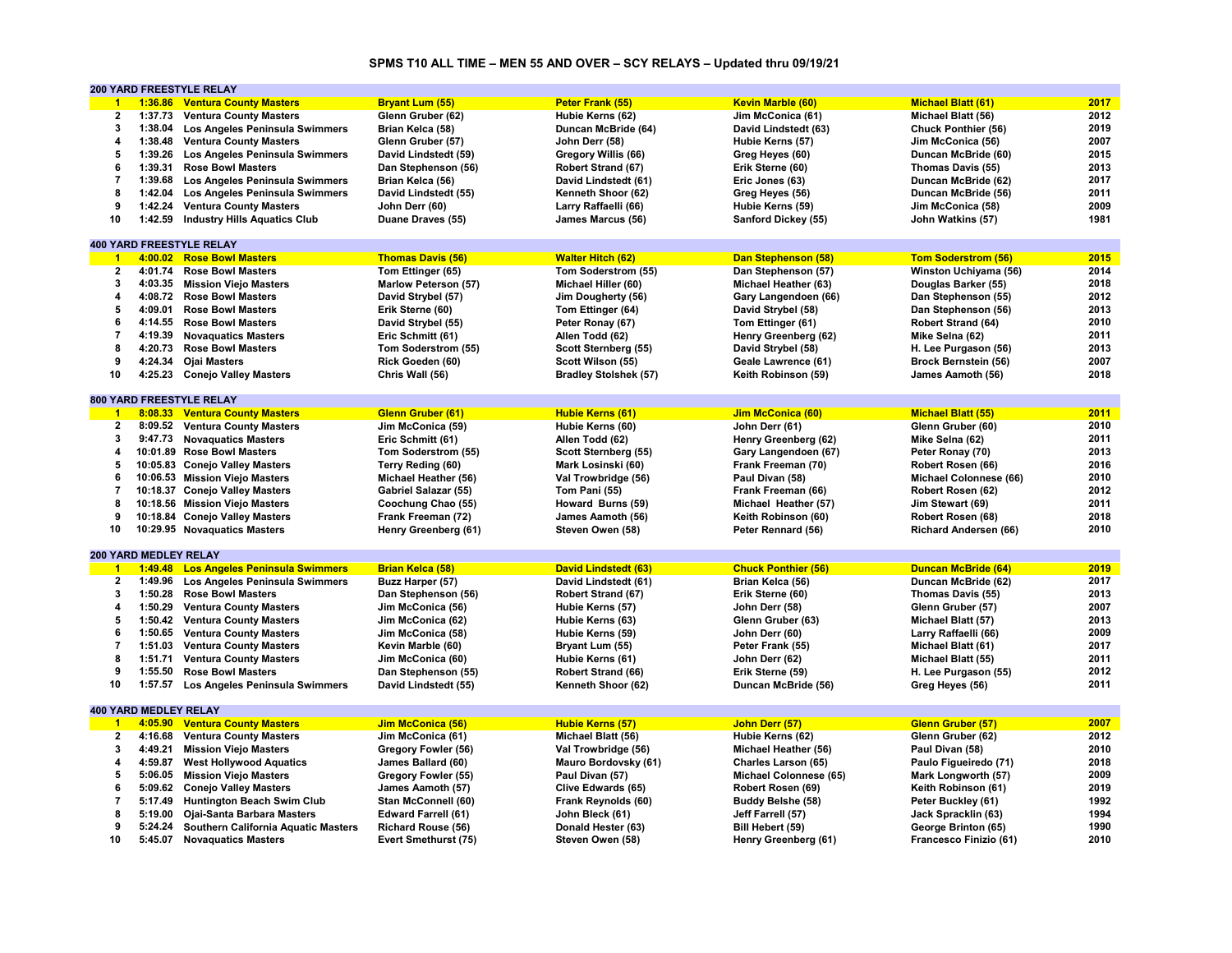# **SPMS T10 ALL TIME – MEN 55 AND OVER – SCY RELAYS – Updated thru 09/19/21**

|                |                       | <b>200 YARD FREESTYLE RELAY</b>             |                            |                              |                            |                             |      |
|----------------|-----------------------|---------------------------------------------|----------------------------|------------------------------|----------------------------|-----------------------------|------|
| $\overline{1}$ |                       | 1:36.86 Ventura County Masters              | <b>Bryant Lum (55)</b>     | Peter Frank (55)             | <b>Kevin Marble (60)</b>   | <b>Michael Blatt (61)</b>   | 2017 |
| $\mathbf{2}$   |                       | 1:37.73 Ventura County Masters              | Glenn Gruber (62)          | Hubie Kerns (62)             | Jim McConica (61)          | Michael Blatt (56)          | 2012 |
| 3              |                       | 1:38.04 Los Angeles Peninsula Swimmers      | Brian Kelca (58)           | Duncan McBride (64)          | David Lindstedt (63)       | Chuck Ponthier (56)         | 2019 |
| 4              | 1:38.48               | <b>Ventura County Masters</b>               | Glenn Gruber (57)          | John Derr (58)               | Hubie Kerns (57)           | Jim McConica (56)           | 2007 |
| 5              |                       | 1:39.26 Los Angeles Peninsula Swimmers      | David Lindstedt (59)       | Gregory Willis (66)          | Greg Heyes (60)            | Duncan McBride (60)         | 2015 |
| 6              | 1:39.31               | <b>Rose Bowl Masters</b>                    | Dan Stephenson (56)        | Robert Strand (67)           | Erik Sterne (60)           | Thomas Davis (55)           | 2013 |
| $\overline{7}$ | 1:39.68               |                                             |                            |                              |                            |                             | 2017 |
|                |                       | Los Angeles Peninsula Swimmers              | Brian Kelca (56)           | David Lindstedt (61)         | Eric Jones (63)            | Duncan McBride (62)         |      |
| 8              |                       | 1:42.04 Los Angeles Peninsula Swimmers      | David Lindstedt (55)       | Kenneth Shoor (62)           | Greg Heyes (56)            | Duncan McBride (56)         | 2011 |
| 9              | 1:42.24               | <b>Ventura County Masters</b>               | John Derr (60)             | Larry Raffaelli (66)         | Hubie Kerns (59)           | Jim McConica (58)           | 2009 |
| 10             |                       | 1:42.59 Industry Hills Aquatics Club        | Duane Draves (55)          | James Marcus (56)            | Sanford Dickey (55)        | John Watkins (57)           | 1981 |
|                |                       |                                             |                            |                              |                            |                             |      |
|                |                       | <b>400 YARD FREESTYLE RELAY</b>             |                            |                              |                            |                             |      |
| $\overline{1}$ |                       | 4:00.02 Rose Bowl Masters                   | <b>Thomas Davis (56)</b>   | <b>Walter Hitch (62)</b>     | Dan Stephenson (58)        | <b>Tom Soderstrom (56)</b>  | 2015 |
| $\mathbf{2}$   | 4:01.74               | <b>Rose Bowl Masters</b>                    | Tom Ettinger (65)          | Tom Soderstrom (55)          | Dan Stephenson (57)        | Winston Uchiyama (56)       | 2014 |
| 3              |                       | 4:03.35 Mission Viejo Masters               | Marlow Peterson (57)       | Michael Hiller (60)          | Michael Heather (63)       | Douglas Barker (55)         | 2018 |
| 4              |                       | 4:08.72 Rose Bowl Masters                   | David Strybel (57)         | Jim Dougherty (56)           | Gary Langendoen (66)       | Dan Stephenson (55)         | 2012 |
| 5              | 4:09.01               | <b>Rose Bowl Masters</b>                    | Erik Sterne (60)           | Tom Ettinger (64)            | David Strybel (58)         | Dan Stephenson (56)         | 2013 |
| 6              |                       | 4:14.55 Rose Bowl Masters                   | David Strybel (55)         | Peter Ronay (67)             | Tom Ettinger (61)          | Robert Strand (64)          | 2010 |
| $\overline{7}$ |                       | 4:19.39 Novaquatics Masters                 | Eric Schmitt (61)          | Allen Todd (62)              | Henry Greenberg (62)       | Mike Selna (62)             | 2011 |
| 8              |                       | 4:20.73 Rose Bowl Masters                   | Tom Soderstrom (55)        | Scott Sternberg (55)         | David Strybel (58)         | H. Lee Purgason (56)        | 2013 |
| 9              |                       | 4:24.34 Ojai Masters                        | Rick Goeden (60)           | Scott Wilson (55)            | Geale Lawrence (61)        | <b>Brock Bernstein (56)</b> | 2007 |
| 10             |                       |                                             |                            |                              |                            |                             | 2018 |
|                |                       | 4:25.23 Conejo Valley Masters               | Chris Wall (56)            | <b>Bradley Stolshek (57)</b> | Keith Robinson (59)        | James Aamoth (56)           |      |
|                |                       |                                             |                            |                              |                            |                             |      |
|                |                       | 800 YARD FREESTYLE RELAY                    |                            |                              |                            |                             |      |
| $\mathbf{1}$   |                       | 8:08.33 Ventura County Masters              | Glenn Gruber (61)          | <b>Hubie Kerns (61)</b>      | <b>Jim McConica (60)</b>   | <b>Michael Blatt (55)</b>   | 2011 |
| $\mathbf{2}$   |                       | 8:09.52 Ventura County Masters              | Jim McConica (59)          | Hubie Kerns (60)             | John Derr (61)             | Glenn Gruber (60)           | 2010 |
| 3              |                       | 9:47.73 Novaguatics Masters                 | Eric Schmitt (61)          | Allen Todd (62)              | Henry Greenberg (62)       | Mike Selna (62)             | 2011 |
| 4              |                       | 10:01.89 Rose Bowl Masters                  | Tom Soderstrom (55)        | Scott Sternberg (55)         | Gary Langendoen (67)       | Peter Ronay (70)            | 2013 |
| 5              |                       | 10:05.83 Conejo Valley Masters              | Terry Reding (60)          | Mark Losinski (60)           | Frank Freeman (70)         | Robert Rosen (66)           | 2016 |
| 6              |                       | 10:06.53 Mission Viejo Masters              | Michael Heather (56)       | Val Trowbridge (56)          | Paul Divan (58)            | Michael Colonnese (66)      | 2010 |
| $\overline{7}$ |                       | 10:18.37 Conejo Valley Masters              | Gabriel Salazar (55)       | Tom Pani (55)                | Frank Freeman (66)         | Robert Rosen (62)           | 2012 |
| 8              |                       | 10:18.56 Mission Viejo Masters              | Coochung Chao (55)         | Howard Burns (59)            | Michael Heather (57)       | Jim Stewart (69)            | 2011 |
| 9              |                       | 10:18.84 Conejo Valley Masters              | Frank Freeman (72)         | James Aamoth (56)            | Keith Robinson (60)        | Robert Rosen (68)           | 2018 |
| 10             |                       | 10:29.95 Novaquatics Masters                | Henry Greenberg (61)       | Steven Owen (58)             | Peter Rennard (56)         | Richard Andersen (66)       | 2010 |
|                |                       |                                             |                            |                              |                            |                             |      |
|                | 200 YARD MEDLEY RELAY |                                             |                            |                              |                            |                             |      |
| $\blacksquare$ |                       | 1:49.48 Los Angeles Peninsula Swimmers      | <b>Brian Kelca (58)</b>    | <b>David Lindstedt (63)</b>  | <b>Chuck Ponthier (56)</b> | <b>Duncan McBride (64)</b>  | 2019 |
| $\overline{2}$ |                       | 1:49.96 Los Angeles Peninsula Swimmers      |                            | David Lindstedt (61)         |                            | Duncan McBride (62)         | 2017 |
|                |                       |                                             | Buzz Harper (57)           |                              | Brian Kelca (56)           |                             |      |
| 3              | 1:50.28               | <b>Rose Bowl Masters</b>                    | Dan Stephenson (56)        | Robert Strand (67)           | Erik Sterne (60)           | Thomas Davis (55)           | 2013 |
| 4              |                       | 1:50.29 Ventura County Masters              | Jim McConica (56)          | Hubie Kerns (57)             | John Derr (58)             | Glenn Gruber (57)           | 2007 |
| 5              |                       | 1:50.42 Ventura County Masters              | Jim McConica (62)          | Hubie Kerns (63)             | Glenn Gruber (63)          | Michael Blatt (57)          | 2013 |
| 6              |                       | 1:50.65 Ventura County Masters              | Jim McConica (58)          | Hubie Kerns (59)             | John Derr (60)             | Larry Raffaelli (66)        | 2009 |
| $\overline{7}$ |                       | 1:51.03 Ventura County Masters              | Kevin Marble (60)          | Bryant Lum (55)              | Peter Frank (55)           | Michael Blatt (61)          | 2017 |
| 8              |                       | 1:51.71 Ventura County Masters              | Jim McConica (60)          | Hubie Kerns (61)             | John Derr (62)             | Michael Blatt (55)          | 2011 |
| 9              | 1:55.50               | <b>Rose Bowl Masters</b>                    | Dan Stephenson (55)        | Robert Strand (66)           | Erik Sterne (59)           | H. Lee Purgason (55)        | 2012 |
| 10             |                       | 1:57.57 Los Angeles Peninsula Swimmers      | David Lindstedt (55)       | Kenneth Shoor (62)           | Duncan McBride (56)        | Greg Heyes (56)             | 2011 |
|                |                       |                                             |                            |                              |                            |                             |      |
|                | 400 YARD MEDLEY RELAY |                                             |                            |                              |                            |                             |      |
| $\overline{1}$ |                       | 4:05.90 Ventura County Masters              | Jim McConica (56)          | <b>Hubie Kerns (57)</b>      | John Derr (57)             | Glenn Gruber (57)           | 2007 |
| $\overline{2}$ | 4:16.68               | <b>Ventura County Masters</b>               | Jim McConica (61)          | Michael Blatt (56)           | Hubie Kerns (62)           | Glenn Gruber (62)           | 2012 |
| 3              | 4:49.21               | <b>Mission Viejo Masters</b>                | Gregory Fowler (56)        | Val Trowbridge (56)          | Michael Heather (56)       | Paul Divan (58)             | 2010 |
| 4              | 4:59.87               | <b>West Hollywood Aquatics</b>              | James Ballard (60)         | Mauro Bordovsky (61)         | Charles Larson (65)        | Paulo Figueiredo (71)       | 2018 |
| 5              |                       | 5:06.05 Mission Viejo Masters               |                            |                              |                            |                             | 2009 |
|                |                       |                                             | Gregory Fowler (55)        | Paul Divan (57)              | Michael Colonnese (65)     | Mark Longworth (57)         |      |
| 6              | 5:09.62               | <b>Conejo Valley Masters</b>                | James Aamoth (57)          | Clive Edwards (65)           | Robert Rosen (69)          | Keith Robinson (61)         | 2019 |
| 7              |                       | 5:17.49 Huntington Beach Swim Club          | Stan McConnell (60)        | Frank Reynolds (60)          | Buddy Belshe (58)          | Peter Buckley (61)          | 1992 |
| 8              | 5:19.00               | Ojai-Santa Barbara Masters                  | <b>Edward Farrell (61)</b> | John Bleck (61)              | Jeff Farrell (57)          | Jack Spracklin (63)         | 1994 |
| 9              |                       | 5:24.24 Southern California Aquatic Masters | <b>Richard Rouse (56)</b>  | Donald Hester (63)           | Bill Hebert (59)           | George Brinton (65)         | 1990 |
| 10             |                       | 5:45.07 Novaquatics Masters                 | Evert Smethurst (75)       | Steven Owen (58)             | Henry Greenberg (61)       | Francesco Finizio (61)      | 2010 |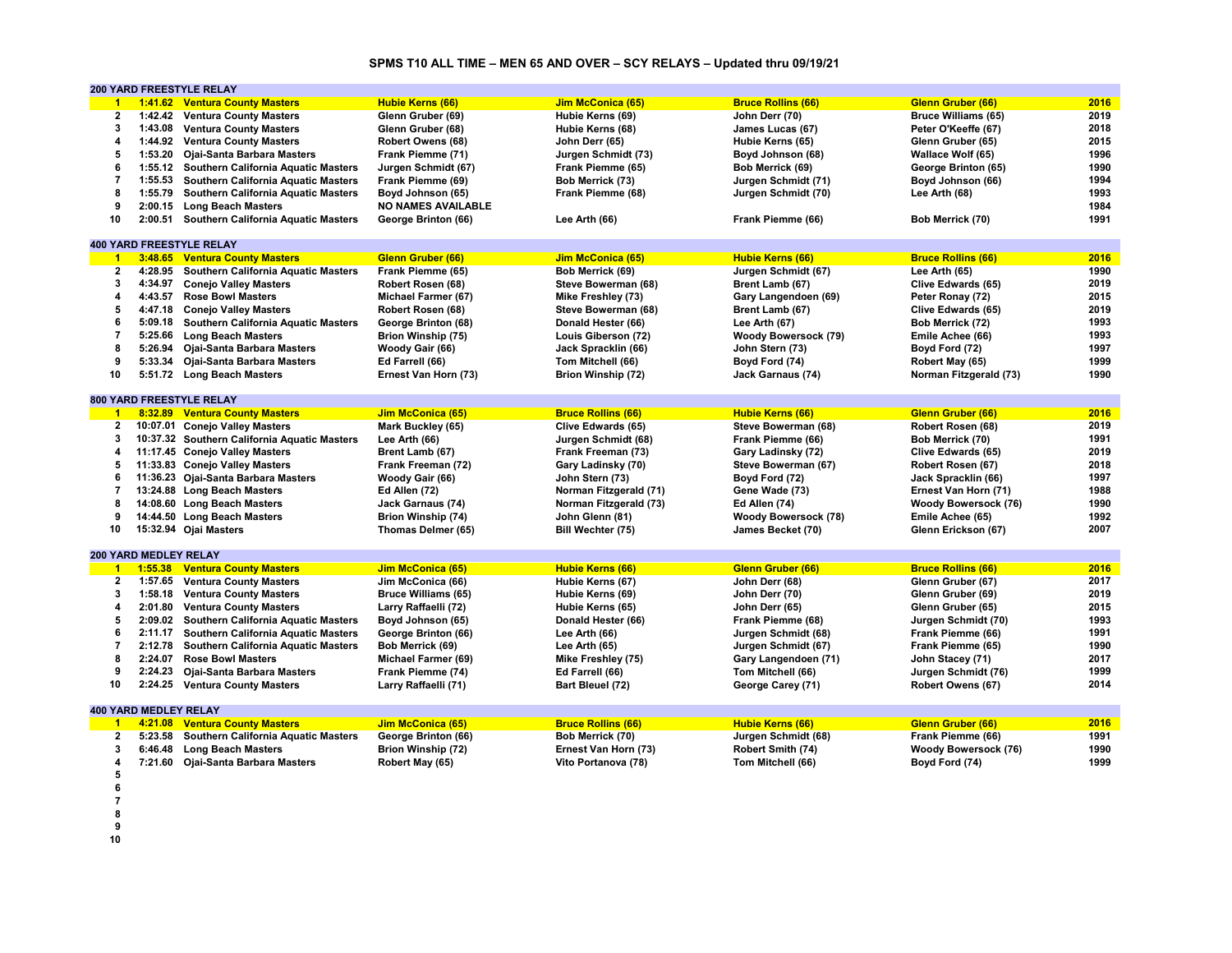# **SPMS T10 ALL TIME – MEN 65 AND OVER – SCY RELAYS – Updated thru 09/19/21**

|                |                              | <b>200 YARD FREESTYLE RELAY</b>              |                            |                           |                             |                             |      |
|----------------|------------------------------|----------------------------------------------|----------------------------|---------------------------|-----------------------------|-----------------------------|------|
| $\overline{1}$ |                              | 1:41.62 Ventura County Masters               | <b>Hubie Kerns (66)</b>    | Jim McConica (65)         | <b>Bruce Rollins (66)</b>   | <b>Glenn Gruber (66)</b>    | 2016 |
| $\mathbf{2}$   |                              | 1:42.42 Ventura County Masters               | Glenn Gruber (69)          | Hubie Kerns (69)          | John Derr (70)              | <b>Bruce Williams (65)</b>  | 2019 |
| 3              |                              | 1:43.08 Ventura County Masters               | Glenn Gruber (68)          | Hubie Kerns (68)          | James Lucas (67)            | Peter O'Keeffe (67)         | 2018 |
| 4              |                              | 1:44.92 Ventura County Masters               | Robert Owens (68)          | John Derr (65)            | Hubie Kerns (65)            | Glenn Gruber (65)           | 2015 |
| 5              |                              | 1:53.20 Ojai-Santa Barbara Masters           | Frank Piemme (71)          | Jurgen Schmidt (73)       | Boyd Johnson (68)           | Wallace Wolf (65)           | 1996 |
| 6              |                              | 1:55.12 Southern California Aquatic Masters  | Jurgen Schmidt (67)        | Frank Piemme (65)         | Bob Merrick (69)            | George Brinton (65)         | 1990 |
| $\overline{7}$ |                              | 1:55.53 Southern California Aquatic Masters  | Frank Piemme (69)          | Bob Merrick (73)          | Jurgen Schmidt (71)         | Boyd Johnson (66)           | 1994 |
| 8              |                              | 1:55.79 Southern California Aquatic Masters  | Boyd Johnson (65)          | Frank Piemme (68)         | Jurgen Schmidt (70)         | Lee Arth (68)               | 1993 |
| 9              |                              | 2:00.15 Long Beach Masters                   | <b>NO NAMES AVAILABLE</b>  |                           |                             |                             | 1984 |
| 10             |                              | 2:00.51 Southern California Aquatic Masters  | George Brinton (66)        | Lee Arth (66)             | Frank Piemme (66)           | Bob Merrick (70)            | 1991 |
|                |                              |                                              |                            |                           |                             |                             |      |
|                |                              | <b>400 YARD FREESTYLE RELAY</b>              |                            |                           |                             |                             |      |
| $-1$           |                              | 3:48.65 Ventura County Masters               | <b>Glenn Gruber (66)</b>   | Jim McConica (65)         | <b>Hubie Kerns (66)</b>     | <b>Bruce Rollins (66)</b>   | 2016 |
| $\mathbf{2}$   |                              | 4:28.95 Southern California Aquatic Masters  | Frank Piemme (65)          | Bob Merrick (69)          | Jurgen Schmidt (67)         | Lee Arth (65)               | 1990 |
| 3              | 4:34.97                      | <b>Conejo Valley Masters</b>                 | Robert Rosen (68)          | Steve Bowerman (68)       | Brent Lamb (67)             | Clive Edwards (65)          | 2019 |
| 4              |                              | 4:43.57 Rose Bowl Masters                    | Michael Farmer (67)        | Mike Freshley (73)        | Gary Langendoen (69)        | Peter Ronay (72)            | 2015 |
| 5              |                              | 4:47.18 Conejo Valley Masters                | Robert Rosen (68)          | Steve Bowerman (68)       | Brent Lamb (67)             | Clive Edwards (65)          | 2019 |
| 6              |                              | 5:09.18 Southern California Aquatic Masters  | George Brinton (68)        | Donald Hester (66)        | Lee Arth (67)               | Bob Merrick (72)            | 1993 |
| $\overline{7}$ | 5:25.66                      | <b>Long Beach Masters</b>                    | Brion Winship (75)         | Louis Giberson (72)       | <b>Woody Bowersock (79)</b> | Emile Achee (66)            | 1993 |
| 8              |                              | 5:26.94 Ojai-Santa Barbara Masters           | Woody Gair (66)            | Jack Spracklin (66)       | John Stern (73)             | Boyd Ford (72)              | 1997 |
| 9              |                              | 5:33.34 Ojai-Santa Barbara Masters           | Ed Farrell (66)            | Tom Mitchell (66)         | Boyd Ford (74)              | Robert May (65)             | 1999 |
| 10             |                              | 5:51.72 Long Beach Masters                   | Ernest Van Horn (73)       | Brion Winship (72)        | Jack Garnaus (74)           | Norman Fitzgerald (73)      | 1990 |
|                |                              |                                              |                            |                           |                             |                             |      |
|                |                              | 800 YARD FREESTYLE RELAY                     |                            |                           |                             |                             |      |
| $\mathbf{1}$   |                              | 8:32.89 Ventura County Masters               | Jim McConica (65)          | <b>Bruce Rollins (66)</b> | <b>Hubie Kerns (66)</b>     | Glenn Gruber (66)           | 2016 |
| $\mathbf{2}$   |                              | 10:07.01 Conejo Valley Masters               | Mark Buckley (65)          | Clive Edwards (65)        | Steve Bowerman (68)         | Robert Rosen (68)           | 2019 |
| 3              |                              | 10:37.32 Southern California Aquatic Masters | Lee Arth (66)              | Jurgen Schmidt (68)       | Frank Piemme (66)           | Bob Merrick (70)            | 1991 |
| 4              |                              | 11:17.45 Conejo Valley Masters               | Brent Lamb (67)            | Frank Freeman (73)        | Gary Ladinsky (72)          | Clive Edwards (65)          | 2019 |
| 5              |                              | 11:33.83 Conejo Valley Masters               | Frank Freeman (72)         | Gary Ladinsky (70)        | Steve Bowerman (67)         | Robert Rosen (67)           | 2018 |
| 6              |                              | 11:36.23 Ojai-Santa Barbara Masters          | Woody Gair (66)            | John Stern (73)           | Boyd Ford (72)              | Jack Spracklin (66)         | 1997 |
| $\overline{7}$ |                              | 13:24.88 Long Beach Masters                  | Ed Allen (72)              | Norman Fitzgerald (71)    | Gene Wade (73)              | Ernest Van Horn (71)        | 1988 |
| 8              |                              | 14:08.60 Long Beach Masters                  | Jack Garnaus (74)          | Norman Fitzgerald (73)    | Ed Allen (74)               | Woody Bowersock (76)        | 1990 |
| 9              |                              | 14:44.50 Long Beach Masters                  | <b>Brion Winship (74)</b>  | John Glenn (81)           | <b>Woody Bowersock (78)</b> | Emile Achee (65)            | 1992 |
| 10             |                              | 15:32.94 Ojai Masters                        | Thomas Delmer (65)         | Bill Wechter (75)         | James Becket (70)           | Glenn Erickson (67)         | 2007 |
|                |                              |                                              |                            |                           |                             |                             |      |
|                | <b>200 YARD MEDLEY RELAY</b> |                                              |                            |                           |                             |                             |      |
| $\blacksquare$ |                              | 1:55.38 Ventura County Masters               | Jim McConica (65)          | <b>Hubie Kerns (66)</b>   | <b>Glenn Gruber (66)</b>    | <b>Bruce Rollins (66)</b>   | 2016 |
| $\mathbf{2}$   | 1:57.65                      | <b>Ventura County Masters</b>                | Jim McConica (66)          | Hubie Kerns (67)          | John Derr (68)              | Glenn Gruber (67)           | 2017 |
| 3              |                              | 1:58.18 Ventura County Masters               | <b>Bruce Williams (65)</b> | Hubie Kerns (69)          | John Derr (70)              | Glenn Gruber (69)           | 2019 |
| 4              | 2:01.80                      | <b>Ventura County Masters</b>                | Larry Raffaelli (72)       | Hubie Kerns (65)          | John Derr (65)              | Glenn Gruber (65)           | 2015 |
| 5              |                              | 2:09.02 Southern California Aquatic Masters  | Boyd Johnson (65)          | Donald Hester (66)        | Frank Piemme (68)           | Jurgen Schmidt (70)         | 1993 |
| 6              | 2:11.17                      | <b>Southern California Aquatic Masters</b>   | George Brinton (66)        | Lee Arth (66)             | Jurgen Schmidt (68)         | Frank Piemme (66)           | 1991 |
| $\overline{7}$ |                              | 2:12.78 Southern California Aquatic Masters  | Bob Merrick (69)           | Lee Arth (65)             | Jurgen Schmidt (67)         | Frank Piemme (65)           | 1990 |
| 8              | 2:24.07                      | <b>Rose Bowl Masters</b>                     | Michael Farmer (69)        | Mike Freshley (75)        | Gary Langendoen (71)        | John Stacey (71)            | 2017 |
| 9              |                              | 2:24.23 Ojai-Santa Barbara Masters           | Frank Piemme (74)          | Ed Farrell (66)           | Tom Mitchell (66)           | Jurgen Schmidt (76)         | 1999 |
| 10             |                              | 2:24.25 Ventura County Masters               | Larry Raffaelli (71)       | Bart Bleuel (72)          | George Carey (71)           | Robert Owens (67)           | 2014 |
|                |                              |                                              |                            |                           |                             |                             |      |
|                | <b>400 YARD MEDLEY RELAY</b> |                                              |                            |                           |                             |                             |      |
| $-1$           |                              | 4:21.08 Ventura County Masters               | Jim McConica (65)          | <b>Bruce Rollins (66)</b> | Hubie Kerns (66)            | Glenn Gruber (66)           | 2016 |
| $\mathbf{2}$   |                              | 5:23.58 Southern California Aquatic Masters  | George Brinton (66)        | Bob Merrick (70)          | Jurgen Schmidt (68)         | Frank Piemme (66)           | 1991 |
| 3              | 6:46.48                      | <b>Long Beach Masters</b>                    | <b>Brion Winship (72)</b>  | Ernest Van Horn (73)      | Robert Smith (74)           | <b>Woody Bowersock (76)</b> | 1990 |
|                |                              | 7:21.60 Ojai-Santa Barbara Masters           | Robert May (65)            | Vito Portanova (78)       | Tom Mitchell (66)           | Boyd Ford (74)              | 1999 |
| 5              |                              |                                              |                            |                           |                             |                             |      |
| 6              |                              |                                              |                            |                           |                             |                             |      |

- **7**
- **8**
- **9**
- **10**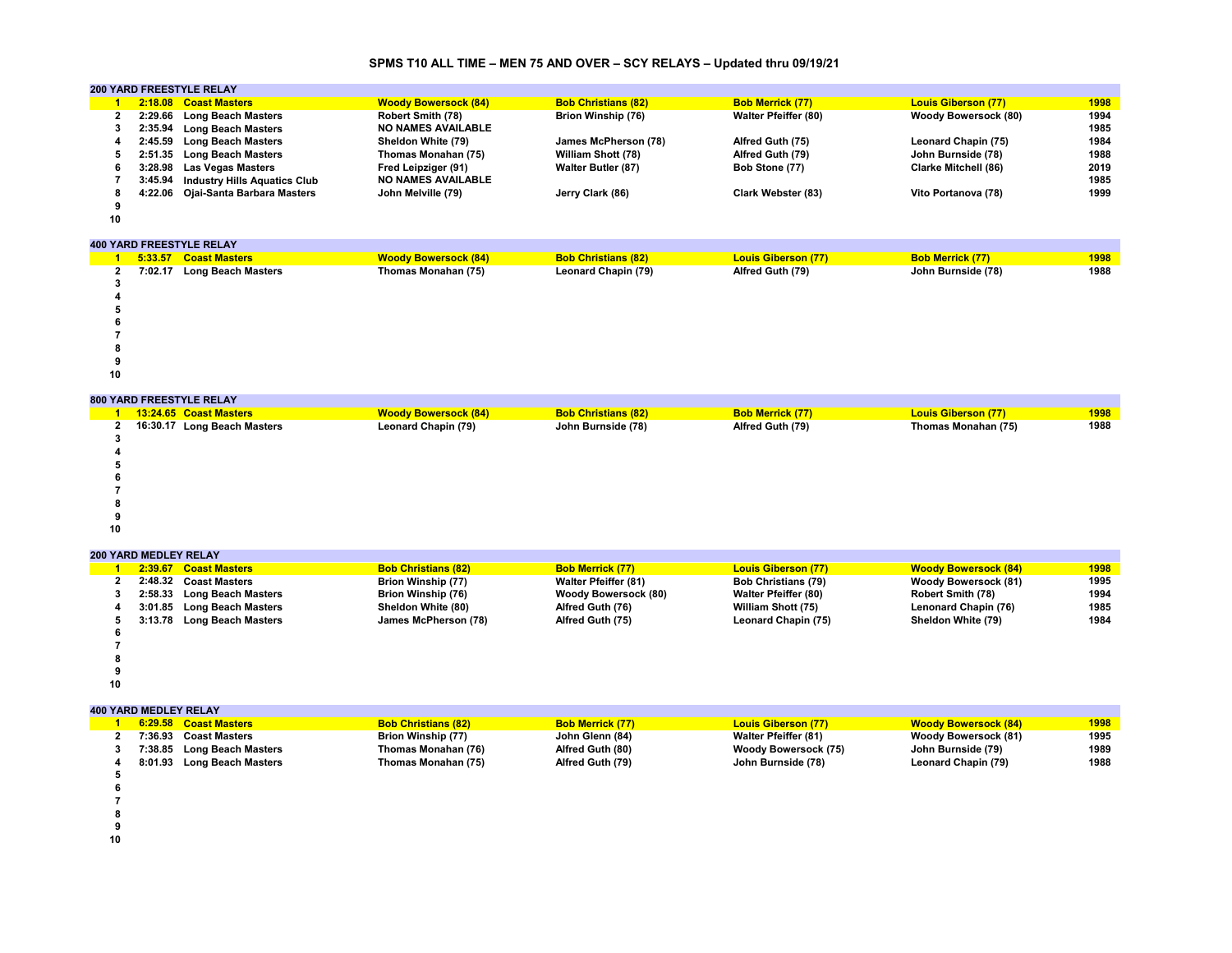# **SPMS T10 ALL TIME – MEN 75 AND OVER – SCY RELAYS – Updated thru 09/19/21**

|    | <b>200 YARD FREESTYLE RELAY</b> |                                     |                             |                            |                             |                             |      |  |  |  |  |
|----|---------------------------------|-------------------------------------|-----------------------------|----------------------------|-----------------------------|-----------------------------|------|--|--|--|--|
|    |                                 | 2:18.08 Coast Masters               | <b>Woody Bowersock (84)</b> | <b>Bob Christians (82)</b> | <b>Bob Merrick (77)</b>     | <b>Louis Giberson (77)</b>  | 1998 |  |  |  |  |
|    |                                 | 2:29.66 Long Beach Masters          | Robert Smith (78)           | Brion Winship (76)         | <b>Walter Pfeiffer (80)</b> | <b>Woody Bowersock (80)</b> | 1994 |  |  |  |  |
|    |                                 | 2:35.94 Long Beach Masters          | <b>NO NAMES AVAILABLE</b>   |                            |                             |                             | 1985 |  |  |  |  |
|    |                                 | 2:45.59 Long Beach Masters          | Sheldon White (79)          | James McPherson (78)       | Alfred Guth (75)            | Leonard Chapin (75)         | 1984 |  |  |  |  |
|    |                                 | 2:51.35 Long Beach Masters          | Thomas Monahan (75)         | <b>William Shott (78)</b>  | Alfred Guth (79)            | John Burnside (78)          | 1988 |  |  |  |  |
|    |                                 | 3:28.98 Las Vegas Masters           | Fred Leipziger (91)         | <b>Walter Butler (87)</b>  | Bob Stone (77)              | <b>Clarke Mitchell (86)</b> | 2019 |  |  |  |  |
|    | 3:45.94                         | <b>Industry Hills Aquatics Club</b> | <b>NO NAMES AVAILABLE</b>   |                            |                             |                             | 1985 |  |  |  |  |
|    |                                 | 4:22.06 Ojai-Santa Barbara Masters  | John Melville (79)          | Jerry Clark (86)           | Clark Webster (83)          | Vito Portanova (78)         | 1999 |  |  |  |  |
|    |                                 |                                     |                             |                            |                             |                             |      |  |  |  |  |
| 10 |                                 |                                     |                             |                            |                             |                             |      |  |  |  |  |

#### **400 YARD FREESTYLE RELAY**

|    |  | 5:33.57 Coast Masters      | <b>Woody Bowersock (84)</b> | <b>Bob Christians (82)</b> | <b>Louis Giberson (77)</b> | <b>Bob Merrick (77)</b> | 1998 |  |  |  |
|----|--|----------------------------|-----------------------------|----------------------------|----------------------------|-------------------------|------|--|--|--|
| 2  |  | 7:02.17 Long Beach Masters | Thomas Monahan (75)         | <b>Leonard Chapin (79)</b> | Alfred Guth (79)           | John Burnside (78)      | 1988 |  |  |  |
|    |  |                            |                             |                            |                            |                         |      |  |  |  |
|    |  |                            |                             |                            |                            |                         |      |  |  |  |
|    |  |                            |                             |                            |                            |                         |      |  |  |  |
| o  |  |                            |                             |                            |                            |                         |      |  |  |  |
|    |  |                            |                             |                            |                            |                         |      |  |  |  |
| 8  |  |                            |                             |                            |                            |                         |      |  |  |  |
|    |  |                            |                             |                            |                            |                         |      |  |  |  |
| 10 |  |                            |                             |                            |                            |                         |      |  |  |  |

#### **800 YARD FREESTYLE RELAY**

|    | 000 IAND INLL9TILL NLLAT |                             |                             |                            |                         |                            |      |  |  |  |  |
|----|--------------------------|-----------------------------|-----------------------------|----------------------------|-------------------------|----------------------------|------|--|--|--|--|
|    |                          | 13:24.65 Coast Masters      | <b>Woody Bowersock (84)</b> | <b>Bob Christians (82)</b> | <b>Bob Merrick (77)</b> | <b>Louis Giberson (77)</b> | 1998 |  |  |  |  |
| 2  |                          | 16:30.17 Long Beach Masters | Leonard Chapin (79)         | John Burnside (78)         | Alfred Guth (79)        | Thomas Monahan (75)        | 1988 |  |  |  |  |
|    |                          |                             |                             |                            |                         |                            |      |  |  |  |  |
|    |                          |                             |                             |                            |                         |                            |      |  |  |  |  |
|    |                          |                             |                             |                            |                         |                            |      |  |  |  |  |
|    |                          |                             |                             |                            |                         |                            |      |  |  |  |  |
|    |                          |                             |                             |                            |                         |                            |      |  |  |  |  |
|    |                          |                             |                             |                            |                         |                            |      |  |  |  |  |
|    |                          |                             |                             |                            |                         |                            |      |  |  |  |  |
| 10 |                          |                             |                             |                            |                         |                            |      |  |  |  |  |
|    |                          |                             |                             |                            |                         |                            |      |  |  |  |  |

|    | <b>200 YARD MEDLEY RELAY</b> |                            |                            |                             |                             |                             |      |  |  |  |  |
|----|------------------------------|----------------------------|----------------------------|-----------------------------|-----------------------------|-----------------------------|------|--|--|--|--|
|    |                              | 2:39.67 Coast Masters      | <b>Bob Christians (82)</b> | <b>Bob Merrick (77)</b>     | <b>Louis Giberson (77)</b>  | <b>Woody Bowersock (84)</b> | 1998 |  |  |  |  |
|    |                              | 2:48.32 Coast Masters      | Brion Winship (77)         | <b>Walter Pfeiffer (81)</b> | <b>Bob Christians (79)</b>  | <b>Woody Bowersock (81)</b> | 1995 |  |  |  |  |
|    |                              | 2:58.33 Long Beach Masters | Brion Winship (76)         | <b>Woody Bowersock (80)</b> | <b>Walter Pfeiffer (80)</b> | <b>Robert Smith (78)</b>    | 1994 |  |  |  |  |
|    |                              | 3:01.85 Long Beach Masters | Sheldon White (80)         | Alfred Guth (76)            | William Shott (75)          | Lenonard Chapin (76)        | 1985 |  |  |  |  |
|    |                              | 3:13.78 Long Beach Masters | James McPherson (78)       | Alfred Guth (75)            | Leonard Chapin (75)         | Sheldon White (79)          | 1984 |  |  |  |  |
|    |                              |                            |                            |                             |                             |                             |      |  |  |  |  |
|    |                              |                            |                            |                             |                             |                             |      |  |  |  |  |
|    |                              |                            |                            |                             |                             |                             |      |  |  |  |  |
|    |                              |                            |                            |                             |                             |                             |      |  |  |  |  |
| 10 |                              |                            |                            |                             |                             |                             |      |  |  |  |  |

**400 YARD MEDLEY RELAY**

|  | 6:29.58 Coast Masters      | <b>Bob Christians (82)</b> | <b>Bob Merrick (77)</b> | <b>Louis Giberson (77)</b>  | <b>Woody Bowersock (84)</b> | 1998 |
|--|----------------------------|----------------------------|-------------------------|-----------------------------|-----------------------------|------|
|  | 7:36.93 Coast Masters      | Brion Winship (77)         | John Glenn (84)         | <b>Walter Pfeiffer (81)</b> | <b>Woody Bowersock (81)</b> | 1995 |
|  | 7:38.85 Long Beach Masters | Thomas Monahan (76)        | Alfred Guth (80)        | Woody Bowersock (75)        | John Burnside (79)          | 1989 |
|  | 8:01.93 Long Beach Masters | Thomas Monahan (75)        | Alfred Guth (79)        | John Burnside (78)          | Leonard Chapin (79)         | 1988 |
|  |                            |                            |                         |                             |                             |      |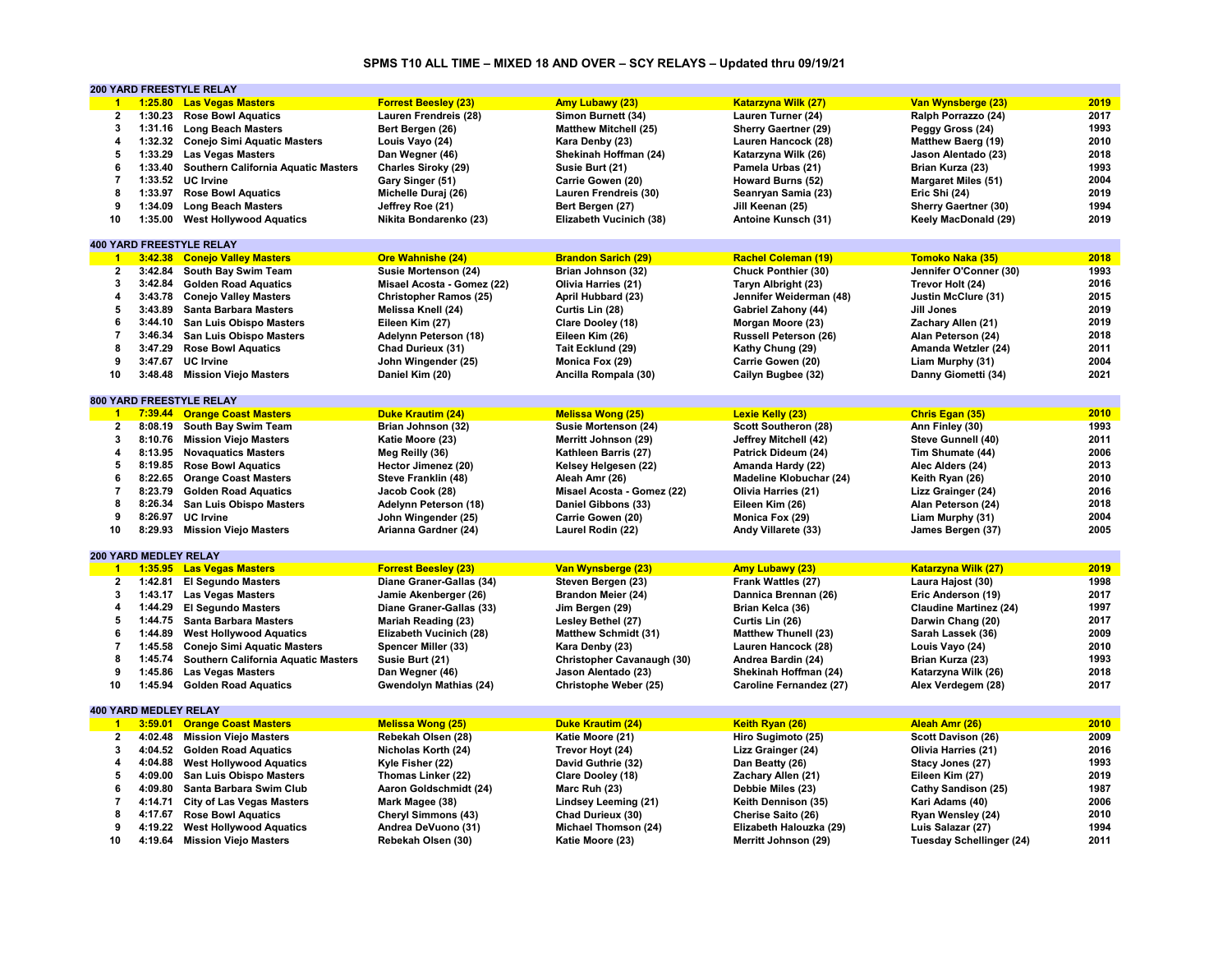#### **SPMS T10 ALL TIME – MIXED 18 AND OVER – SCY RELAYS – Updated thru 09/19/21**

|                      |                              | <b>200 YARD FREESTYLE RELAY</b>             |                               |                              |                                |                                 |      |
|----------------------|------------------------------|---------------------------------------------|-------------------------------|------------------------------|--------------------------------|---------------------------------|------|
| $\mathbf{1}$         |                              | 1:25.80 Las Vegas Masters                   | <b>Forrest Beesley (23)</b>   | <b>Amy Lubawy (23)</b>       | <b>Katarzyna Wilk (27)</b>     | Van Wynsberge (23)              | 2019 |
| $\mathbf{2}$         |                              | 1:30.23 Rose Bowl Aquatics                  | Lauren Frendreis (28)         | Simon Burnett (34)           | Lauren Turner (24)             | Ralph Porrazzo (24)             | 2017 |
| 3                    |                              | 1:31.16 Long Beach Masters                  | Bert Bergen (26)              | <b>Matthew Mitchell (25)</b> | Sherry Gaertner (29)           | Peggy Gross (24)                | 1993 |
| 4                    |                              | 1:32.32 Conejo Simi Aquatic Masters         | Louis Vayo (24)               | Kara Denby (23)              | Lauren Hancock (28)            | <b>Matthew Baerg (19)</b>       | 2010 |
| 5                    |                              | 1:33.29 Las Vegas Masters                   | Dan Wegner (46)               | Shekinah Hoffman (24)        | Katarzyna Wilk (26)            | Jason Alentado (23)             | 2018 |
| 6                    |                              | 1:33.40 Southern California Aquatic Masters | Charles Siroky (29)           | Susie Burt (21)              | Pamela Urbas (21)              | Brian Kurza (23)                | 1993 |
| $\overline{7}$       | 1:33.52                      | <b>UC</b> Irvine                            | Gary Singer (51)              | Carrie Gowen (20)            |                                | <b>Margaret Miles (51)</b>      | 2004 |
| 8                    |                              |                                             |                               |                              | Howard Burns (52)              |                                 |      |
|                      |                              | 1:33.97 Rose Bowl Aquatics                  | Michelle Duraj (26)           | Lauren Frendreis (30)        | Seanryan Samia (23)            | Eric Shi (24)                   | 2019 |
| 9                    | 1:34.09                      | <b>Long Beach Masters</b>                   | Jeffrey Roe (21)              | Bert Bergen (27)             | Jill Keenan (25)               | <b>Sherry Gaertner (30)</b>     | 1994 |
| 10                   |                              | 1:35.00 West Hollywood Aquatics             | Nikita Bondarenko (23)        | Elizabeth Vucinich (38)      | Antoine Kunsch (31)            | Keely MacDonald (29)            | 2019 |
|                      |                              |                                             |                               |                              |                                |                                 |      |
|                      |                              | <b>400 YARD FREESTYLE RELAY</b>             |                               |                              |                                |                                 |      |
| $\blacktriangleleft$ |                              | 3:42.38 Conejo Valley Masters               | <b>Ore Wahnishe (24)</b>      | <b>Brandon Sarich (29)</b>   | <b>Rachel Coleman (19)</b>     | Tomoko Naka (35)                | 2018 |
| $\mathbf{2}$         |                              | 3:42.84 South Bay Swim Team                 | Susie Mortenson (24)          | Brian Johnson (32)           | Chuck Ponthier (30)            | Jennifer O'Conner (30)          | 1993 |
| 3                    |                              | 3:42.84 Golden Road Aquatics                | Misael Acosta - Gomez (22)    | Olivia Harries (21)          | Taryn Albright (23)            | Trevor Holt (24)                | 2016 |
| 4                    |                              | 3:43.78 Conejo Valley Masters               | <b>Christopher Ramos (25)</b> | April Hubbard (23)           | Jennifer Weiderman (48)        | Justin McClure (31)             | 2015 |
| 5                    |                              | 3:43.89 Santa Barbara Masters               | Melissa Knell (24)            | Curtis Lin (28)              | Gabriel Zahony (44)            | Jill Jones                      | 2019 |
| 6                    |                              | 3:44.10 San Luis Obispo Masters             | Eileen Kim (27)               | Clare Dooley (18)            | Morgan Moore (23)              | Zachary Allen (21)              | 2019 |
| $\overline{7}$       |                              | 3:46.34 San Luis Obispo Masters             | Adelynn Peterson (18)         | Eileen Kim (26)              | <b>Russell Peterson (26)</b>   | Alan Peterson (24)              | 2018 |
| 8                    |                              | 3:47.29 Rose Bowl Aquatics                  | Chad Durieux (31)             | Tait Ecklund (29)            | Kathy Chung (29)               | Amanda Wetzler (24)             | 2011 |
| 9                    |                              | 3:47.67 UC Irvine                           | John Wingender (25)           | Monica Fox (29)              | Carrie Gowen (20)              | Liam Murphy (31)                | 2004 |
| 10                   |                              |                                             |                               |                              |                                |                                 | 2021 |
|                      |                              | 3:48.48 Mission Viejo Masters               | Daniel Kim (20)               | Ancilla Rompala (30)         | Cailyn Bugbee (32)             | Danny Giometti (34)             |      |
|                      |                              |                                             |                               |                              |                                |                                 |      |
|                      |                              | <b>800 YARD FREESTYLE RELAY</b>             |                               |                              |                                |                                 |      |
| $\overline{1}$       |                              | 7:39.44 Orange Coast Masters                | <b>Duke Krautim (24)</b>      | <b>Melissa Wong (25)</b>     | Lexie Kelly (23)               | Chris Egan (35)                 | 2010 |
| $\overline{2}$       |                              | 8:08.19 South Bay Swim Team                 | Brian Johnson (32)            | Susie Mortenson (24)         | Scott Southeron (28)           | Ann Finley (30)                 | 1993 |
| 3                    |                              | 8:10.76 Mission Viejo Masters               | Katie Moore (23)              | Merritt Johnson (29)         | Jeffrey Mitchell (42)          | Steve Gunnell (40)              | 2011 |
| 4                    |                              | 8:13.95 Novaquatics Masters                 | Meg Reilly (36)               | Kathleen Barris (27)         | Patrick Dideum (24)            | Tim Shumate (44)                | 2006 |
| 5                    |                              | 8:19.85 Rose Bowl Aquatics                  | Hector Jimenez (20)           | Kelsey Helgesen (22)         | Amanda Hardy (22)              | Alec Alders (24)                | 2013 |
| 6                    |                              | 8:22.65 Orange Coast Masters                | Steve Franklin (48)           | Aleah Amr (26)               | <b>Madeline Klobuchar (24)</b> | Keith Ryan (26)                 | 2010 |
| 7                    |                              | 8:23.79 Golden Road Aquatics                | Jacob Cook (28)               | Misael Acosta - Gomez (22)   | Olivia Harries (21)            | Lizz Grainger (24)              | 2016 |
| 8                    | 8:26.34                      | San Luis Obispo Masters                     | Adelynn Peterson (18)         | Daniel Gibbons (33)          | Eileen Kim (26)                | Alan Peterson (24)              | 2018 |
| 9                    |                              | 8:26.97 UC Irvine                           | John Wingender (25)           | Carrie Gowen (20)            | Monica Fox (29)                | Liam Murphy (31)                | 2004 |
| 10                   |                              | 8:29.93 Mission Viejo Masters               | Arianna Gardner (24)          | Laurel Rodin (22)            | Andy Villarete (33)            | James Bergen (37)               | 2005 |
|                      |                              |                                             |                               |                              |                                |                                 |      |
|                      | 200 YARD MEDLEY RELAY        |                                             |                               |                              |                                |                                 |      |
| $\blacktriangleleft$ |                              | 1:35.95 Las Vegas Masters                   | <b>Forrest Beesley (23)</b>   | Van Wynsberge (23)           | <b>Amy Lubawy (23)</b>         | <b>Katarzyna Wilk (27)</b>      | 2019 |
|                      |                              |                                             |                               |                              |                                |                                 |      |
| 2                    |                              | 1:42.81 El Segundo Masters                  | Diane Graner-Gallas (34)      | Steven Bergen (23)           | Frank Wattles (27)             | Laura Hajost (30)               | 1998 |
| 3                    |                              | 1:43.17 Las Vegas Masters                   | Jamie Akenberger (26)         | Brandon Meier (24)           | Dannica Brennan (26)           | Eric Anderson (19)              | 2017 |
| 4                    |                              | 1:44.29 El Segundo Masters                  | Diane Graner-Gallas (33)      | Jim Bergen (29)              | Brian Kelca (36)               | <b>Claudine Martinez (24)</b>   | 1997 |
| 5                    |                              | 1:44.75 Santa Barbara Masters               | <b>Mariah Reading (23)</b>    | Lesley Bethel (27)           | Curtis Lin (26)                | Darwin Chang (20)               | 2017 |
| 6                    |                              | 1:44.89 West Hollywood Aquatics             | Elizabeth Vucinich (28)       | <b>Matthew Schmidt (31)</b>  | <b>Matthew Thunell (23)</b>    | Sarah Lassek (36)               | 2009 |
| $\overline{7}$       | 1:45.58                      | <b>Conejo Simi Aquatic Masters</b>          | Spencer Miller (33)           | Kara Denby (23)              | Lauren Hancock (28)            | Louis Vayo (24)                 | 2010 |
| 8                    |                              | 1:45.74 Southern California Aquatic Masters | Susie Burt (21)               | Christopher Cavanaugh (30)   | Andrea Bardin (24)             | Brian Kurza (23)                | 1993 |
| 9                    | 1:45.86                      | <b>Las Vegas Masters</b>                    | Dan Wegner (46)               | Jason Alentado (23)          | Shekinah Hoffman (24)          | Katarzyna Wilk (26)             | 2018 |
| 10                   | 1:45.94                      | <b>Golden Road Aquatics</b>                 | Gwendolyn Mathias (24)        | Christophe Weber (25)        | Caroline Fernandez (27)        | Alex Verdegem (28)              | 2017 |
|                      |                              |                                             |                               |                              |                                |                                 |      |
|                      | <b>400 YARD MEDLEY RELAY</b> |                                             |                               |                              |                                |                                 |      |
| $\blacksquare$ 1     |                              | 3:59.01 Orange Coast Masters                | <b>Melissa Wong (25)</b>      | Duke Krautim (24)            | Keith Ryan (26)                | Aleah Amr (26)                  | 2010 |
| $\mathbf{2}$         |                              | 4:02.48 Mission Viejo Masters               | Rebekah Olsen (28)            | Katie Moore (21)             | Hiro Sugimoto (25)             | Scott Davison (26)              | 2009 |
| 3                    |                              |                                             |                               |                              |                                |                                 | 2016 |
|                      |                              | 4:04.52 Golden Road Aquatics                | Nicholas Korth (24)           | Trevor Hoyt (24)             | Lizz Grainger (24)             | Olivia Harries (21)             | 1993 |
| 4                    |                              | 4:04.88 West Hollywood Aquatics             | Kyle Fisher (22)              | David Guthrie (32)           | Dan Beatty (26)                | Stacy Jones (27)                |      |
| 5                    | 4:09.00                      | <b>San Luis Obispo Masters</b>              | Thomas Linker (22)            | Clare Dooley (18)            | Zachary Allen (21)             | Eileen Kim (27)                 | 2019 |
| 6                    | 4:09.80                      | Santa Barbara Swim Club                     | Aaron Goldschmidt (24)        | Marc Ruh (23)                | Debbie Miles (23)              | Cathy Sandison (25)             | 1987 |
| $\overline{7}$       |                              | 4:14.71 City of Las Vegas Masters           | Mark Magee (38)               | Lindsey Leeming (21)         | Keith Dennison (35)            | Kari Adams (40)                 | 2006 |
| 8                    |                              | 4:17.67 Rose Bowl Aquatics                  | <b>Cheryl Simmons (43)</b>    | Chad Durieux (30)            | Cherise Saito (26)             | Ryan Wensley (24)               | 2010 |
| 9                    |                              | 4:19.22 West Hollywood Aquatics             | Andrea DeVuono (31)           | Michael Thomson (24)         | Elizabeth Halouzka (29)        | Luis Salazar (27)               | 1994 |
| 10                   |                              | 4:19.64 Mission Viejo Masters               | Rebekah Olsen (30)            | Katie Moore (23)             | Merritt Johnson (29)           | <b>Tuesday Schellinger (24)</b> | 2011 |
|                      |                              |                                             |                               |                              |                                |                                 |      |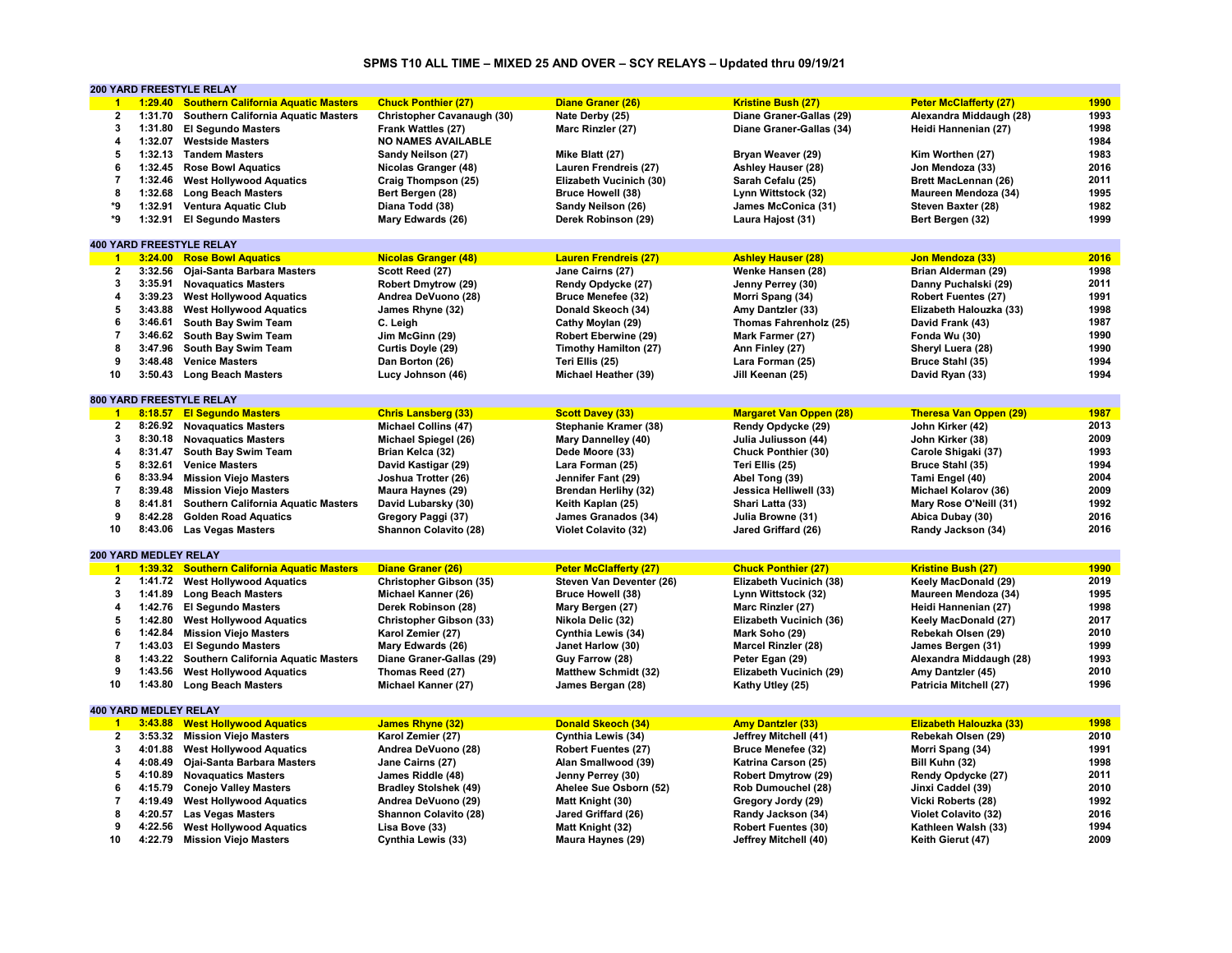#### **SPMS T10 ALL TIME – MIXED 25 AND OVER – SCY RELAYS – Updated thru 09/19/21**

|                      |                       | 200 YARD FREESTYLE RELAY                    |                              |                               |                                |                               |      |
|----------------------|-----------------------|---------------------------------------------|------------------------------|-------------------------------|--------------------------------|-------------------------------|------|
| $\blacktriangleleft$ |                       | 1:29.40 Southern California Aquatic Masters | <b>Chuck Ponthier (27)</b>   | Diane Graner (26)             | Kristine Bush (27)             | <b>Peter McClafferty (27)</b> | 1990 |
| 2                    | 1:31.70               | Southern California Aquatic Masters         | Christopher Cavanaugh (30)   | Nate Derby (25)               | Diane Graner-Gallas (29)       | Alexandra Middaugh (28)       | 1993 |
| 3                    | 1:31.80               | <b>El Segundo Masters</b>                   | Frank Wattles (27)           | Marc Rinzler (27)             | Diane Graner-Gallas (34)       | Heidi Hannenian (27)          | 1998 |
| 4                    | 1:32.07               | <b>Westside Masters</b>                     | <b>NO NAMES AVAILABLE</b>    |                               |                                |                               | 1984 |
| 5                    |                       | 1:32.13 Tandem Masters                      | Sandy Neilson (27)           | Mike Blatt (27)               | Bryan Weaver (29)              | Kim Worthen (27)              | 1983 |
| 6                    | 1:32.45               | <b>Rose Bowl Aquatics</b>                   | Nicolas Granger (48)         | Lauren Frendreis (27)         | Ashley Hauser (28)             | Jon Mendoza (33)              | 2016 |
| $\overline{7}$       | 1:32.46               | <b>West Hollywood Aquatics</b>              | Craig Thompson (25)          | Elizabeth Vucinich (30)       | Sarah Cefalu (25)              | <b>Brett MacLennan (26)</b>   | 2011 |
| 8                    | 1:32.68               |                                             |                              |                               |                                |                               | 1995 |
|                      |                       | <b>Long Beach Masters</b>                   | Bert Bergen (28)             | <b>Bruce Howell (38)</b>      | Lynn Wittstock (32)            | Maureen Mendoza (34)          |      |
| *9                   | 1:32.91               | <b>Ventura Aquatic Club</b>                 | Diana Todd (38)              | Sandy Neilson (26)            | James McConica (31)            | Steven Baxter (28)            | 1982 |
| *9                   | 1:32.91               | <b>El Segundo Masters</b>                   | Mary Edwards (26)            | Derek Robinson (29)           | Laura Hajost (31)              | Bert Bergen (32)              | 1999 |
|                      |                       |                                             |                              |                               |                                |                               |      |
|                      |                       | <b>400 YARD FREESTYLE RELAY</b>             |                              |                               |                                |                               |      |
| $\blacktriangleleft$ |                       | 3:24.00 Rose Bowl Aquatics                  | <b>Nicolas Granger (48)</b>  | <b>Lauren Frendreis (27)</b>  | <b>Ashley Hauser (28)</b>      | Jon Mendoza (33)              | 2016 |
| 2                    | 3:32.56               | Ojai-Santa Barbara Masters                  | Scott Reed (27)              | Jane Cairns (27)              | Wenke Hansen (28)              | Brian Alderman (29)           | 1998 |
| 3                    | 3:35.91               | <b>Novaguatics Masters</b>                  | <b>Robert Dmytrow (29)</b>   | Rendy Opdycke (27)            | Jenny Perrey (30)              | Danny Puchalski (29)          | 2011 |
| 4                    |                       | 3:39.23 West Hollywood Aquatics             | Andrea DeVuono (28)          | <b>Bruce Menefee (32)</b>     | Morri Spang (34)               | <b>Robert Fuentes (27)</b>    | 1991 |
| 5                    | 3:43.88               | <b>West Hollywood Aquatics</b>              | James Rhyne (32)             | Donald Skeoch (34)            | Amy Dantzler (33)              | Elizabeth Halouzka (33)       | 1998 |
| 6                    | 3:46.61               | South Bay Swim Team                         | C. Leigh                     | Cathy Moylan (29)             | Thomas Fahrenholz (25)         | David Frank (43)              | 1987 |
| $\overline{7}$       |                       | 3:46.62 South Bay Swim Team                 | Jim McGinn (29)              | Robert Eberwine (29)          | Mark Farmer (27)               | Fonda Wu (30)                 | 1990 |
| 8                    |                       | 3:47.96 South Bay Swim Team                 | Curtis Doyle (29)            | Timothy Hamilton (27)         | Ann Finley (27)                | Sheryl Luera (28)             | 1990 |
| 9                    | 3:48.48               | <b>Venice Masters</b>                       | Dan Borton (26)              | Teri Ellis (25)               | Lara Forman (25)               | Bruce Stahl (35)              | 1994 |
| 10                   |                       | 3:50.43 Long Beach Masters                  | Lucy Johnson (46)            | Michael Heather (39)          | Jill Keenan (25)               | David Ryan (33)               | 1994 |
|                      |                       |                                             |                              |                               |                                |                               |      |
|                      |                       | <b>800 YARD FREESTYLE RELAY</b>             |                              |                               |                                |                               |      |
| $\blacksquare$ 1     |                       |                                             |                              |                               |                                |                               |      |
|                      |                       | 8:18.57 El Segundo Masters                  | <b>Chris Lansberg (33)</b>   | <b>Scott Davey (33)</b>       | <b>Margaret Van Oppen (28)</b> | <b>Theresa Van Oppen (29)</b> | 1987 |
| $\mathbf{2}$         |                       | 8:26.92 Novaquatics Masters                 | <b>Michael Collins (47)</b>  | Stephanie Kramer (38)         | Rendy Opdycke (29)             | John Kirker (42)              | 2013 |
| 3                    | 8:30.18               | <b>Novaquatics Masters</b>                  | Michael Spiegel (26)         | <b>Mary Dannelley (40)</b>    | Julia Juliusson (44)           | John Kirker (38)              | 2009 |
| 4                    | 8:31.47               | South Bay Swim Team                         | Brian Kelca (32)             | Dede Moore (33)               | Chuck Ponthier (30)            | Carole Shigaki (37)           | 1993 |
| 5                    | 8:32.61               | <b>Venice Masters</b>                       | David Kastigar (29)          | Lara Forman (25)              | Teri Ellis (25)                | Bruce Stahl (35)              | 1994 |
| 6                    |                       | 8:33.94 Mission Viejo Masters               | Joshua Trotter (26)          | Jennifer Fant (29)            | Abel Tong (39)                 | Tami Engel (40)               | 2004 |
| $\overline{7}$       | 8:39.48               | <b>Mission Viejo Masters</b>                | Maura Haynes (29)            | Brendan Herlihy (32)          | Jessica Helliwell (33)         | Michael Kolarov (36)          | 2009 |
| 8                    | 8:41.81               | <b>Southern California Aquatic Masters</b>  | David Lubarsky (30)          | Keith Kaplan (25)             | Shari Latta (33)               | Mary Rose O'Neill (31)        | 1992 |
| 9                    | 8:42.28               | <b>Golden Road Aquatics</b>                 | Gregory Paggi (37)           | James Granados (34)           | Julia Browne (31)              | Abica Dubay (30)              | 2016 |
| 10                   |                       | 8:43.06 Las Vegas Masters                   | Shannon Colavito (28)        | <b>Violet Colavito (32)</b>   | Jared Griffard (26)            | Randy Jackson (34)            | 2016 |
|                      |                       |                                             |                              |                               |                                |                               |      |
|                      | 200 YARD MEDLEY RELAY |                                             |                              |                               |                                |                               |      |
| $\blacksquare$       | 1:39.32               | <b>Southern California Aquatic Masters</b>  | Diane Graner (26)            | <b>Peter McClafferty (27)</b> | <b>Chuck Ponthier (27)</b>     | <b>Kristine Bush (27)</b>     | 1990 |
| $\mathbf{2}$         | 1:41.72               | <b>West Hollywood Aquatics</b>              | Christopher Gibson (35)      | Steven Van Deventer (26)      | Elizabeth Vucinich (38)        | Keely MacDonald (29)          | 2019 |
| 3                    | 1:41.89               |                                             |                              |                               |                                |                               | 1995 |
|                      |                       | <b>Long Beach Masters</b>                   | Michael Kanner (26)          | <b>Bruce Howell (38)</b>      | Lynn Wittstock (32)            | Maureen Mendoza (34)          |      |
| 4                    |                       | 1:42.76 El Segundo Masters                  | Derek Robinson (28)          | Mary Bergen (27)              | Marc Rinzler (27)              | Heidi Hannenian (27)          | 1998 |
| 5                    | 1:42.80               | <b>West Hollywood Aquatics</b>              | Christopher Gibson (33)      | Nikola Delic (32)             | Elizabeth Vucinich (36)        | Keely MacDonald (27)          | 2017 |
| 6                    |                       | 1:42.84 Mission Viejo Masters               | Karol Zemier (27)            | Cynthia Lewis (34)            | Mark Soho (29)                 | Rebekah Olsen (29)            | 2010 |
| $\overline{7}$       | 1:43.03               | <b>El Segundo Masters</b>                   | Mary Edwards (26)            | Janet Harlow (30)             | <b>Marcel Rinzler (28)</b>     | James Bergen (31)             | 1999 |
| 8                    |                       | 1:43.22 Southern California Aquatic Masters | Diane Graner-Gallas (29)     | Guy Farrow (28)               | Peter Egan (29)                | Alexandra Middaugh (28)       | 1993 |
| 9                    | 1:43.56               | <b>West Hollywood Aquatics</b>              | Thomas Reed (27)             | <b>Matthew Schmidt (32)</b>   | Elizabeth Vucinich (29)        | Amy Dantzler (45)             | 2010 |
| 10                   | 1:43.80               | <b>Long Beach Masters</b>                   | Michael Kanner (27)          | James Bergan (28)             | Kathy Utley (25)               | Patricia Mitchell (27)        | 1996 |
|                      |                       |                                             |                              |                               |                                |                               |      |
|                      | 400 YARD MEDLEY RELAY |                                             |                              |                               |                                |                               |      |
| $\mathbf{1}$         |                       | 3:43.88 West Hollywood Aquatics             | <b>James Rhyne (32)</b>      | Donald Skeoch (34)            | <b>Amy Dantzler (33)</b>       | Elizabeth Halouzka (33)       | 1998 |
| $\overline{2}$       |                       | 3:53.32 Mission Viejo Masters               | Karol Zemier (27)            | Cynthia Lewis (34)            | Jeffrey Mitchell (41)          | Rebekah Olsen (29)            | 2010 |
| 3                    | 4:01.88               | <b>West Hollywood Aquatics</b>              | Andrea DeVuono (28)          | <b>Robert Fuentes (27)</b>    | Bruce Menefee (32)             | Morri Spang (34)              | 1991 |
| 4                    | 4:08.49               | <b>Ojai-Santa Barbara Masters</b>           | Jane Cairns (27)             | Alan Smallwood (39)           | Katrina Carson (25)            | Bill Kuhn (32)                | 1998 |
| 5                    | 4:10.89               | <b>Novaguatics Masters</b>                  |                              | Jenny Perrey (30)             | Robert Dmytrow (29)            | Rendy Opdycke (27)            | 2011 |
|                      |                       |                                             | James Riddle (48)            |                               |                                |                               |      |
| 6                    | 4:15.79               | <b>Conejo Valley Masters</b>                | <b>Bradley Stolshek (49)</b> | Ahelee Sue Osborn (52)        | Rob Dumouchel (28)             | Jinxi Caddel (39)             | 2010 |
| $\overline{7}$       | 4:19.49               | <b>West Hollywood Aquatics</b>              | Andrea DeVuono (29)          | Matt Knight (30)              | Gregory Jordy (29)             | Vicki Roberts (28)            | 1992 |
| 8                    | 4:20.57               | <b>Las Vegas Masters</b>                    | Shannon Colavito (28)        | Jared Griffard (26)           | Randy Jackson (34)             | <b>Violet Colavito (32)</b>   | 2016 |
| 9                    |                       | 4:22.56 West Hollywood Aquatics             | Lisa Bove (33)               | Matt Knight (32)              | <b>Robert Fuentes (30)</b>     | Kathleen Walsh (33)           | 1994 |
| 10                   | 4:22.79               | <b>Mission Viejo Masters</b>                | Cynthia Lewis (33)           | Maura Haynes (29)             | Jeffrey Mitchell (40)          | Keith Gierut (47)             | 2009 |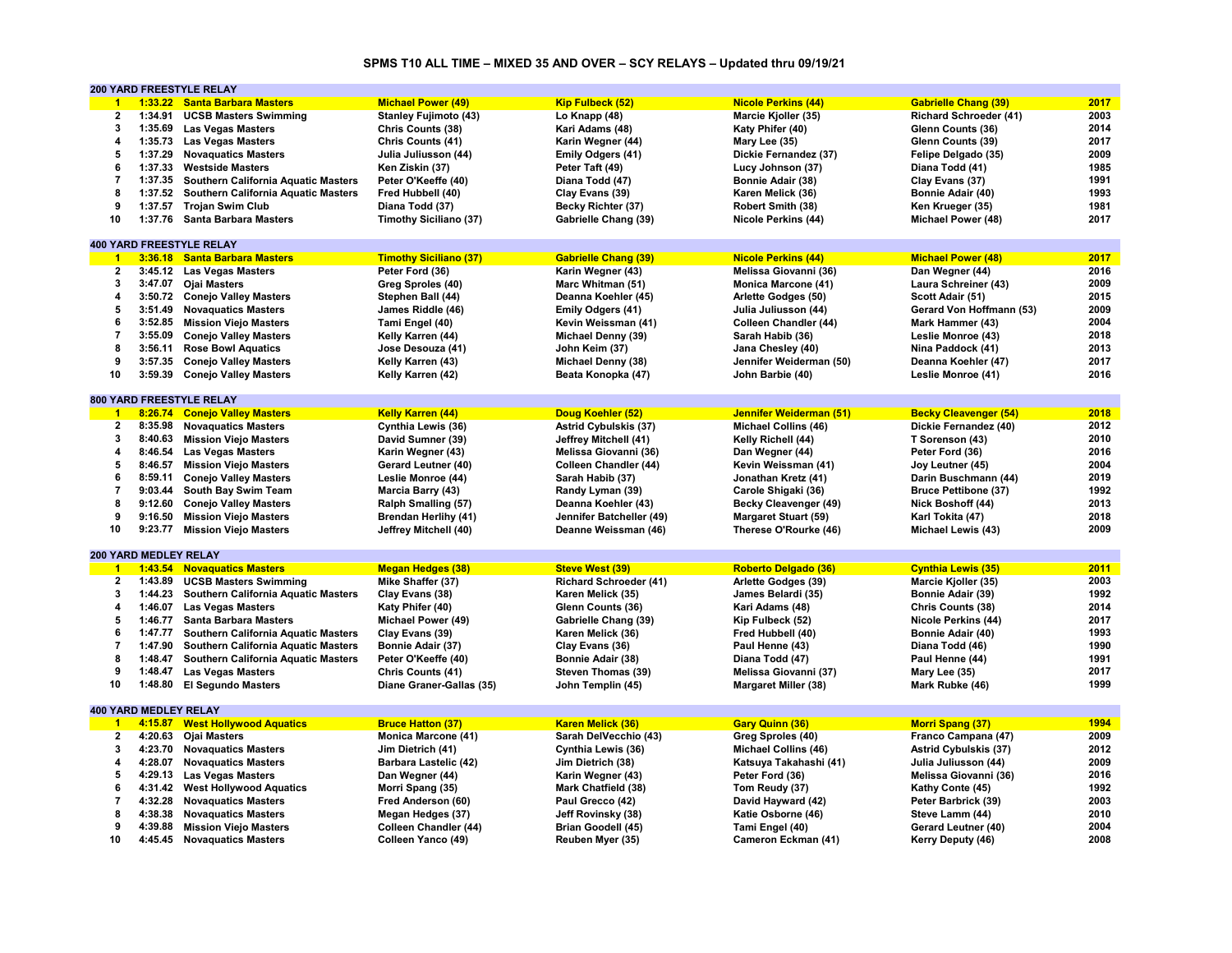#### **SPMS T10 ALL TIME – MIXED 35 AND OVER – SCY RELAYS – Updated thru 09/19/21**

|                      |                              | 200 YARD FREESTYLE RELAY                   |                               |                               |                              |                               |      |
|----------------------|------------------------------|--------------------------------------------|-------------------------------|-------------------------------|------------------------------|-------------------------------|------|
| $\blacktriangleleft$ |                              | 1:33.22 Santa Barbara Masters              | <b>Michael Power (49)</b>     | <b>Kip Fulbeck (52)</b>       | <b>Nicole Perkins (44)</b>   | <b>Gabrielle Chang (39)</b>   | 2017 |
| 2                    | 1:34.91                      | <b>UCSB Masters Swimming</b>               | <b>Stanley Fujimoto (43)</b>  | Lo Knapp (48)                 | Marcie Kjoller (35)          | <b>Richard Schroeder (41)</b> | 2003 |
| 3                    | 1:35.69                      | <b>Las Vegas Masters</b>                   | Chris Counts (38)             | Kari Adams (48)               | Katy Phifer (40)             | Glenn Counts (36)             | 2014 |
| 4                    | 1:35.73                      | <b>Las Vegas Masters</b>                   | Chris Counts (41)             | Karin Wegner (44)             | Mary Lee (35)                | Glenn Counts (39)             | 2017 |
| 5                    | 1:37.29                      | <b>Novaquatics Masters</b>                 | Julia Juliusson (44)          | Emily Odgers (41)             | Dickie Fernandez (37)        | Felipe Delgado (35)           | 2009 |
| 6                    | 1:37.33                      | <b>Westside Masters</b>                    | Ken Ziskin (37)               | Peter Taft (49)               | Lucy Johnson (37)            | Diana Todd (41)               | 1985 |
| $\overline{7}$       | 1:37.35                      | <b>Southern California Aquatic Masters</b> | Peter O'Keeffe (40)           | Diana Todd (47)               |                              | Clay Evans (37)               | 1991 |
| 8                    |                              |                                            |                               |                               | Bonnie Adair (38)            |                               |      |
|                      | 1:37.52                      | Southern California Aquatic Masters        | Fred Hubbell (40)             | Clay Evans (39)               | Karen Melick (36)            | Bonnie Adair (40)             | 1993 |
| 9                    | 1:37.57                      | <b>Trojan Swim Club</b>                    | Diana Todd (37)               | Becky Richter (37)            | Robert Smith (38)            | Ken Krueger (35)              | 1981 |
| 10                   | 1:37.76                      | <b>Santa Barbara Masters</b>               | <b>Timothy Siciliano (37)</b> | Gabrielle Chang (39)          | <b>Nicole Perkins (44)</b>   | Michael Power (48)            | 2017 |
|                      |                              |                                            |                               |                               |                              |                               |      |
|                      |                              | <b>400 YARD FREESTYLE RELAY</b>            |                               |                               |                              |                               |      |
| $\blacktriangleleft$ |                              | 3:36.18 Santa Barbara Masters              | <b>Timothy Siciliano (37)</b> | <b>Gabrielle Chang (39)</b>   | <b>Nicole Perkins (44)</b>   | <b>Michael Power (48)</b>     | 2017 |
| 2                    |                              | 3:45.12 Las Vegas Masters                  | Peter Ford (36)               | Karin Wegner (43)             | Melissa Giovanni (36)        | Dan Wegner (44)               | 2016 |
| 3                    | 3:47.07                      | Ojai Masters                               | Greg Sproles (40)             | Marc Whitman (51)             | <b>Monica Marcone (41)</b>   | Laura Schreiner (43)          | 2009 |
| 4                    |                              | 3:50.72 Conejo Valley Masters              | Stephen Ball (44)             | Deanna Koehler (45)           | Arlette Godges (50)          | Scott Adair (51)              | 2015 |
| 5                    | 3:51.49                      | <b>Novaquatics Masters</b>                 | James Riddle (46)             | Emily Odgers (41)             | Julia Juliusson (44)         | Gerard Von Hoffmann (53)      | 2009 |
| 6                    | 3:52.85                      | <b>Mission Viejo Masters</b>               | Tami Engel (40)               | Kevin Weissman (41)           | <b>Colleen Chandler (44)</b> | Mark Hammer (43)              | 2004 |
| $\overline{7}$       | 3:55.09                      | <b>Conejo Valley Masters</b>               | Kelly Karren (44)             | Michael Denny (39)            | Sarah Habib (36)             | Leslie Monroe (43)            | 2018 |
| 8                    | 3:56.11                      | <b>Rose Bowl Aquatics</b>                  | Jose Desouza (41)             | John Keim (37)                | Jana Chesley (40)            | Nina Paddock (41)             | 2013 |
| 9                    |                              |                                            |                               |                               |                              |                               | 2017 |
|                      | 3:57.35                      | <b>Conejo Valley Masters</b>               | Kelly Karren (43)             | Michael Denny (38)            | Jennifer Weiderman (50)      | Deanna Koehler (47)           |      |
| 10                   | 3:59.39                      | <b>Conejo Valley Masters</b>               | Kelly Karren (42)             | Beata Konopka (47)            | John Barbie (40)             | Leslie Monroe (41)            | 2016 |
|                      |                              |                                            |                               |                               |                              |                               |      |
|                      |                              | 800 YARD FREESTYLE RELAY                   |                               |                               |                              |                               |      |
| $\blacktriangleleft$ | 8:26.74                      | <b>Conejo Valley Masters</b>               | <b>Kelly Karren (44)</b>      | Doug Koehler (52)             | Jennifer Weiderman (51)      | <b>Becky Cleavenger (54)</b>  | 2018 |
| $\mathbf{2}$         | 8:35.98                      | <b>Novaguatics Masters</b>                 | Cynthia Lewis (36)            | <b>Astrid Cybulskis (37)</b>  | <b>Michael Collins (46)</b>  | Dickie Fernandez (40)         | 2012 |
| 3                    | 8:40.63                      | <b>Mission Viejo Masters</b>               | David Sumner (39)             | Jeffrey Mitchell (41)         | Kelly Richell (44)           | T Sorenson (43)               | 2010 |
| 4                    | 8:46.54                      | <b>Las Vegas Masters</b>                   | Karin Wegner (43)             | Melissa Giovanni (36)         | Dan Wegner (44)              | Peter Ford (36)               | 2016 |
| 5                    | 8:46.57                      | <b>Mission Viejo Masters</b>               | Gerard Leutner (40)           | Colleen Chandler (44)         | Kevin Weissman (41)          | Joy Leutner (45)              | 2004 |
| 6                    |                              | 8:59.11 Conejo Valley Masters              | Leslie Monroe (44)            | Sarah Habib (37)              | Jonathan Kretz (41)          | Darin Buschmann (44)          | 2019 |
| $\overline{7}$       | 9:03.44                      | South Bay Swim Team                        | Marcia Barry (43)             | Randy Lyman (39)              | Carole Shigaki (36)          | <b>Bruce Pettibone (37)</b>   | 1992 |
| 8                    | 9:12.60                      | <b>Conejo Valley Masters</b>               | Ralph Smalling (57)           | Deanna Koehler (43)           | <b>Becky Cleavenger (49)</b> | Nick Boshoff (44)             | 2013 |
| 9                    | 9:16.50                      | <b>Mission Viejo Masters</b>               | <b>Brendan Herlihy (41)</b>   | Jennifer Batcheller (49)      | <b>Margaret Stuart (59)</b>  | Karl Tokita (47)              | 2018 |
| 10                   |                              |                                            |                               |                               |                              |                               | 2009 |
|                      | 9:23.77                      | <b>Mission Viejo Masters</b>               | Jeffrey Mitchell (40)         | Deanne Weissman (46)          | Therese O'Rourke (46)        | Michael Lewis (43)            |      |
|                      |                              |                                            |                               |                               |                              |                               |      |
|                      | 200 YARD MEDLEY RELAY        |                                            |                               |                               |                              |                               |      |
| $\blacksquare$       |                              | 1:43.54 Novaguatics Masters                | <b>Megan Hedges (38)</b>      | <b>Steve West (39)</b>        | <b>Roberto Delgado (36)</b>  | <b>Cynthia Lewis (35)</b>     | 2011 |
| $\mathbf{2}$         |                              | 1:43.89 UCSB Masters Swimming              | Mike Shaffer (37)             | <b>Richard Schroeder (41)</b> | Arlette Godges (39)          | Marcie Kjoller (35)           | 2003 |
| 3                    | 1:44.23                      | Southern California Aquatic Masters        | Clay Evans (38)               | Karen Melick (35)             | James Belardi (35)           | Bonnie Adair (39)             | 1992 |
| 4                    | 1:46.07                      | <b>Las Vegas Masters</b>                   | Katy Phifer (40)              | Glenn Counts (36)             | Kari Adams (48)              | Chris Counts (38)             | 2014 |
| 5                    | 1:46.77                      | <b>Santa Barbara Masters</b>               | Michael Power (49)            | Gabrielle Chang (39)          | Kip Fulbeck (52)             | Nicole Perkins (44)           | 2017 |
| 6                    | 1:47.77                      | <b>Southern California Aquatic Masters</b> | Clay Evans (39)               | Karen Melick (36)             | Fred Hubbell (40)            | Bonnie Adair (40)             | 1993 |
| $\overline{7}$       | 1:47.90                      | Southern California Aquatic Masters        | Bonnie Adair (37)             | Clay Evans (36)               | Paul Henne (43)              | Diana Todd (46)               | 1990 |
| 8                    | 1:48.47                      | Southern California Aquatic Masters        | Peter O'Keeffe (40)           | Bonnie Adair (38)             | Diana Todd (47)              | Paul Henne (44)               | 1991 |
| 9                    | 1:48.47                      | <b>Las Vegas Masters</b>                   | Chris Counts (41)             | Steven Thomas (39)            | Melissa Giovanni (37)        | Mary Lee (35)                 | 2017 |
| 10                   | 1:48.80                      | <b>El Segundo Masters</b>                  | Diane Graner-Gallas (35)      | John Templin (45)             | <b>Margaret Miller (38)</b>  | Mark Rubke (46)               | 1999 |
|                      |                              |                                            |                               |                               |                              |                               |      |
|                      |                              |                                            |                               |                               |                              |                               |      |
|                      | <b>400 YARD MEDLEY RELAY</b> |                                            |                               |                               |                              |                               |      |
| $\overline{1}$       | 4:15.87                      | <b>West Hollywood Aquatics</b>             | <b>Bruce Hatton (37)</b>      | <b>Karen Melick (36)</b>      | <b>Gary Quinn (36)</b>       | <b>Morri Spang (37)</b>       | 1994 |
| $\overline{2}$       | 4:20.63                      | <b>Ojai Masters</b>                        | <b>Monica Marcone (41)</b>    | Sarah DelVecchio (43)         | Greg Sproles (40)            | Franco Campana (47)           | 2009 |
| 3                    | 4:23.70                      | <b>Novaquatics Masters</b>                 | Jim Dietrich (41)             | Cynthia Lewis (36)            | <b>Michael Collins (46)</b>  | <b>Astrid Cybulskis (37)</b>  | 2012 |
| 4                    | 4:28.07                      | <b>Novaquatics Masters</b>                 | Barbara Lastelic (42)         | Jim Dietrich (38)             | Katsuya Takahashi (41)       | Julia Juliusson (44)          | 2009 |
| 5                    |                              | 4:29.13 Las Vegas Masters                  | Dan Wegner (44)               | Karin Wegner (43)             | Peter Ford (36)              | Melissa Giovanni (36)         | 2016 |
| 6                    | 4:31.42                      | <b>West Hollywood Aquatics</b>             | Morri Spang (35)              | Mark Chatfield (38)           | Tom Reudy (37)               | Kathy Conte (45)              | 1992 |
| $\overline{7}$       | 4:32.28                      | <b>Novaquatics Masters</b>                 | Fred Anderson (60)            | Paul Grecco (42)              | David Hayward (42)           | Peter Barbrick (39)           | 2003 |
| 8                    | 4:38.38                      | <b>Novaguatics Masters</b>                 | Megan Hedges (37)             | Jeff Rovinsky (38)            | Katie Osborne (46)           | Steve Lamm (44)               | 2010 |
| 9                    | 4:39.88                      | <b>Mission Viejo Masters</b>               | Colleen Chandler (44)         | <b>Brian Goodell (45)</b>     | Tami Engel (40)              | Gerard Leutner (40)           | 2004 |
| 10                   |                              | 4:45.45 Novaquatics Masters                | Colleen Yanco (49)            | Reuben Myer (35)              | Cameron Eckman (41)          | Kerry Deputy (46)             | 2008 |
|                      |                              |                                            |                               |                               |                              |                               |      |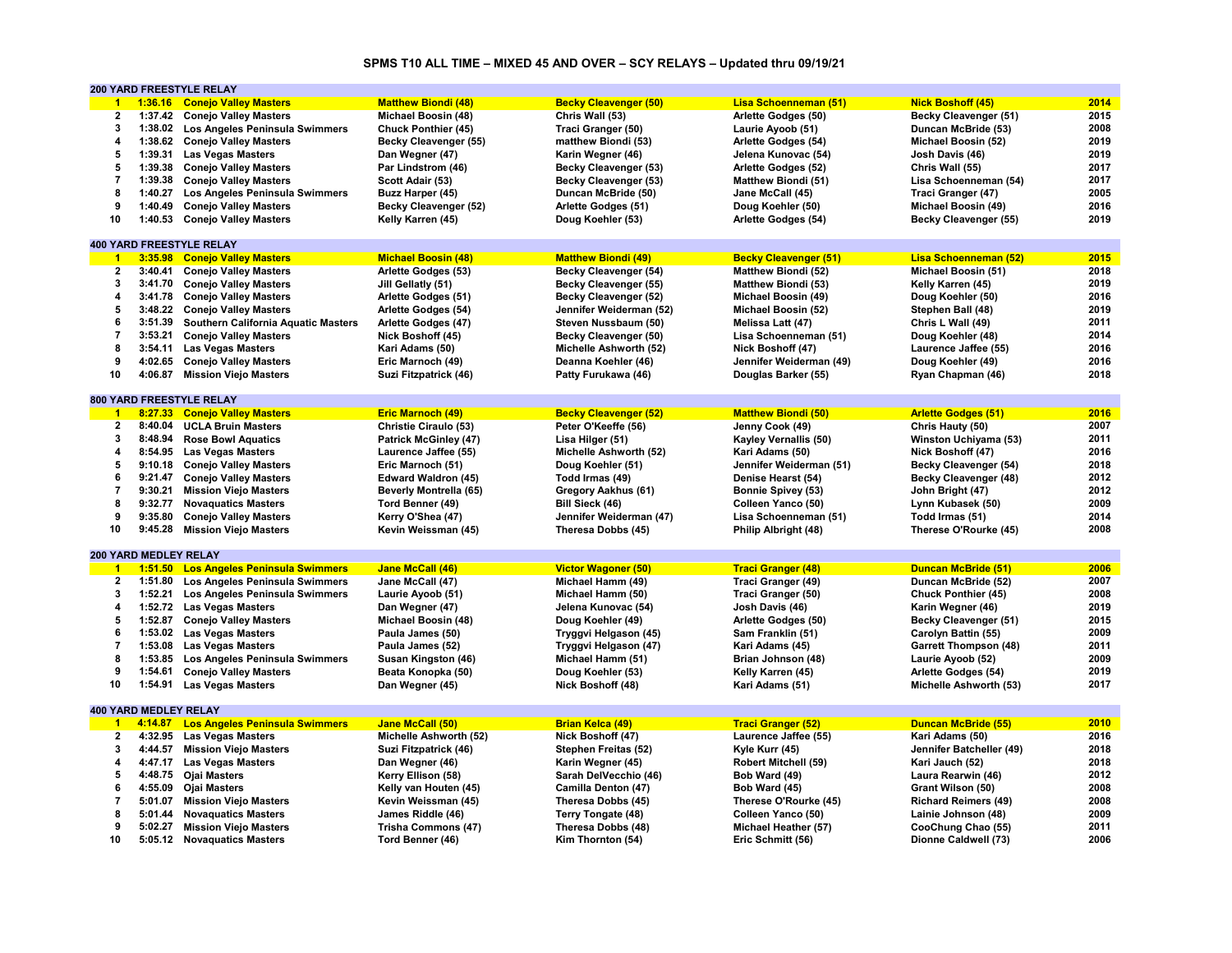# **SPMS T10 ALL TIME – MIXED 45 AND OVER – SCY RELAYS – Updated thru 09/19/21**

|                         |                       | 200 YARD FREESTYLE RELAY              |                              |                              |                              |                              |      |
|-------------------------|-----------------------|---------------------------------------|------------------------------|------------------------------|------------------------------|------------------------------|------|
| $\blacktriangleleft$    | 1:36.16               | <b>Conejo Valley Masters</b>          | <b>Matthew Biondi (48)</b>   | <b>Becky Cleavenger (50)</b> | Lisa Schoenneman (51)        | <b>Nick Boshoff (45)</b>     | 2014 |
| $\bf{2}$                |                       | 1:37.42 Conejo Valley Masters         | Michael Boosin (48)          | Chris Wall (53)              | Arlette Godges (50)          | Becky Cleavenger (51)        | 2015 |
| 3                       | 1:38.02               | Los Angeles Peninsula Swimmers        | <b>Chuck Ponthier (45)</b>   | Traci Granger (50)           | Laurie Ayoob (51)            | Duncan McBride (53)          | 2008 |
| 4                       |                       | 1:38.62 Conejo Valley Masters         | Becky Cleavenger (55)        | matthew Biondi (53)          | Arlette Godges (54)          | Michael Boosin (52)          | 2019 |
| 5                       | 1:39.31               | <b>Las Vegas Masters</b>              | Dan Wegner (47)              | Karin Wegner (46)            | Jelena Kunovac (54)          | Josh Davis (46)              | 2019 |
| 5                       | 1:39.38               | <b>Conejo Valley Masters</b>          | Par Lindstrom (46)           | <b>Becky Cleavenger (53)</b> | Arlette Godges (52)          | Chris Wall (55)              | 2017 |
| $\overline{7}$          | 1:39.38               | <b>Conejo Valley Masters</b>          |                              | <b>Becky Cleavenger (53)</b> | <b>Matthew Biondi (51)</b>   | Lisa Schoenneman (54)        | 2017 |
| 8                       |                       |                                       | Scott Adair (53)             |                              |                              |                              | 2005 |
|                         | 1:40.27               | Los Angeles Peninsula Swimmers        | Buzz Harper (45)             | Duncan McBride (50)          | Jane McCall (45)             | Traci Granger (47)           |      |
| 9                       | 1:40.49               | <b>Conejo Valley Masters</b>          | Becky Cleavenger (52)        | Arlette Godges (51)          | Doug Koehler (50)            | Michael Boosin (49)          | 2016 |
| 10                      | 1:40.53               | <b>Conejo Valley Masters</b>          | Kelly Karren (45)            | Doug Koehler (53)            | Arlette Godges (54)          | Becky Cleavenger (55)        | 2019 |
|                         |                       |                                       |                              |                              |                              |                              |      |
|                         |                       | <b>400 YARD FREESTYLE RELAY</b>       |                              |                              |                              |                              |      |
| $\blacktriangleleft$    | 3:35.98               | <b>Conejo Valley Masters</b>          | <b>Michael Boosin (48)</b>   | <b>Matthew Biondi (49)</b>   | <b>Becky Cleavenger (51)</b> | Lisa Schoenneman (52)        | 2015 |
| $\mathbf{2}$            | 3:40.41               | <b>Conejo Valley Masters</b>          | Arlette Godges (53)          | Becky Cleavenger (54)        | <b>Matthew Biondi (52)</b>   | Michael Boosin (51)          | 2018 |
| 3                       | 3:41.70               | <b>Conejo Valley Masters</b>          | Jill Gellatly (51)           | Becky Cleavenger (55)        | <b>Matthew Biondi (53)</b>   | Kelly Karren (45)            | 2019 |
| 4                       | 3:41.78               | <b>Conejo Valley Masters</b>          | Arlette Godges (51)          | Becky Cleavenger (52)        | Michael Boosin (49)          | Doug Koehler (50)            | 2016 |
| 5                       | 3:48.22               | <b>Conejo Valley Masters</b>          | Arlette Godges (54)          | Jennifer Weiderman (52)      | Michael Boosin (52)          | Stephen Ball (48)            | 2019 |
| 6                       | 3:51.39               | Southern California Aquatic Masters   | Arlette Godges (47)          | Steven Nussbaum (50)         | Melissa Latt (47)            | Chris L Wall (49)            | 2011 |
| $\overline{7}$          | 3:53.21               | <b>Conejo Valley Masters</b>          | Nick Boshoff (45)            | Becky Cleavenger (50)        | Lisa Schoenneman (51)        | Doug Koehler (48)            | 2014 |
| 8                       | 3:54.11               | <b>Las Vegas Masters</b>              | Kari Adams (50)              | Michelle Ashworth (52)       | Nick Boshoff (47)            | Laurence Jaffee (55)         | 2016 |
| 9                       | 4:02.65               | <b>Conejo Valley Masters</b>          | Eric Marnoch (49)            | Deanna Koehler (46)          | Jennifer Weiderman (49)      | Doug Koehler (49)            | 2016 |
| 10                      | 4:06.87               | <b>Mission Viejo Masters</b>          | Suzi Fitzpatrick (46)        | Patty Furukawa (46)          | Douglas Barker (55)          | Ryan Chapman (46)            | 2018 |
|                         |                       |                                       |                              |                              |                              |                              |      |
|                         |                       |                                       |                              |                              |                              |                              |      |
|                         |                       | 800 YARD FREESTYLE RELAY              |                              |                              |                              |                              |      |
| $\blacktriangleleft$    | 8:27.33               | <b>Conejo Valley Masters</b>          | <b>Eric Marnoch (49)</b>     | <b>Becky Cleavenger (52)</b> | <b>Matthew Biondi (50)</b>   | <b>Arlette Godges (51)</b>   | 2016 |
| $\overline{2}$          | 8:40.04               | <b>UCLA Bruin Masters</b>             | Christie Ciraulo (53)        | Peter O'Keeffe (56)          | Jenny Cook (49)              | Chris Hauty (50)             | 2007 |
| $\mathbf 3$             | 8:48.94               | <b>Rose Bowl Aquatics</b>             | <b>Patrick McGinley (47)</b> | Lisa Hilger (51)             | Kayley Vernallis (50)        | Winston Uchiyama (53)        | 2011 |
| $\overline{\mathbf{4}}$ | 8:54.95               | <b>Las Vegas Masters</b>              | Laurence Jaffee (55)         | Michelle Ashworth (52)       | Kari Adams (50)              | Nick Boshoff (47)            | 2016 |
| 5                       | 9:10.18               | <b>Conejo Valley Masters</b>          | Eric Marnoch (51)            | Doug Koehler (51)            | Jennifer Weiderman (51)      | Becky Cleavenger (54)        | 2018 |
| 6                       | 9:21.47               | <b>Conejo Valley Masters</b>          | Edward Waldron (45)          | Todd Irmas (49)              | Denise Hearst (54)           | Becky Cleavenger (48)        | 2012 |
| $\overline{7}$          | 9:30.21               | <b>Mission Viejo Masters</b>          | Beverly Montrella (65)       | Gregory Aakhus (61)          | <b>Bonnie Spivey (53)</b>    | John Bright (47)             | 2012 |
| 8                       | 9:32.77               | <b>Novaquatics Masters</b>            | Tord Benner (49)             | Bill Sieck (46)              | Colleen Yanco (50)           | Lynn Kubasek (50)            | 2009 |
| 9                       | 9:35.80               | <b>Conejo Valley Masters</b>          | Kerry O'Shea (47)            | Jennifer Weiderman (47)      | Lisa Schoenneman (51)        | Todd Irmas (51)              | 2014 |
| 10                      |                       | 9:45.28 Mission Viejo Masters         | Kevin Weissman (45)          | Theresa Dobbs (45)           | Philip Albright (48)         | Therese O'Rourke (45)        | 2008 |
|                         |                       |                                       |                              |                              |                              |                              |      |
|                         | 200 YARD MEDLEY RELAY |                                       |                              |                              |                              |                              |      |
|                         |                       |                                       |                              |                              |                              |                              |      |
| $\blacktriangleleft$    | 1:51.50               | <b>Los Angeles Peninsula Swimmers</b> | <b>Jane McCall (46)</b>      | <b>Victor Wagoner (50)</b>   | <b>Traci Granger (48)</b>    | <b>Duncan McBride (51)</b>   | 2006 |
| $\mathbf{2}$            | 1:51.80               | Los Angeles Peninsula Swimmers        | Jane McCall (47)             | Michael Hamm (49)            | Traci Granger (49)           | Duncan McBride (52)          | 2007 |
| 3                       | 1:52.21               | Los Angeles Peninsula Swimmers        | Laurie Ayoob (51)            | Michael Hamm (50)            | Traci Granger (50)           | Chuck Ponthier (45)          | 2008 |
| 4                       | 1:52.72               | <b>Las Vegas Masters</b>              | Dan Wegner (47)              | Jelena Kunovac (54)          | Josh Davis (46)              | Karin Wegner (46)            | 2019 |
| 5                       | 1:52.87               | <b>Conejo Valley Masters</b>          | Michael Boosin (48)          | Doug Koehler (49)            | Arlette Godges (50)          | Becky Cleavenger (51)        | 2015 |
| 6                       | 1:53.02               | <b>Las Vegas Masters</b>              | Paula James (50)             | Tryggvi Helgason (45)        | Sam Franklin (51)            | Carolyn Battin (55)          | 2009 |
| $\overline{7}$          | 1:53.08               | <b>Las Vegas Masters</b>              | Paula James (52)             | Tryggvi Helgason (47)        | Kari Adams (45)              | <b>Garrett Thompson (48)</b> | 2011 |
| 8                       | 1:53.85               | Los Angeles Peninsula Swimmers        | Susan Kingston (46)          | Michael Hamm (51)            | Brian Johnson (48)           | Laurie Ayoob (52)            | 2009 |
| 9                       | 1:54.61               | <b>Conejo Valley Masters</b>          | Beata Konopka (50)           | Doug Koehler (53)            | Kelly Karren (45)            | Arlette Godges (54)          | 2019 |
| 10                      | 1:54.91               | <b>Las Vegas Masters</b>              | Dan Wegner (45)              | Nick Boshoff (48)            | Kari Adams (51)              | Michelle Ashworth (53)       | 2017 |
|                         |                       |                                       |                              |                              |                              |                              |      |
|                         | 400 YARD MEDLEY RELAY |                                       |                              |                              |                              |                              |      |
| $\overline{1}$          | 4:14.87               | <b>Los Angeles Peninsula Swimmers</b> | <b>Jane McCall (50)</b>      | Brian Kelca (49)             | <b>Traci Granger (52)</b>    | <b>Duncan McBride (55)</b>   | 2010 |
| $\overline{\mathbf{2}}$ | 4:32.95               |                                       |                              |                              |                              |                              | 2016 |
|                         |                       | <b>Las Vegas Masters</b>              | Michelle Ashworth (52)       | Nick Boshoff (47)            | Laurence Jaffee (55)         | Kari Adams (50)              |      |
| 3                       | 4:44.57               | <b>Mission Viejo Masters</b>          | Suzi Fitzpatrick (46)        | Stephen Freitas (52)         | Kyle Kurr (45)               | Jennifer Batcheller (49)     | 2018 |
| 4                       | 4:47.17               | <b>Las Vegas Masters</b>              | Dan Wegner (46)              | Karin Wegner (45)            | Robert Mitchell (59)         | Kari Jauch (52)              | 2018 |
| 5                       | 4:48.75               | Ojai Masters                          | Kerry Ellison (58)           | Sarah DelVecchio (46)        | Bob Ward (49)                | Laura Rearwin (46)           | 2012 |
| 6                       | 4:55.09               | <b>Ojai Masters</b>                   | Kelly van Houten (45)        | Camilla Denton (47)          | Bob Ward (45)                | Grant Wilson (50)            | 2008 |
| $\overline{7}$          | 5:01.07               | <b>Mission Viejo Masters</b>          | Kevin Weissman (45)          | Theresa Dobbs (45)           | Therese O'Rourke (45)        | <b>Richard Reimers (49)</b>  | 2008 |
| 8                       | 5:01.44               | <b>Novaguatics Masters</b>            | James Riddle (46)            | Terry Tongate (48)           | Colleen Yanco (50)           | Lainie Johnson (48)          | 2009 |
| 9                       | 5:02.27               | <b>Mission Viejo Masters</b>          | <b>Trisha Commons (47)</b>   | Theresa Dobbs (48)           | Michael Heather (57)         | CooChung Chao (55)           | 2011 |
| 10                      |                       | 5:05.12 Novaquatics Masters           | Tord Benner (46)             | Kim Thornton (54)            | Eric Schmitt (56)            | Dionne Caldwell (73)         | 2006 |
|                         |                       |                                       |                              |                              |                              |                              |      |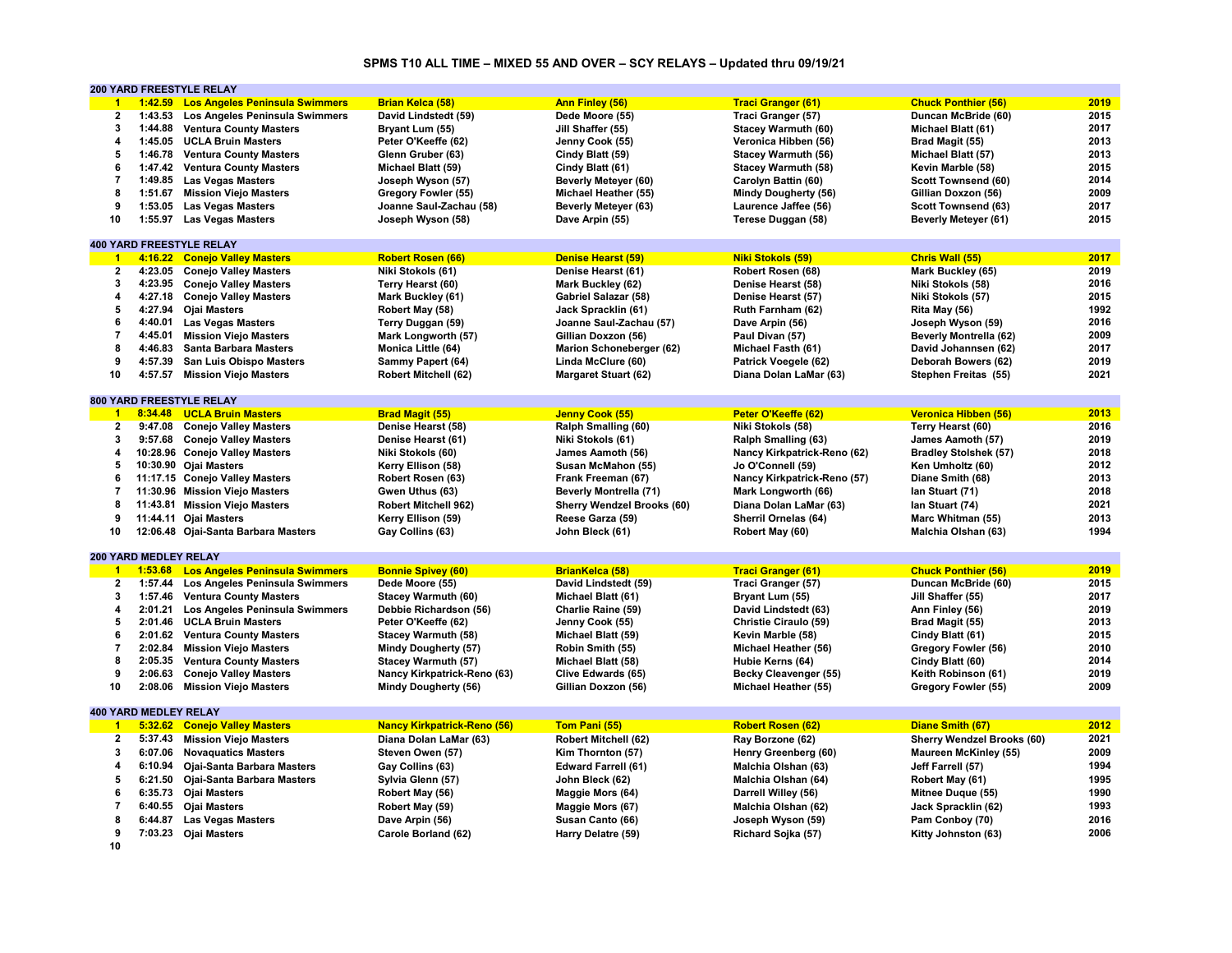#### **SPMS T10 ALL TIME – MIXED 55 AND OVER – SCY RELAYS – Updated thru 09/19/21**

|                          |                              | <b>200 YARD FREESTYLE RELAY</b>        |                                    |                                   |                             |                                   |      |
|--------------------------|------------------------------|----------------------------------------|------------------------------------|-----------------------------------|-----------------------------|-----------------------------------|------|
| $\bullet$                |                              | 1:42.59 Los Angeles Peninsula Swimmers | <b>Brian Kelca (58)</b>            | Ann Finley (56)                   | <b>Traci Granger (61)</b>   | <b>Chuck Ponthier (56)</b>        | 2019 |
| $\mathbf{2}$             |                              | 1:43.53 Los Angeles Peninsula Swimmers | David Lindstedt (59)               | Dede Moore (55)                   | Traci Granger (57)          | Duncan McBride (60)               | 2015 |
| 3                        | 1:44.88                      | <b>Ventura County Masters</b>          | Bryant Lum (55)                    | Jill Shaffer (55)                 | Stacey Warmuth (60)         | Michael Blatt (61)                | 2017 |
| 4                        |                              | 1:45.05 UCLA Bruin Masters             | Peter O'Keeffe (62)                | Jenny Cook (55)                   | Veronica Hibben (56)        | Brad Magit (55)                   | 2013 |
| 5                        |                              | 1:46.78 Ventura County Masters         | Glenn Gruber (63)                  | Cindy Blatt (59)                  | <b>Stacey Warmuth (56)</b>  | Michael Blatt (57)                | 2013 |
| 6                        |                              | 1:47.42 Ventura County Masters         | Michael Blatt (59)                 | Cindy Blatt (61)                  | <b>Stacey Warmuth (58)</b>  | Kevin Marble (58)                 | 2015 |
| $\overline{7}$           |                              | 1:49.85 Las Vegas Masters              | Joseph Wyson (57)                  | Beverly Meteyer (60)              | Carolyn Battin (60)         | Scott Townsend (60)               | 2014 |
| 8                        |                              | 1:51.67 Mission Viejo Masters          | Gregory Fowler (55)                | Michael Heather (55)              | <b>Mindy Dougherty (56)</b> | Gillian Doxzon (56)               | 2009 |
| 9                        |                              | 1:53.05 Las Vegas Masters              | Joanne Saul-Zachau (58)            | <b>Beverly Meteyer (63)</b>       | Laurence Jaffee (56)        | <b>Scott Townsend (63)</b>        | 2017 |
| 10                       |                              | 1:55.97 Las Vegas Masters              | Joseph Wyson (58)                  | Dave Arpin (55)                   | Terese Duggan (58)          | <b>Beverly Meteyer (61)</b>       | 2015 |
|                          |                              |                                        |                                    |                                   |                             |                                   |      |
|                          |                              | <b>400 YARD FREESTYLE RELAY</b>        |                                    |                                   |                             |                                   |      |
| $\overline{1}$           |                              | 4:16.22 Conejo Valley Masters          | <b>Robert Rosen (66)</b>           | <b>Denise Hearst (59)</b>         | <b>Niki Stokols (59)</b>    | Chris Wall (55)                   | 2017 |
| $\mathbf{2}$             |                              | 4:23.05 Conejo Valley Masters          | Niki Stokols (61)                  | Denise Hearst (61)                | Robert Rosen (68)           | Mark Buckley (65)                 | 2019 |
| 3                        |                              | 4:23.95 Conejo Valley Masters          | Terry Hearst (60)                  | Mark Buckley (62)                 | Denise Hearst (58)          | Niki Stokols (58)                 | 2016 |
| 4                        |                              | 4:27.18 Conejo Valley Masters          | Mark Buckley (61)                  | Gabriel Salazar (58)              | Denise Hearst (57)          | Niki Stokols (57)                 | 2015 |
| 5                        |                              | 4:27.94 Ojai Masters                   | Robert May (58)                    | Jack Spracklin (61)               |                             | Rita May (56)                     | 1992 |
|                          |                              |                                        |                                    |                                   | Ruth Farnham (62)           |                                   |      |
| 6                        |                              | 4:40.01 Las Vegas Masters              | Terry Duggan (59)                  | Joanne Saul-Zachau (57)           | Dave Arpin (56)             | Joseph Wyson (59)                 | 2016 |
| $\overline{\phantom{a}}$ |                              | 4:45.01 Mission Viejo Masters          | Mark Longworth (57)                | Gillian Doxzon (56)               | Paul Divan (57)             | <b>Beverly Montrella (62)</b>     | 2009 |
| 8                        | 4:46.83                      | <b>Santa Barbara Masters</b>           | Monica Little (64)                 | Marion Schoneberger (62)          | Michael Fasth (61)          | David Johannsen (62)              | 2017 |
| 9                        | 4:57.39                      | San Luis Obispo Masters                | Sammy Papert (64)                  | Linda McClure (60)                | Patrick Voegele (62)        | Deborah Bowers (62)               | 2019 |
| 10                       |                              | 4:57.57 Mission Viejo Masters          | Robert Mitchell (62)               | <b>Margaret Stuart (62)</b>       | Diana Dolan LaMar (63)      | Stephen Freitas (55)              | 2021 |
|                          |                              |                                        |                                    |                                   |                             |                                   |      |
|                          |                              | <b>800 YARD FREESTYLE RELAY</b>        |                                    |                                   |                             |                                   |      |
| $\blacktriangleleft$     |                              | 8:34.48 UCLA Bruin Masters             | <b>Brad Magit (55)</b>             | Jenny Cook (55)                   | Peter O'Keeffe (62)         | Veronica Hibben (56)              | 2013 |
| $\mathbf{2}$             | 9:47.08                      | <b>Conejo Valley Masters</b>           | Denise Hearst (58)                 | Ralph Smalling (60)               | Niki Stokols (58)           | Terry Hearst (60)                 | 2016 |
| 3                        |                              | 9:57.68 Conejo Valley Masters          | Denise Hearst (61)                 | Niki Stokols (61)                 | Ralph Smalling (63)         | James Aamoth (57)                 | 2019 |
| 4                        |                              | 10:28.96 Conejo Valley Masters         | Niki Stokols (60)                  | James Aamoth (56)                 | Nancy Kirkpatrick-Reno (62) | <b>Bradley Stolshek (57)</b>      | 2018 |
| 5                        |                              | 10:30.90 Ojai Masters                  | Kerry Ellison (58)                 | Susan McMahon (55)                | Jo O'Connell (59)           | Ken Umholtz (60)                  | 2012 |
| 6                        |                              | 11:17.15 Conejo Valley Masters         | Robert Rosen (63)                  | Frank Freeman (67)                | Nancy Kirkpatrick-Reno (57) | Diane Smith (68)                  | 2013 |
| $\overline{7}$           |                              | 11:30.96 Mission Viejo Masters         | Gwen Uthus (63)                    | <b>Beverly Montrella (71)</b>     | Mark Longworth (66)         | Ian Stuart (71)                   | 2018 |
| 8                        |                              | 11:43.81 Mission Viejo Masters         | <b>Robert Mitchell 962)</b>        | <b>Sherry Wendzel Brooks (60)</b> | Diana Dolan LaMar (63)      | Ian Stuart (74)                   | 2021 |
| 9                        |                              | 11:44.11 Ojai Masters                  | Kerry Ellison (59)                 | Reese Garza (59)                  | Sherril Ornelas (64)        | Marc Whitman (55)                 | 2013 |
| 10                       |                              | 12:06.48 Ojai-Santa Barbara Masters    | Gay Collins (63)                   | John Bleck (61)                   | Robert May (60)             | Malchia Olshan (63)               | 1994 |
|                          |                              |                                        |                                    |                                   |                             |                                   |      |
|                          | <b>200 YARD MEDLEY RELAY</b> |                                        |                                    |                                   |                             |                                   |      |
| $\blacktriangleleft$     | 1:53.68                      | <b>Los Angeles Peninsula Swimmers</b>  | <b>Bonnie Spivey (60)</b>          | <b>BrianKelca (58)</b>            | <b>Traci Granger (61)</b>   | <b>Chuck Ponthier (56)</b>        | 2019 |
| $\mathbf{2}$             |                              | 1:57.44 Los Angeles Peninsula Swimmers | Dede Moore (55)                    | David Lindstedt (59)              | Traci Granger (57)          | Duncan McBride (60)               | 2015 |
| 3                        |                              | 1:57.46 Ventura County Masters         | <b>Stacey Warmuth (60)</b>         | Michael Blatt (61)                | Bryant Lum (55)             | Jill Shaffer (55)                 | 2017 |
| 4                        | 2:01.21                      | Los Angeles Peninsula Swimmers         | Debbie Richardson (56)             | Charlie Raine (59)                | David Lindstedt (63)        | Ann Finley (56)                   | 2019 |
| 5                        | 2:01.46                      | <b>UCLA Bruin Masters</b>              | Peter O'Keeffe (62)                | Jenny Cook (55)                   | Christie Ciraulo (59)       | Brad Magit (55)                   | 2013 |
| 6                        |                              | 2:01.62 Ventura County Masters         | <b>Stacey Warmuth (58)</b>         | Michael Blatt (59)                | Kevin Marble (58)           | Cindy Blatt (61)                  | 2015 |
| $\overline{7}$           |                              | 2:02.84 Mission Viejo Masters          | <b>Mindy Dougherty (57)</b>        | Robin Smith (55)                  | Michael Heather (56)        | Gregory Fowler (56)               | 2010 |
| 8                        | 2:05.35                      | <b>Ventura County Masters</b>          | <b>Stacey Warmuth (57)</b>         | Michael Blatt (58)                | Hubie Kerns (64)            | Cindy Blatt (60)                  | 2014 |
| 9                        | 2:06.63                      | <b>Conejo Valley Masters</b>           | Nancy Kirkpatrick-Reno (63)        | Clive Edwards (65)                | Becky Cleavenger (55)       | Keith Robinson (61)               | 2019 |
| 10                       |                              | 2:08.06 Mission Viejo Masters          | <b>Mindy Dougherty (56)</b>        | Gillian Doxzon (56)               | Michael Heather (55)        | Gregory Fowler (55)               | 2009 |
|                          |                              |                                        |                                    |                                   |                             |                                   |      |
|                          | <b>400 YARD MEDLEY RELAY</b> |                                        |                                    |                                   |                             |                                   |      |
| $\overline{1}$           |                              | 5:32.62 Conejo Valley Masters          | <b>Nancy Kirkpatrick-Reno (56)</b> | Tom Pani (55)                     | <b>Robert Rosen (62)</b>    | Diane Smith (67)                  | 2012 |
| $\overline{2}$           |                              | 5:37.43 Mission Viejo Masters          | Diana Dolan LaMar (63)             | <b>Robert Mitchell (62)</b>       | Ray Borzone (62)            | <b>Sherry Wendzel Brooks (60)</b> | 2021 |
| 3                        | 6:07.06                      | <b>Novaguatics Masters</b>             | Steven Owen (57)                   | Kim Thornton (57)                 | Henry Greenberg (60)        | <b>Maureen McKinley (55)</b>      | 2009 |
| 4                        | 6:10.94                      | Ojai-Santa Barbara Masters             | Gay Collins (63)                   | <b>Edward Farrell (61)</b>        | Malchia Olshan (63)         | Jeff Farrell (57)                 | 1994 |
| 5                        | 6:21.50                      |                                        |                                    |                                   |                             |                                   | 1995 |
| 6                        |                              | Ojai-Santa Barbara Masters             | Sylvia Glenn (57)                  | John Bleck (62)                   | Malchia Olshan (64)         | Robert May (61)                   |      |
|                          |                              | 6:35.73 Ojai Masters                   | Robert May (56)                    | Maggie Mors (64)                  | Darrell Willey (56)         | Mitnee Duque (55)                 | 1990 |
| $\overline{7}$           |                              | 6:40.55 Ojai Masters                   | Robert May (59)                    | Maggie Mors (67)                  | Malchia Olshan (62)         | Jack Spracklin (62)               | 1993 |
| 8                        |                              | 6:44.87 Las Vegas Masters              | Dave Arpin (56)                    | Susan Canto (66)                  | Joseph Wyson (59)           | Pam Conboy (70)                   | 2016 |
| 9                        |                              | 7:03.23 Ojai Masters                   | Carole Borland (62)                | Harry Delatre (59)                | Richard Sojka (57)          | Kitty Johnston (63)               | 2006 |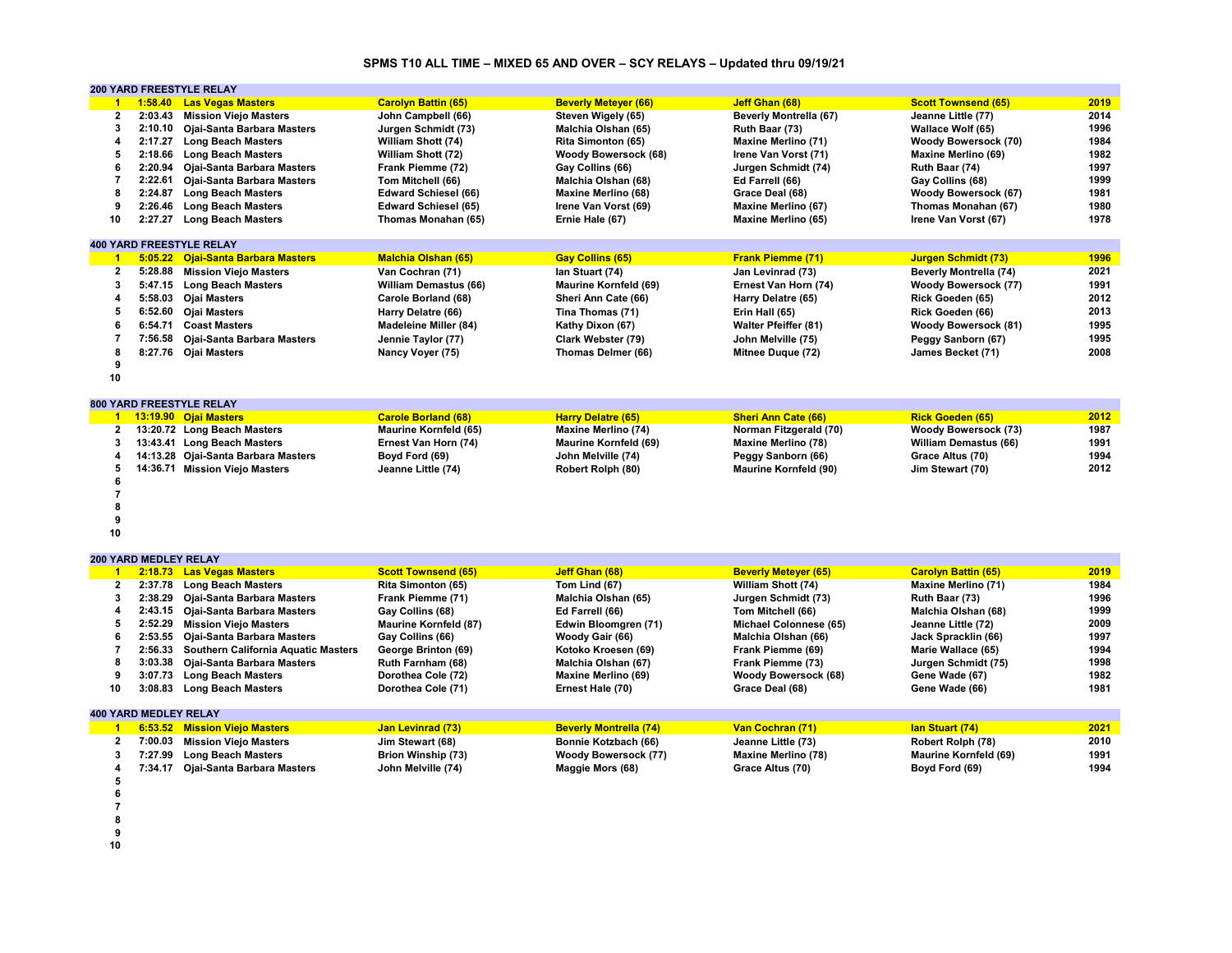# **SPMS T10 ALL TIME – MIXED 65 AND OVER – SCY RELAYS – Updated thru 09/19/21**

|                      |                              | <b>200 YARD FREESTYLE RELAY</b>            |                              |                               |                              |                              |      |
|----------------------|------------------------------|--------------------------------------------|------------------------------|-------------------------------|------------------------------|------------------------------|------|
| $\overline{1}$       | 1:58.40                      | <b>Las Vegas Masters</b>                   | <b>Carolyn Battin (65)</b>   | <b>Beverly Metever (66)</b>   | Jeff Ghan (68)               | <b>Scott Townsend (65)</b>   | 2019 |
| $\mathbf{2}$         | 2:03.43                      | <b>Mission Viejo Masters</b>               | John Campbell (66)           | Steven Wigely (65)            | Beverly Montrella (67)       | Jeanne Little (77)           | 2014 |
| 3                    | 2:10.10                      | Ojai-Santa Barbara Masters                 | Jurgen Schmidt (73)          | Malchia Olshan (65)           | Ruth Baar (73)               | Wallace Wolf (65)            | 1996 |
| 4                    | 2:17.27                      | <b>Long Beach Masters</b>                  | William Shott (74)           | Rita Simonton (65)            | <b>Maxine Merlino (71)</b>   | Woody Bowersock (70)         | 1984 |
| 5                    | 2:18.66                      | <b>Long Beach Masters</b>                  | William Shott (72)           | <b>Woody Bowersock (68)</b>   | Irene Van Vorst (71)         | <b>Maxine Merlino (69)</b>   | 1982 |
| 6                    | 2:20.94                      | Ojai-Santa Barbara Masters                 | Frank Piemme (72)            | Gay Collins (66)              | Jurgen Schmidt (74)          | Ruth Baar (74)               | 1997 |
| $\overline{7}$       | 2:22.61                      | Ojai-Santa Barbara Masters                 | Tom Mitchell (66)            | Malchia Olshan (68)           | Ed Farrell (66)              | Gay Collins (68)             | 1999 |
| 8                    | 2:24.87                      | <b>Long Beach Masters</b>                  | <b>Edward Schiesel (66)</b>  | <b>Maxine Merlino (68)</b>    | Grace Deal (68)              | Woody Bowersock (67)         | 1981 |
| 9                    | 2:26.46                      | <b>Long Beach Masters</b>                  | <b>Edward Schiesel (65)</b>  | Irene Van Vorst (69)          | Maxine Merlino (67)          | Thomas Monahan (67)          | 1980 |
| 10                   | 2:27.27                      | <b>Long Beach Masters</b>                  | Thomas Monahan (65)          | Ernie Hale (67)               | Maxine Merlino (65)          | Irene Van Vorst (67)         | 1978 |
|                      |                              |                                            |                              |                               |                              |                              |      |
|                      |                              | <b>400 YARD FREESTYLE RELAY</b>            |                              |                               |                              |                              |      |
| $\overline{1}$       |                              | 5:05.22 Ojai-Santa Barbara Masters         | <b>Malchia Olshan (65)</b>   | <b>Gay Collins (65)</b>       | <b>Frank Piemme (71)</b>     | <b>Jurgen Schmidt (73)</b>   | 1996 |
| $\mathbf{2}$         | 5:28.88                      | <b>Mission Viejo Masters</b>               | Van Cochran (71)             | Ian Stuart (74)               | Jan Levinrad (73)            | Beverly Montrella (74)       | 2021 |
| 3                    |                              |                                            |                              |                               |                              |                              | 1991 |
|                      |                              | 5:47.15 Long Beach Masters                 | <b>William Demastus (66)</b> | <b>Maurine Kornfeld (69)</b>  | Ernest Van Horn (74)         | <b>Woody Bowersock (77)</b>  |      |
| 4                    | 5:58.03                      | <b>Ojai Masters</b>                        | Carole Borland (68)          | Sheri Ann Cate (66)           | Harry Delatre (65)           | Rick Goeden (65)             | 2012 |
| 5                    | 6:52.60                      | <b>Ojai Masters</b>                        | Harry Delatre (66)           | Tina Thomas (71)              | Erin Hall (65)               | Rick Goeden (66)             | 2013 |
| 6                    |                              | 6:54.71 Coast Masters                      | <b>Madeleine Miller (84)</b> | Kathy Dixon (67)              | <b>Walter Pfeiffer (81)</b>  | <b>Woody Bowersock (81)</b>  | 1995 |
| 7                    | 7:56.58                      | Ojai-Santa Barbara Masters                 | Jennie Taylor (77)           | Clark Webster (79)            | John Melville (75)           | Peggy Sanborn (67)           | 1995 |
| 8                    |                              | 8:27.76 Ojai Masters                       | Nancy Voyer (75)             | Thomas Delmer (66)            | Mitnee Duque (72)            | James Becket (71)            | 2008 |
| 9                    |                              |                                            |                              |                               |                              |                              |      |
| 10                   |                              |                                            |                              |                               |                              |                              |      |
|                      |                              |                                            |                              |                               |                              |                              |      |
|                      |                              | <b>800 YARD FREESTYLE RELAY</b>            |                              |                               |                              |                              |      |
| $\mathbf{1}$         |                              | 13:19.90 Ojai Masters                      | <b>Carole Borland (68)</b>   | <b>Harry Delatre (65)</b>     | <b>Sheri Ann Cate (66)</b>   | <b>Rick Goeden (65)</b>      | 2012 |
|                      |                              | 2 13:20.72 Long Beach Masters              | <b>Maurine Kornfeld (65)</b> | <b>Maxine Merlino (74)</b>    | Norman Fitzgerald (70)       | Woody Bowersock (73)         | 1987 |
| 3                    |                              | 13:43.41 Long Beach Masters                | Ernest Van Horn (74)         | <b>Maurine Kornfeld (69)</b>  | <b>Maxine Merlino (78)</b>   | <b>William Demastus (66)</b> | 1991 |
| 4                    |                              | 14:13.28 Ojai-Santa Barbara Masters        | Boyd Ford (69)               | John Melville (74)            | Peggy Sanborn (66)           | Grace Altus (70)             | 1994 |
| 5                    |                              | 14:36.71 Mission Viejo Masters             | Jeanne Little (74)           | Robert Rolph (80)             | <b>Maurine Kornfeld (90)</b> | Jim Stewart (70)             | 2012 |
| 6                    |                              |                                            |                              |                               |                              |                              |      |
| $\overline{7}$       |                              |                                            |                              |                               |                              |                              |      |
| 8                    |                              |                                            |                              |                               |                              |                              |      |
| 9                    |                              |                                            |                              |                               |                              |                              |      |
| 10                   |                              |                                            |                              |                               |                              |                              |      |
|                      |                              |                                            |                              |                               |                              |                              |      |
|                      | 200 YARD MEDLEY RELAY        |                                            |                              |                               |                              |                              |      |
| $\blacktriangleleft$ | 2:18.73                      | <b>Las Vegas Masters</b>                   | <b>Scott Townsend (65)</b>   | Jeff Ghan (68)                | <b>Beverly Metever (65)</b>  | <b>Carolyn Battin (65)</b>   | 2019 |
| $\mathbf{2}$         |                              | 2:37.78 Long Beach Masters                 | Rita Simonton (65)           | Tom Lind (67)                 | William Shott (74)           | <b>Maxine Merlino (71)</b>   | 1984 |
| 3                    | 2:38.29                      | Ojai-Santa Barbara Masters                 | Frank Piemme (71)            | Malchia Olshan (65)           | Jurgen Schmidt (73)          | Ruth Baar (73)               | 1996 |
| 4                    | 2:43.15                      | Ojai-Santa Barbara Masters                 | Gay Collins (68)             | Ed Farrell (66)               | Tom Mitchell (66)            | Malchia Olshan (68)          | 1999 |
| 5                    | 2:52.29                      | <b>Mission Viejo Masters</b>               | <b>Maurine Kornfeld (87)</b> | Edwin Bloomgren (71)          | Michael Colonnese (65)       | Jeanne Little (72)           | 2009 |
| 6                    | 2:53.55                      | Ojai-Santa Barbara Masters                 | Gay Collins (66)             | Woody Gair (66)               | Malchia Olshan (66)          | Jack Spracklin (66)          | 1997 |
| $\overline{7}$       | 2:56.33                      | <b>Southern California Aquatic Masters</b> | George Brinton (69)          | Kotoko Kroesen (69)           | Frank Piemme (69)            | Marie Wallace (65)           | 1994 |
| 8                    | 3:03.38                      | Ojai-Santa Barbara Masters                 | Ruth Farnham (68)            | Malchia Olshan (67)           | Frank Piemme (73)            | Jurgen Schmidt (75)          | 1998 |
| 9                    | 3:07.73                      | <b>Long Beach Masters</b>                  | Dorothea Cole (72)           | <b>Maxine Merlino (69)</b>    | <b>Woody Bowersock (68)</b>  | Gene Wade (67)               | 1982 |
| 10                   | 3:08.83                      | <b>Long Beach Masters</b>                  | Dorothea Cole (71)           | Ernest Hale (70)              | Grace Deal (68)              | Gene Wade (66)               | 1981 |
|                      |                              |                                            |                              |                               |                              |                              |      |
|                      | <b>400 YARD MEDLEY RELAY</b> |                                            |                              |                               |                              |                              |      |
| $\blacktriangleleft$ |                              | 6:53.52 Mission Viejo Masters              | <b>Jan Levinrad (73)</b>     | <b>Beverly Montrella (74)</b> | Van Cochran (71)             | lan Stuart (74)              | 2021 |
| $\mathbf{2}$         |                              | 7:00.03 Mission Viejo Masters              | Jim Stewart (68)             | Bonnie Kotzbach (66)          | Jeanne Little (73)           | Robert Rolph (78)            | 2010 |
| 3                    | 7:27.99                      |                                            |                              |                               |                              |                              | 1991 |
|                      |                              | <b>Long Beach Masters</b>                  | Brion Winship (73)           | Woody Bowersock (77)          | <b>Maxine Merlino (78)</b>   | <b>Maurine Kornfeld (69)</b> |      |
| 4                    |                              | 7:34.17 Ojai-Santa Barbara Masters         | John Melville (74)           | Maggie Mors (68)              | Grace Altus (70)             | Boyd Ford (69)               | 1994 |
| 5                    |                              |                                            |                              |                               |                              |                              |      |
| 6                    |                              |                                            |                              |                               |                              |                              |      |
| $\overline{7}$       |                              |                                            |                              |                               |                              |                              |      |

- **8**
- **9**
- **10**